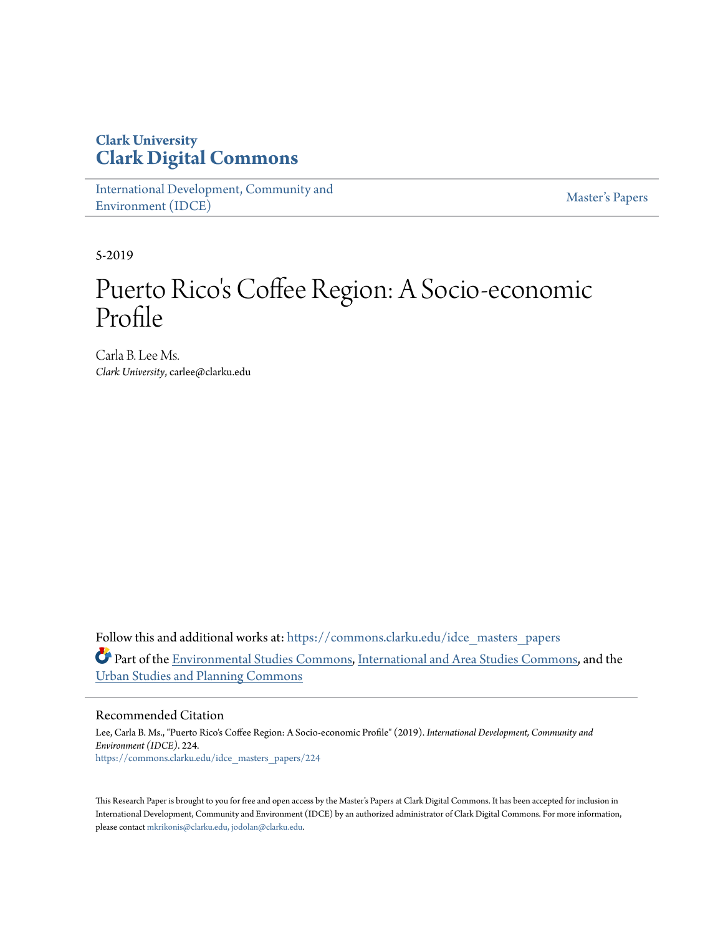# **Clark University [Clark Digital Commons](https://commons.clarku.edu?utm_source=commons.clarku.edu%2Fidce_masters_papers%2F224&utm_medium=PDF&utm_campaign=PDFCoverPages)**

[International Development, Community and](https://commons.clarku.edu/idce_masters_papers?utm_source=commons.clarku.edu%2Fidce_masters_papers%2F224&utm_medium=PDF&utm_campaign=PDFCoverPages) [Environment \(IDCE\)](https://commons.clarku.edu/idce_masters_papers?utm_source=commons.clarku.edu%2Fidce_masters_papers%2F224&utm_medium=PDF&utm_campaign=PDFCoverPages)

[Master's Papers](https://commons.clarku.edu/masters_papers?utm_source=commons.clarku.edu%2Fidce_masters_papers%2F224&utm_medium=PDF&utm_campaign=PDFCoverPages)

5-2019

# Puerto Rico's Coffee Region: A Socio-economic Profile

Carla B. Lee Ms. *Clark University*, carlee@clarku.edu

Follow this and additional works at: [https://commons.clarku.edu/idce\\_masters\\_papers](https://commons.clarku.edu/idce_masters_papers?utm_source=commons.clarku.edu%2Fidce_masters_papers%2F224&utm_medium=PDF&utm_campaign=PDFCoverPages) Part of the [Environmental Studies Commons](http://network.bepress.com/hgg/discipline/1333?utm_source=commons.clarku.edu%2Fidce_masters_papers%2F224&utm_medium=PDF&utm_campaign=PDFCoverPages), [International and Area Studies Commons](http://network.bepress.com/hgg/discipline/360?utm_source=commons.clarku.edu%2Fidce_masters_papers%2F224&utm_medium=PDF&utm_campaign=PDFCoverPages), and the [Urban Studies and Planning Commons](http://network.bepress.com/hgg/discipline/436?utm_source=commons.clarku.edu%2Fidce_masters_papers%2F224&utm_medium=PDF&utm_campaign=PDFCoverPages)

#### Recommended Citation

Lee, Carla B. Ms., "Puerto Rico's Coffee Region: A Socio-economic Profile" (2019). *International Development, Community and Environment (IDCE)*. 224. [https://commons.clarku.edu/idce\\_masters\\_papers/224](https://commons.clarku.edu/idce_masters_papers/224?utm_source=commons.clarku.edu%2Fidce_masters_papers%2F224&utm_medium=PDF&utm_campaign=PDFCoverPages)

This Research Paper is brought to you for free and open access by the Master's Papers at Clark Digital Commons. It has been accepted for inclusion in International Development, Community and Environment (IDCE) by an authorized administrator of Clark Digital Commons. For more information, please contact [mkrikonis@clarku.edu, jodolan@clarku.edu](mailto:mkrikonis@clarku.edu,%20jodolan@clarku.edu).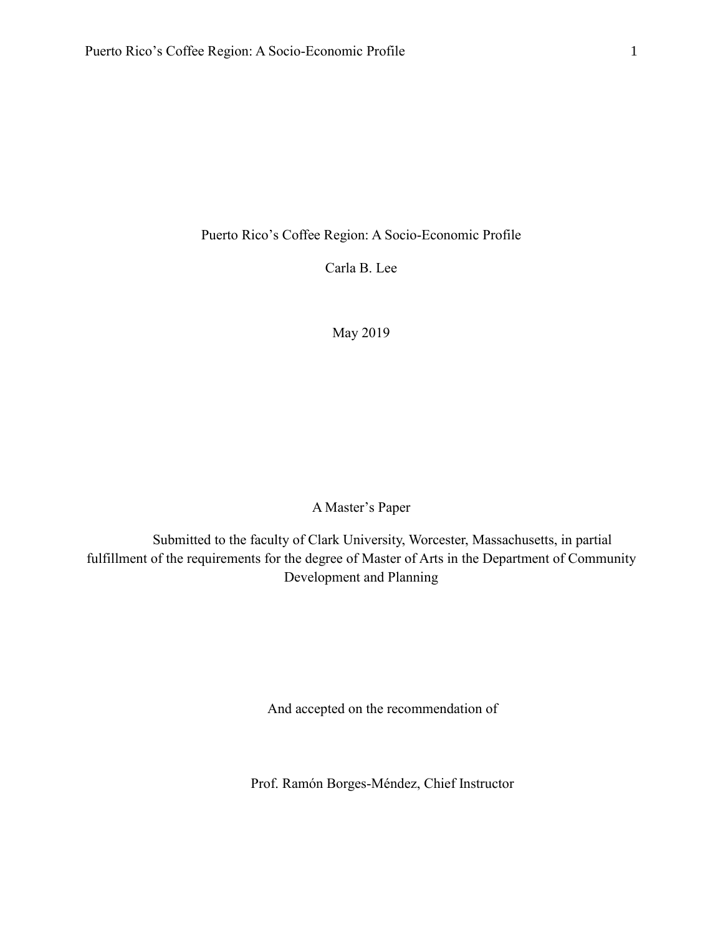Puerto Rico's Coffee Region: A Socio-Economic Profile

Carla B. Lee

May 2019

A Master's Paper

Submitted to the faculty of Clark University, Worcester, Massachusetts, in partial fulfillment of the requirements for the degree of Master of Arts in the Department of Community Development and Planning

And accepted on the recommendation of

Prof. Ramón Borges-Méndez, Chief Instructor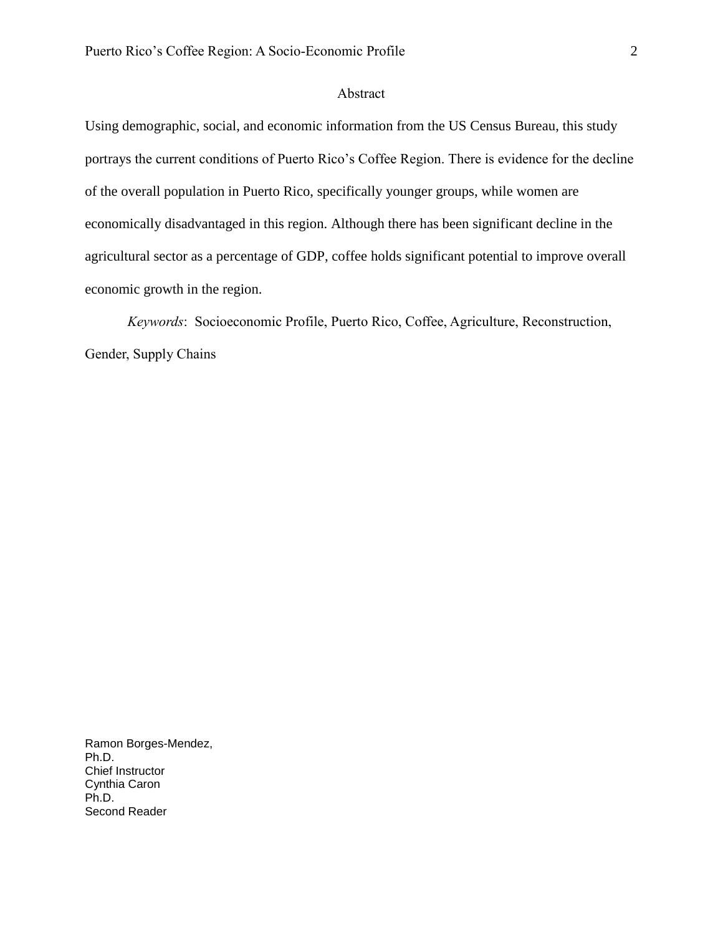# <span id="page-2-0"></span>Abstract

Using demographic, social, and economic information from the US Census Bureau, this study portrays the current conditions of Puerto Rico's Coffee Region. There is evidence for the decline of the overall population in Puerto Rico, specifically younger groups, while women are economically disadvantaged in this region. Although there has been significant decline in the agricultural sector as a percentage of GDP, coffee holds significant potential to improve overall economic growth in the region.

*Keywords*: Socioeconomic Profile, Puerto Rico, Coffee, Agriculture, Reconstruction, Gender, Supply Chains

Ramon Borges-Mendez, Ph.D. Chief Instructor Cynthia Caron Ph.D. Second Reader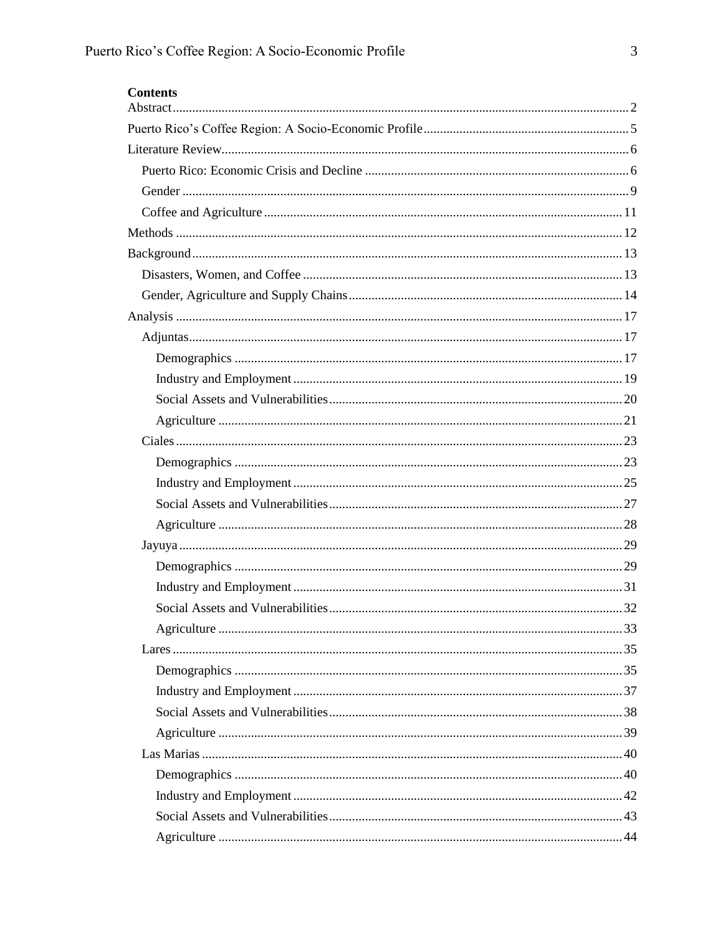| <b>Contents</b> |  |
|-----------------|--|
|                 |  |
|                 |  |
|                 |  |
|                 |  |
|                 |  |
|                 |  |
|                 |  |
|                 |  |
|                 |  |
|                 |  |
|                 |  |
|                 |  |
|                 |  |
|                 |  |
|                 |  |
|                 |  |
|                 |  |
|                 |  |
|                 |  |
|                 |  |
|                 |  |
|                 |  |
|                 |  |
|                 |  |
|                 |  |
|                 |  |
|                 |  |
|                 |  |
|                 |  |
|                 |  |
|                 |  |
|                 |  |
|                 |  |
|                 |  |
|                 |  |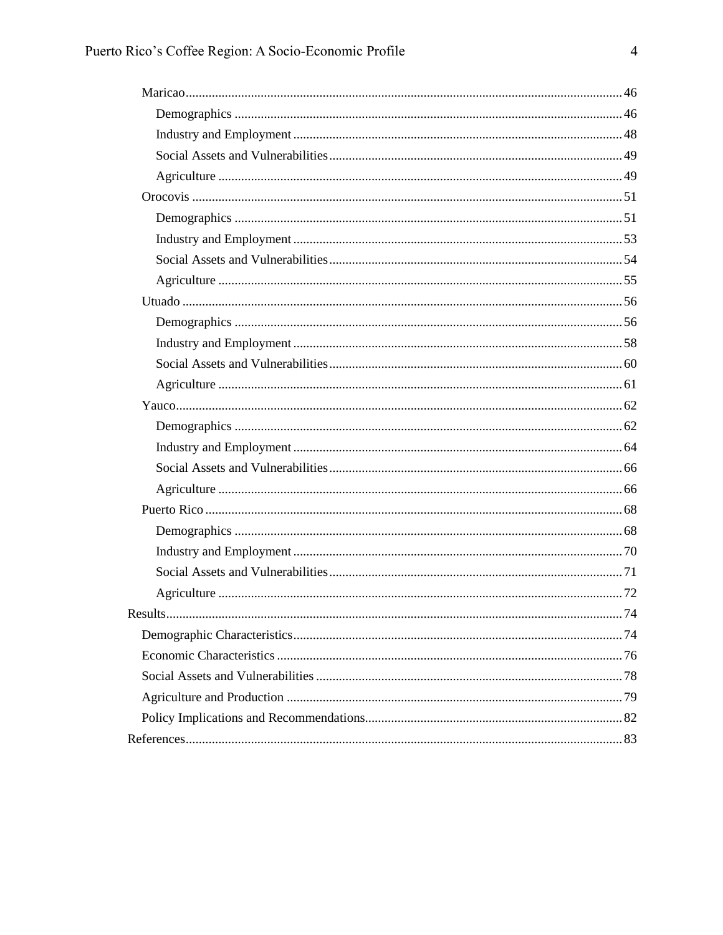| . 74 |
|------|
|      |
|      |
|      |
|      |
|      |
|      |
|      |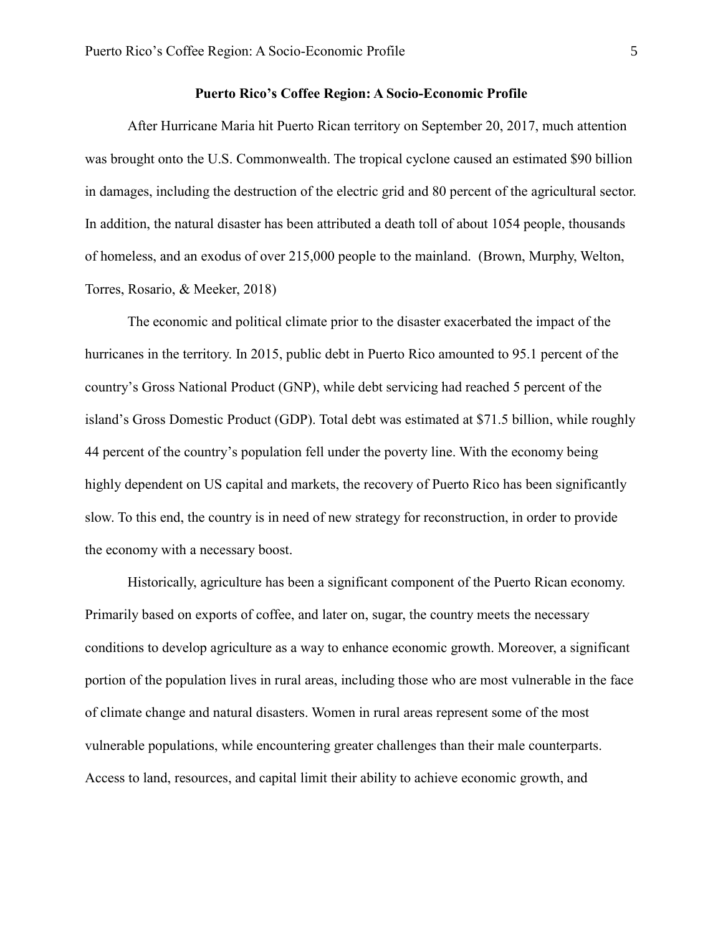#### <span id="page-5-0"></span>**Puerto Rico's Coffee Region: A Socio-Economic Profile**

After Hurricane Maria hit Puerto Rican territory on September 20, 2017, much attention was brought onto the U.S. Commonwealth. The tropical cyclone caused an estimated \$90 billion in damages, including the destruction of the electric grid and 80 percent of the agricultural sector. In addition, the natural disaster has been attributed a death toll of about 1054 people, thousands of homeless, and an exodus of over 215,000 people to the mainland. (Brown, Murphy, Welton, Torres, Rosario, & Meeker, 2018)

The economic and political climate prior to the disaster exacerbated the impact of the hurricanes in the territory. In 2015, public debt in Puerto Rico amounted to 95.1 percent of the country's Gross National Product (GNP), while debt servicing had reached 5 percent of the island's Gross Domestic Product (GDP). Total debt was estimated at \$71.5 billion, while roughly 44 percent of the country's population fell under the poverty line. With the economy being highly dependent on US capital and markets, the recovery of Puerto Rico has been significantly slow. To this end, the country is in need of new strategy for reconstruction, in order to provide the economy with a necessary boost.

Historically, agriculture has been a significant component of the Puerto Rican economy. Primarily based on exports of coffee, and later on, sugar, the country meets the necessary conditions to develop agriculture as a way to enhance economic growth. Moreover, a significant portion of the population lives in rural areas, including those who are most vulnerable in the face of climate change and natural disasters. Women in rural areas represent some of the most vulnerable populations, while encountering greater challenges than their male counterparts. Access to land, resources, and capital limit their ability to achieve economic growth, and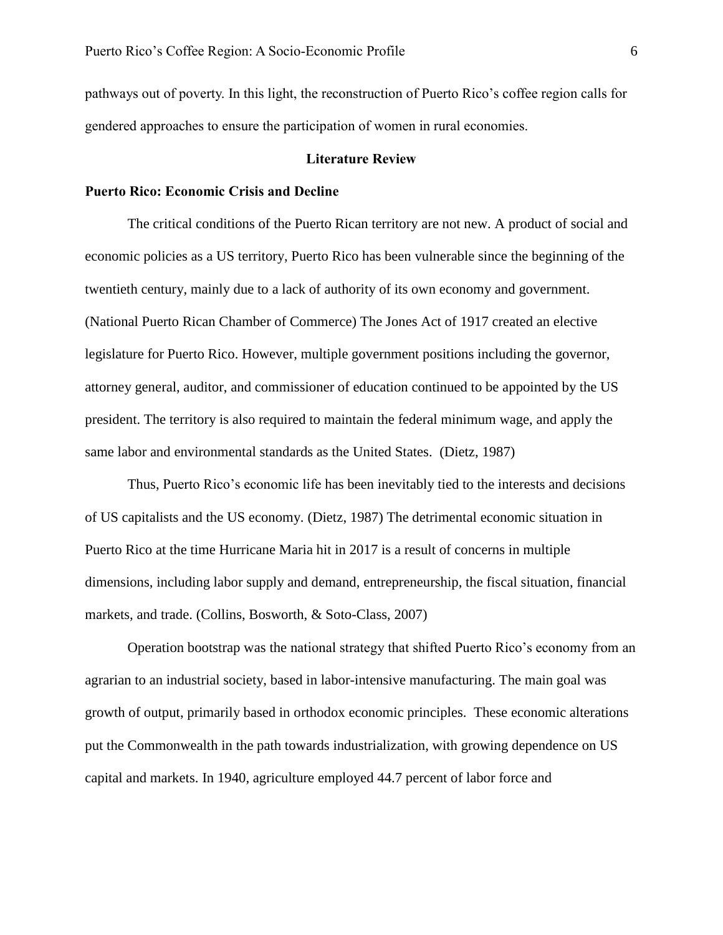pathways out of poverty. In this light, the reconstruction of Puerto Rico's coffee region calls for gendered approaches to ensure the participation of women in rural economies.

#### **Literature Review**

#### <span id="page-6-1"></span><span id="page-6-0"></span>**Puerto Rico: Economic Crisis and Decline**

The critical conditions of the Puerto Rican territory are not new. A product of social and economic policies as a US territory, Puerto Rico has been vulnerable since the beginning of the twentieth century, mainly due to a lack of authority of its own economy and government. (National Puerto Rican Chamber of Commerce) The Jones Act of 1917 created an elective legislature for Puerto Rico. However, multiple government positions including the governor, attorney general, auditor, and commissioner of education continued to be appointed by the US president. The territory is also required to maintain the federal minimum wage, and apply the same labor and environmental standards as the United States. (Dietz, 1987)

Thus, Puerto Rico's economic life has been inevitably tied to the interests and decisions of US capitalists and the US economy. (Dietz, 1987) The detrimental economic situation in Puerto Rico at the time Hurricane Maria hit in 2017 is a result of concerns in multiple dimensions, including labor supply and demand, entrepreneurship, the fiscal situation, financial markets, and trade. (Collins, Bosworth, & Soto-Class, 2007)

Operation bootstrap was the national strategy that shifted Puerto Rico's economy from an agrarian to an industrial society, based in labor-intensive manufacturing. The main goal was growth of output, primarily based in orthodox economic principles. These economic alterations put the Commonwealth in the path towards industrialization, with growing dependence on US capital and markets. In 1940, agriculture employed 44.7 percent of labor force and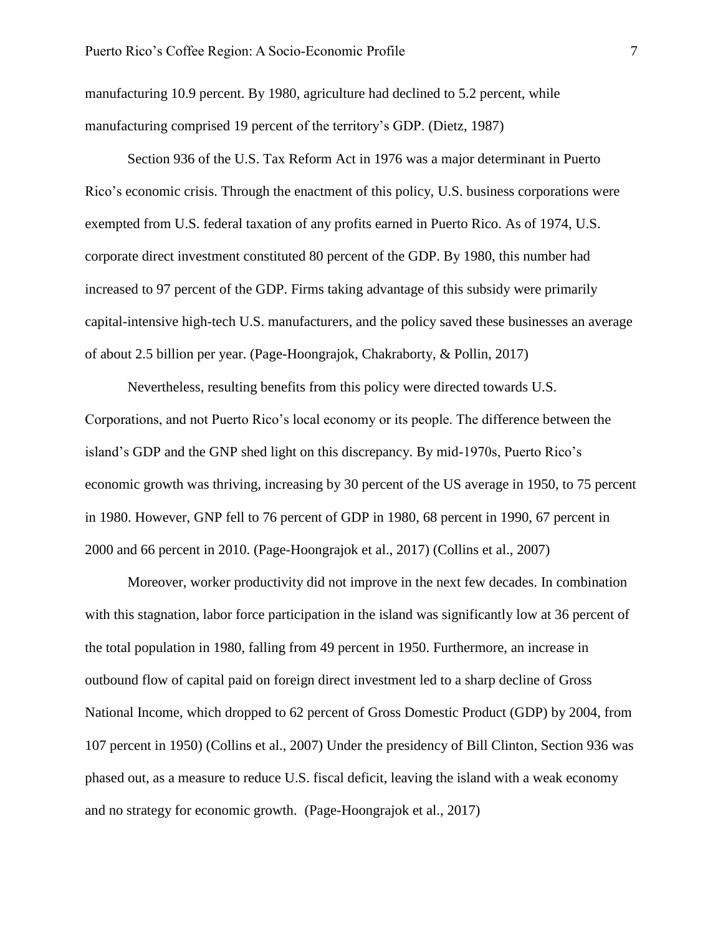manufacturing 10.9 percent. By 1980, agriculture had declined to 5.2 percent, while manufacturing comprised 19 percent of the territory's GDP. (Dietz, 1987)

Section 936 of the U.S. Tax Reform Act in 1976 was a major determinant in Puerto Rico's economic crisis. Through the enactment of this policy, U.S. business corporations were exempted from U.S. federal taxation of any profits earned in Puerto Rico. As of 1974, U.S. corporate direct investment constituted 80 percent of the GDP. By 1980, this number had increased to 97 percent of the GDP. Firms taking advantage of this subsidy were primarily capital-intensive high-tech U.S. manufacturers, and the policy saved these businesses an average of about 2.5 billion per year. (Page-Hoongrajok, Chakraborty, & Pollin, 2017)

Nevertheless, resulting benefits from this policy were directed towards U.S. Corporations, and not Puerto Rico's local economy or its people. The difference between the island's GDP and the GNP shed light on this discrepancy. By mid-1970s, Puerto Rico's economic growth was thriving, increasing by 30 percent of the US average in 1950, to 75 percent in 1980. However, GNP fell to 76 percent of GDP in 1980, 68 percent in 1990, 67 percent in 2000 and 66 percent in 2010. (Page-Hoongrajok et al., 2017) (Collins et al., 2007)

Moreover, worker productivity did not improve in the next few decades. In combination with this stagnation, labor force participation in the island was significantly low at 36 percent of the total population in 1980, falling from 49 percent in 1950. Furthermore, an increase in outbound flow of capital paid on foreign direct investment led to a sharp decline of Gross National Income, which dropped to 62 percent of Gross Domestic Product (GDP) by 2004, from 107 percent in 1950) (Collins et al., 2007) Under the presidency of Bill Clinton, Section 936 was phased out, as a measure to reduce U.S. fiscal deficit, leaving the island with a weak economy and no strategy for economic growth. (Page-Hoongrajok et al., 2017)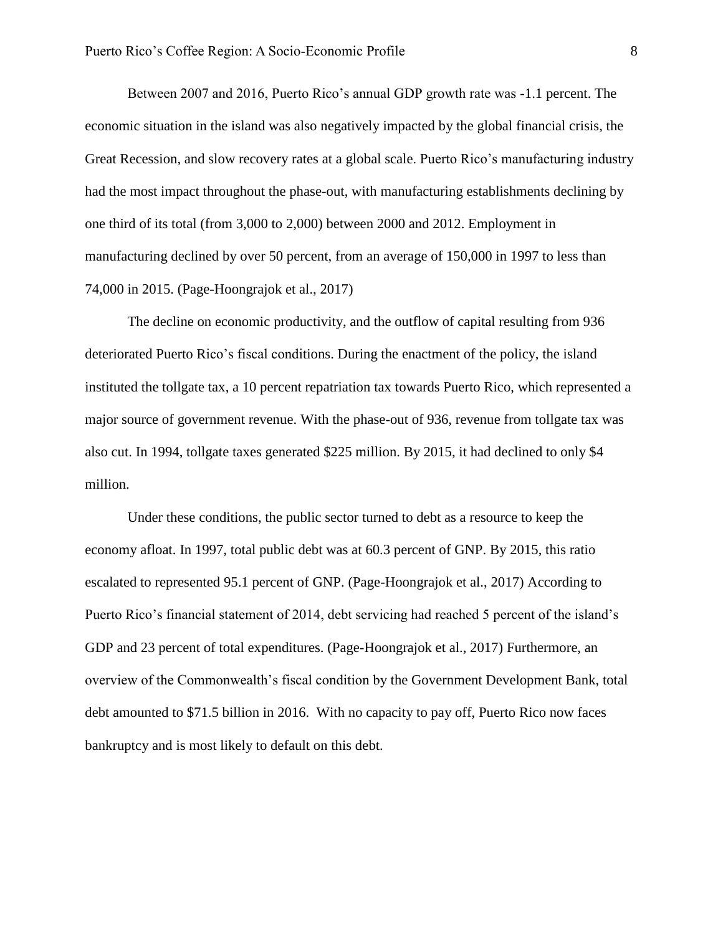Between 2007 and 2016, Puerto Rico's annual GDP growth rate was -1.1 percent. The economic situation in the island was also negatively impacted by the global financial crisis, the Great Recession, and slow recovery rates at a global scale. Puerto Rico's manufacturing industry had the most impact throughout the phase-out, with manufacturing establishments declining by one third of its total (from 3,000 to 2,000) between 2000 and 2012. Employment in manufacturing declined by over 50 percent, from an average of 150,000 in 1997 to less than 74,000 in 2015. (Page-Hoongrajok et al., 2017)

The decline on economic productivity, and the outflow of capital resulting from 936 deteriorated Puerto Rico's fiscal conditions. During the enactment of the policy, the island instituted the tollgate tax, a 10 percent repatriation tax towards Puerto Rico, which represented a major source of government revenue. With the phase-out of 936, revenue from tollgate tax was also cut. In 1994, tollgate taxes generated \$225 million. By 2015, it had declined to only \$4 million.

Under these conditions, the public sector turned to debt as a resource to keep the economy afloat. In 1997, total public debt was at 60.3 percent of GNP. By 2015, this ratio escalated to represented 95.1 percent of GNP. (Page-Hoongrajok et al., 2017) According to Puerto Rico's financial statement of 2014, debt servicing had reached 5 percent of the island's GDP and 23 percent of total expenditures. (Page-Hoongrajok et al., 2017) Furthermore, an overview of the Commonwealth's fiscal condition by the Government Development Bank, total debt amounted to \$71.5 billion in 2016. With no capacity to pay off, Puerto Rico now faces bankruptcy and is most likely to default on this debt.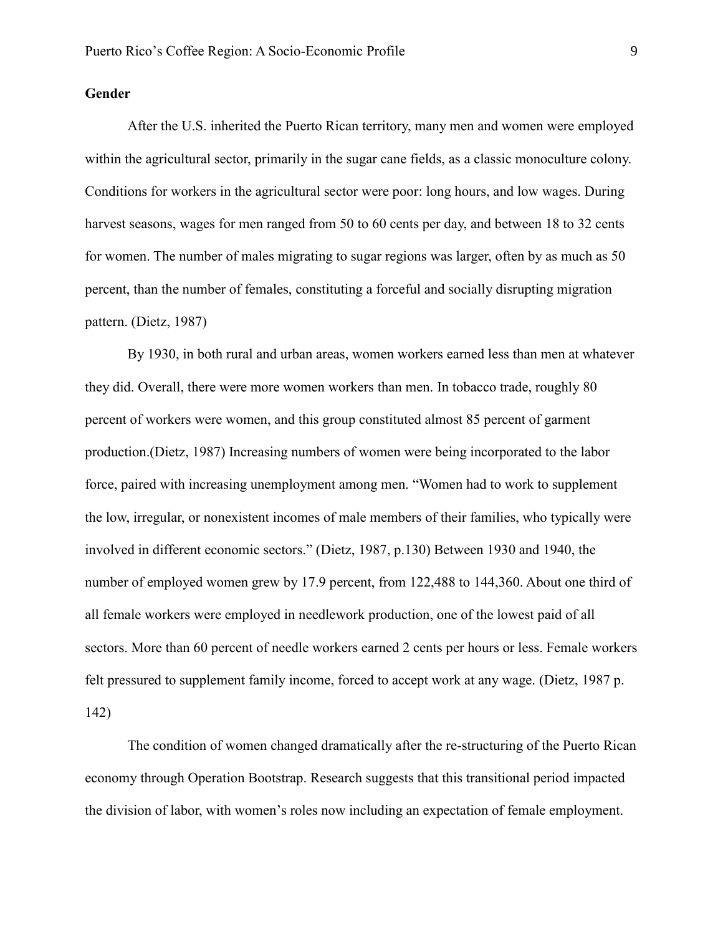# <span id="page-9-0"></span>**Gender**

After the U.S. inherited the Puerto Rican territory, many men and women were employed within the agricultural sector, primarily in the sugar cane fields, as a classic monoculture colony. Conditions for workers in the agricultural sector were poor: long hours, and low wages. During harvest seasons, wages for men ranged from 50 to 60 cents per day, and between 18 to 32 cents for women. The number of males migrating to sugar regions was larger, often by as much as 50 percent, than the number of females, constituting a forceful and socially disrupting migration pattern. (Dietz, 1987)

By 1930, in both rural and urban areas, women workers earned less than men at whatever they did. Overall, there were more women workers than men. In tobacco trade, roughly 80 percent of workers were women, and this group constituted almost 85 percent of garment production.(Dietz, 1987) Increasing numbers of women were being incorporated to the labor force, paired with increasing unemployment among men. "Women had to work to supplement the low, irregular, or nonexistent incomes of male members of their families, who typically were involved in different economic sectors." (Dietz, 1987, p.130) Between 1930 and 1940, the number of employed women grew by 17.9 percent, from 122,488 to 144,360. About one third of all female workers were employed in needlework production, one of the lowest paid of all sectors. More than 60 percent of needle workers earned 2 cents per hours or less. Female workers felt pressured to supplement family income, forced to accept work at any wage. (Dietz, 1987 p. 142)

The condition of women changed dramatically after the re-structuring of the Puerto Rican economy through Operation Bootstrap. Research suggests that this transitional period impacted the division of labor, with women's roles now including an expectation of female employment.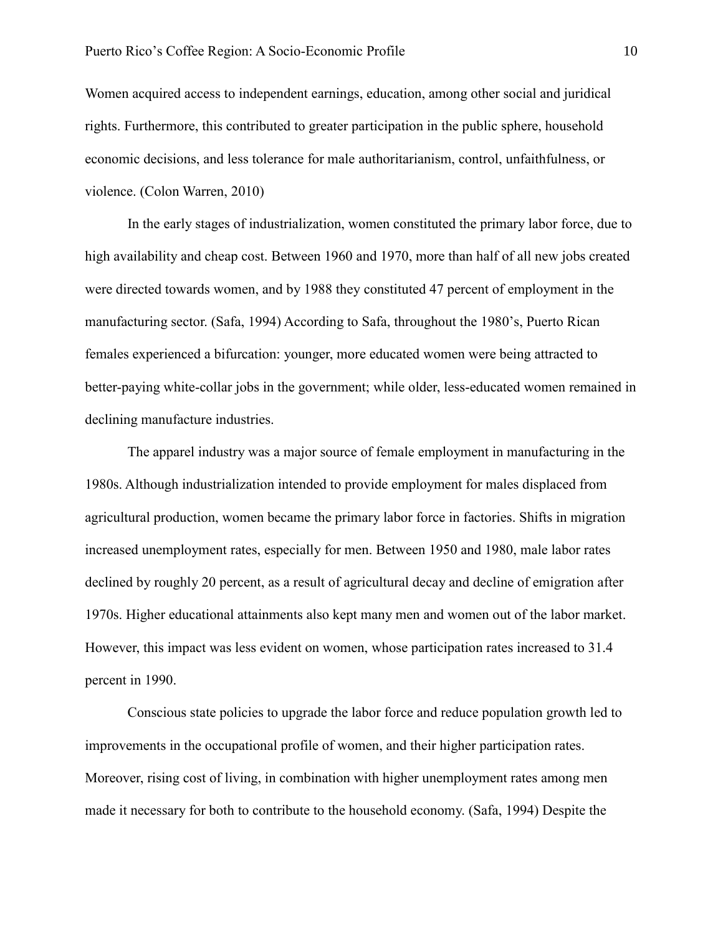Women acquired access to independent earnings, education, among other social and juridical rights. Furthermore, this contributed to greater participation in the public sphere, household economic decisions, and less tolerance for male authoritarianism, control, unfaithfulness, or violence. (Colon Warren, 2010)

In the early stages of industrialization, women constituted the primary labor force, due to high availability and cheap cost. Between 1960 and 1970, more than half of all new jobs created were directed towards women, and by 1988 they constituted 47 percent of employment in the manufacturing sector. (Safa, 1994) According to Safa, throughout the 1980's, Puerto Rican females experienced a bifurcation: younger, more educated women were being attracted to better-paying white-collar jobs in the government; while older, less-educated women remained in declining manufacture industries.

The apparel industry was a major source of female employment in manufacturing in the 1980s. Although industrialization intended to provide employment for males displaced from agricultural production, women became the primary labor force in factories. Shifts in migration increased unemployment rates, especially for men. Between 1950 and 1980, male labor rates declined by roughly 20 percent, as a result of agricultural decay and decline of emigration after 1970s. Higher educational attainments also kept many men and women out of the labor market. However, this impact was less evident on women, whose participation rates increased to 31.4 percent in 1990.

Conscious state policies to upgrade the labor force and reduce population growth led to improvements in the occupational profile of women, and their higher participation rates. Moreover, rising cost of living, in combination with higher unemployment rates among men made it necessary for both to contribute to the household economy. (Safa, 1994) Despite the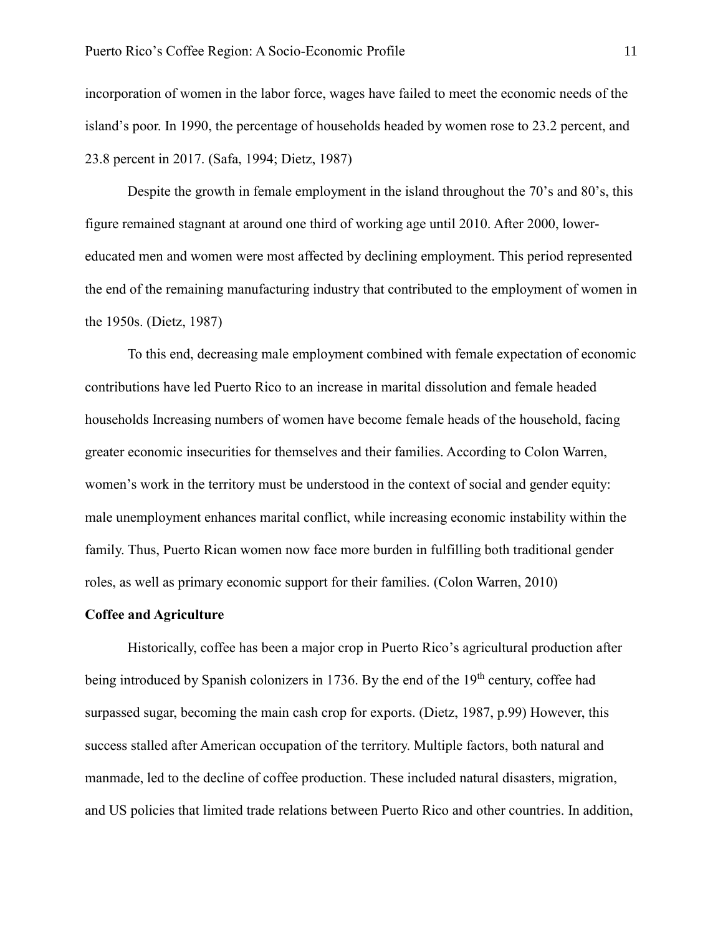incorporation of women in the labor force, wages have failed to meet the economic needs of the island's poor. In 1990, the percentage of households headed by women rose to 23.2 percent, and 23.8 percent in 2017. (Safa, 1994; Dietz, 1987)

Despite the growth in female employment in the island throughout the 70's and 80's, this figure remained stagnant at around one third of working age until 2010. After 2000, lowereducated men and women were most affected by declining employment. This period represented the end of the remaining manufacturing industry that contributed to the employment of women in the 1950s. (Dietz, 1987)

To this end, decreasing male employment combined with female expectation of economic contributions have led Puerto Rico to an increase in marital dissolution and female headed households Increasing numbers of women have become female heads of the household, facing greater economic insecurities for themselves and their families. According to Colon Warren, women's work in the territory must be understood in the context of social and gender equity: male unemployment enhances marital conflict, while increasing economic instability within the family. Thus, Puerto Rican women now face more burden in fulfilling both traditional gender roles, as well as primary economic support for their families. (Colon Warren, 2010)

#### <span id="page-11-0"></span>**Coffee and Agriculture**

Historically, coffee has been a major crop in Puerto Rico's agricultural production after being introduced by Spanish colonizers in 1736. By the end of the 19<sup>th</sup> century, coffee had surpassed sugar, becoming the main cash crop for exports. (Dietz, 1987, p.99) However, this success stalled after American occupation of the territory. Multiple factors, both natural and manmade, led to the decline of coffee production. These included natural disasters, migration, and US policies that limited trade relations between Puerto Rico and other countries. In addition,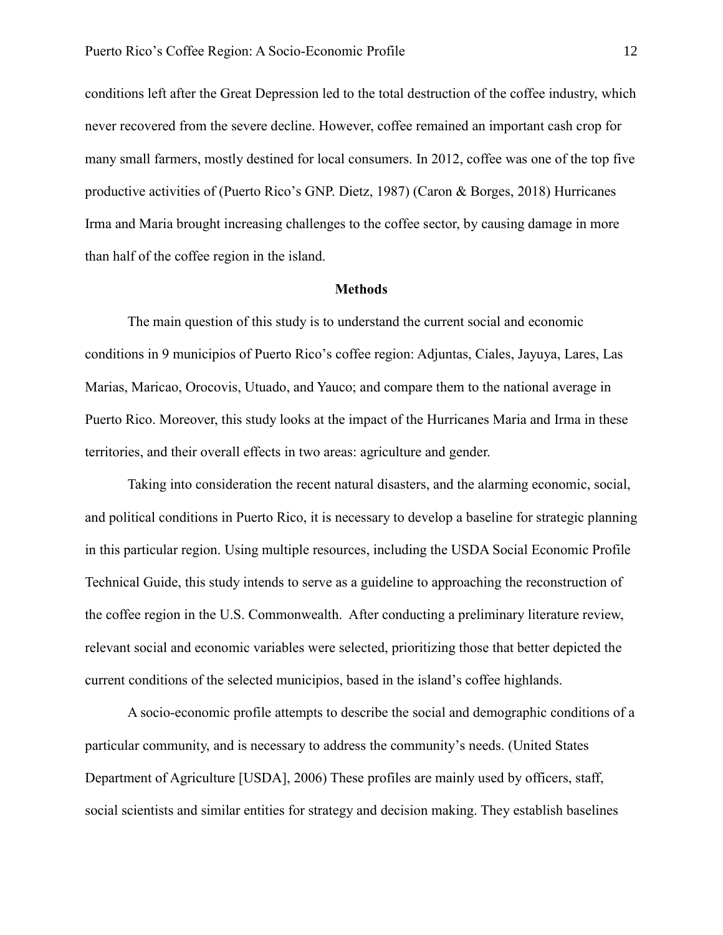conditions left after the Great Depression led to the total destruction of the coffee industry, which never recovered from the severe decline. However, coffee remained an important cash crop for many small farmers, mostly destined for local consumers. In 2012, coffee was one of the top five productive activities of (Puerto Rico's GNP. Dietz, 1987) (Caron & Borges, 2018) Hurricanes Irma and Maria brought increasing challenges to the coffee sector, by causing damage in more than half of the coffee region in the island.

#### **Methods**

<span id="page-12-0"></span>The main question of this study is to understand the current social and economic conditions in 9 municipios of Puerto Rico's coffee region: Adjuntas, Ciales, Jayuya, Lares, Las Marias, Maricao, Orocovis, Utuado, and Yauco; and compare them to the national average in Puerto Rico. Moreover, this study looks at the impact of the Hurricanes Maria and Irma in these territories, and their overall effects in two areas: agriculture and gender.

Taking into consideration the recent natural disasters, and the alarming economic, social, and political conditions in Puerto Rico, it is necessary to develop a baseline for strategic planning in this particular region. Using multiple resources, including the USDA Social Economic Profile Technical Guide, this study intends to serve as a guideline to approaching the reconstruction of the coffee region in the U.S. Commonwealth. After conducting a preliminary literature review, relevant social and economic variables were selected, prioritizing those that better depicted the current conditions of the selected municipios, based in the island's coffee highlands.

A socio-economic profile attempts to describe the social and demographic conditions of a particular community, and is necessary to address the community's needs. (United States Department of Agriculture [USDA], 2006) These profiles are mainly used by officers, staff, social scientists and similar entities for strategy and decision making. They establish baselines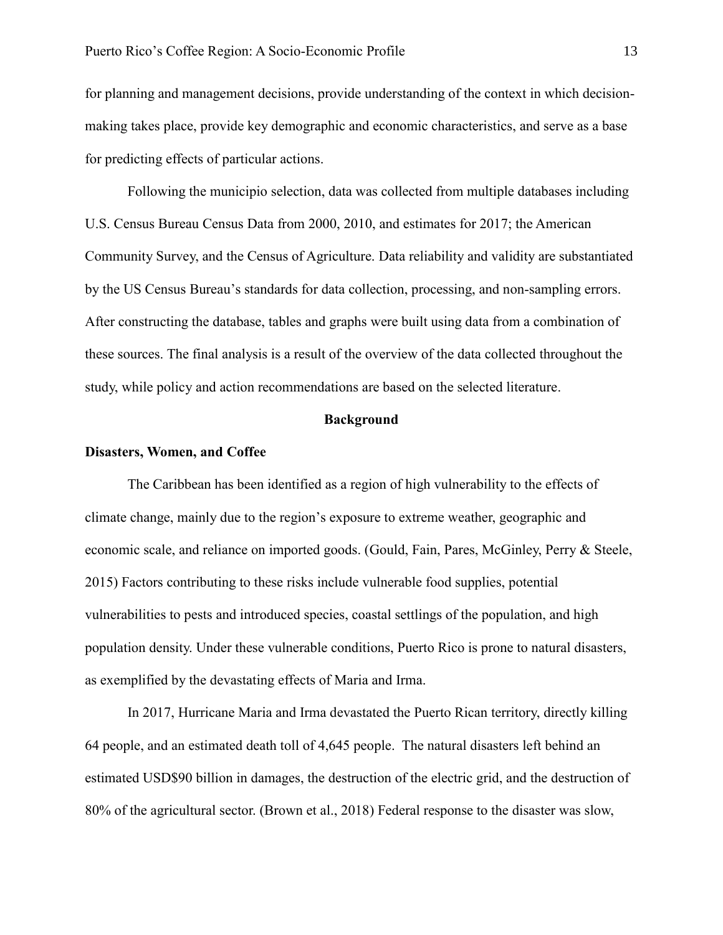for planning and management decisions, provide understanding of the context in which decisionmaking takes place, provide key demographic and economic characteristics, and serve as a base for predicting effects of particular actions.

Following the municipio selection, data was collected from multiple databases including U.S. Census Bureau Census Data from 2000, 2010, and estimates for 2017; the American Community Survey, and the Census of Agriculture. Data reliability and validity are substantiated by the US Census Bureau's standards for data collection, processing, and non-sampling errors. After constructing the database, tables and graphs were built using data from a combination of these sources. The final analysis is a result of the overview of the data collected throughout the study, while policy and action recommendations are based on the selected literature.

#### **Background**

#### <span id="page-13-1"></span><span id="page-13-0"></span>**Disasters, Women, and Coffee**

The Caribbean has been identified as a region of high vulnerability to the effects of climate change, mainly due to the region's exposure to extreme weather, geographic and economic scale, and reliance on imported goods. (Gould, Fain, Pares, McGinley, Perry & Steele, 2015) Factors contributing to these risks include vulnerable food supplies, potential vulnerabilities to pests and introduced species, coastal settlings of the population, and high population density. Under these vulnerable conditions, Puerto Rico is prone to natural disasters, as exemplified by the devastating effects of Maria and Irma.

In 2017, Hurricane Maria and Irma devastated the Puerto Rican territory, directly killing 64 people, and an estimated death toll of 4,645 people. The natural disasters left behind an estimated USD\$90 billion in damages, the destruction of the electric grid, and the destruction of 80% of the agricultural sector. (Brown et al., 2018) Federal response to the disaster was slow,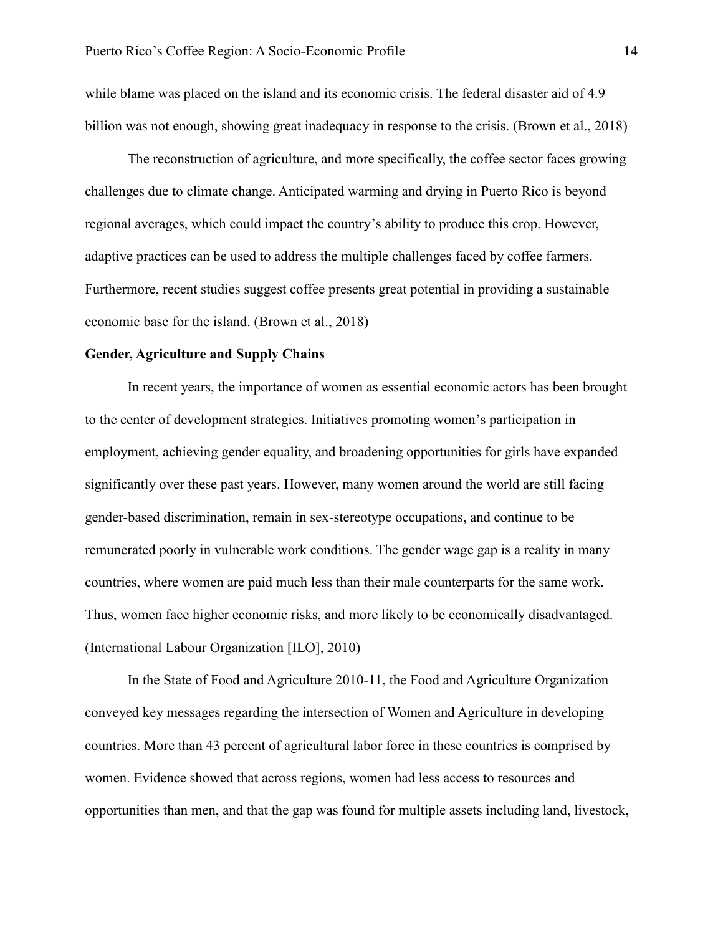while blame was placed on the island and its economic crisis. The federal disaster aid of 4.9 billion was not enough, showing great inadequacy in response to the crisis. (Brown et al., 2018)

The reconstruction of agriculture, and more specifically, the coffee sector faces growing challenges due to climate change. Anticipated warming and drying in Puerto Rico is beyond regional averages, which could impact the country's ability to produce this crop. However, adaptive practices can be used to address the multiple challenges faced by coffee farmers. Furthermore, recent studies suggest coffee presents great potential in providing a sustainable economic base for the island. (Brown et al., 2018)

#### <span id="page-14-0"></span>**Gender, Agriculture and Supply Chains**

In recent years, the importance of women as essential economic actors has been brought to the center of development strategies. Initiatives promoting women's participation in employment, achieving gender equality, and broadening opportunities for girls have expanded significantly over these past years. However, many women around the world are still facing gender-based discrimination, remain in sex-stereotype occupations, and continue to be remunerated poorly in vulnerable work conditions. The gender wage gap is a reality in many countries, where women are paid much less than their male counterparts for the same work. Thus, women face higher economic risks, and more likely to be economically disadvantaged. (International Labour Organization [ILO], 2010)

In the State of Food and Agriculture 2010-11, the Food and Agriculture Organization conveyed key messages regarding the intersection of Women and Agriculture in developing countries. More than 43 percent of agricultural labor force in these countries is comprised by women. Evidence showed that across regions, women had less access to resources and opportunities than men, and that the gap was found for multiple assets including land, livestock,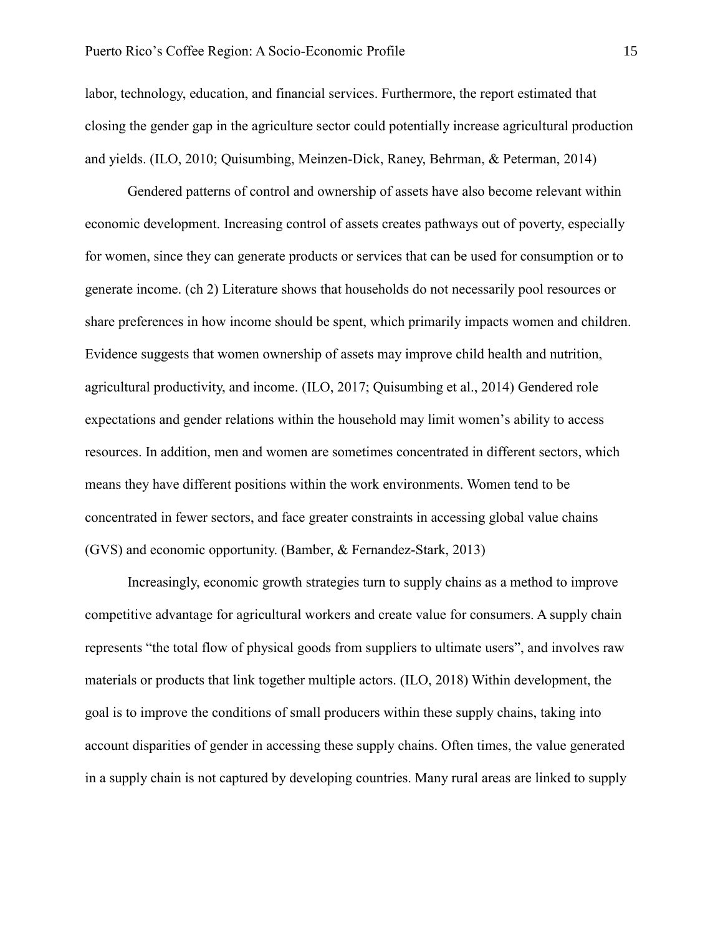labor, technology, education, and financial services. Furthermore, the report estimated that closing the gender gap in the agriculture sector could potentially increase agricultural production and yields. (ILO, 2010; Quisumbing, Meinzen-Dick, Raney, Behrman, & Peterman, 2014)

Gendered patterns of control and ownership of assets have also become relevant within economic development. Increasing control of assets creates pathways out of poverty, especially for women, since they can generate products or services that can be used for consumption or to generate income. (ch 2) Literature shows that households do not necessarily pool resources or share preferences in how income should be spent, which primarily impacts women and children. Evidence suggests that women ownership of assets may improve child health and nutrition, agricultural productivity, and income. (ILO, 2017; Quisumbing et al., 2014) Gendered role expectations and gender relations within the household may limit women's ability to access resources. In addition, men and women are sometimes concentrated in different sectors, which means they have different positions within the work environments. Women tend to be concentrated in fewer sectors, and face greater constraints in accessing global value chains (GVS) and economic opportunity. (Bamber, & Fernandez-Stark, 2013)

Increasingly, economic growth strategies turn to supply chains as a method to improve competitive advantage for agricultural workers and create value for consumers. A supply chain represents "the total flow of physical goods from suppliers to ultimate users", and involves raw materials or products that link together multiple actors. (ILO, 2018) Within development, the goal is to improve the conditions of small producers within these supply chains, taking into account disparities of gender in accessing these supply chains. Often times, the value generated in a supply chain is not captured by developing countries. Many rural areas are linked to supply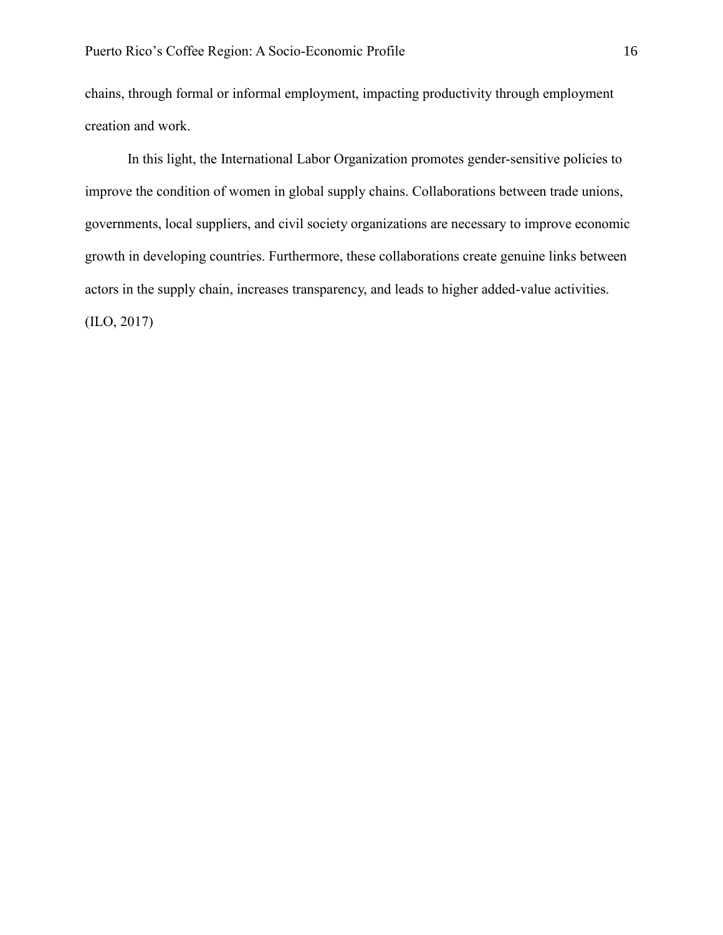chains, through formal or informal employment, impacting productivity through employment creation and work.

In this light, the International Labor Organization promotes gender-sensitive policies to improve the condition of women in global supply chains. Collaborations between trade unions, governments, local suppliers, and civil society organizations are necessary to improve economic growth in developing countries. Furthermore, these collaborations create genuine links between actors in the supply chain, increases transparency, and leads to higher added-value activities. (ILO, 2017)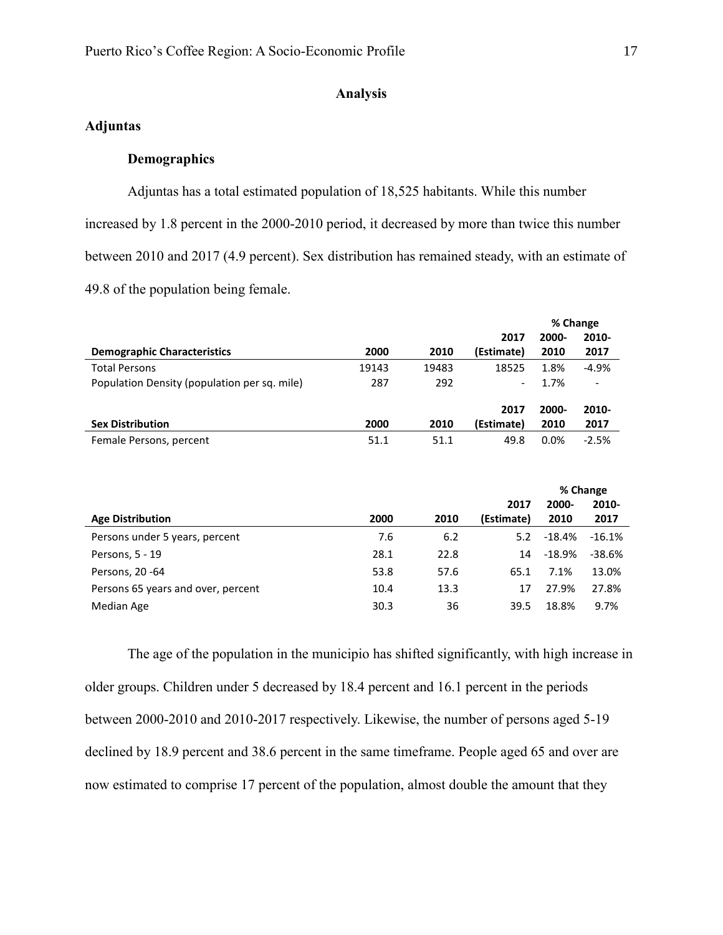# **Analysis**

# <span id="page-17-2"></span><span id="page-17-1"></span><span id="page-17-0"></span>**Adjuntas**

# **Demographics**

Adjuntas has a total estimated population of 18,525 habitants. While this number increased by 1.8 percent in the 2000-2010 period, it decreased by more than twice this number between 2010 and 2017 (4.9 percent). Sex distribution has remained steady, with an estimate of 49.8 of the population being female.

|                                              |       |       |                              | % Change |                          |
|----------------------------------------------|-------|-------|------------------------------|----------|--------------------------|
|                                              |       |       | 2017                         | 2000-    | 2010-                    |
| <b>Demographic Characteristics</b>           | 2000  | 2010  | (Estimate)                   | 2010     | 2017                     |
| <b>Total Persons</b>                         | 19143 | 19483 | 18525                        | 1.8%     | $-4.9%$                  |
| Population Density (population per sq. mile) | 287   | 292   | $\qquad \qquad \blacksquare$ | 1.7%     | $\overline{\phantom{a}}$ |
|                                              |       |       | 2017                         | 2000-    | 2010-                    |
| <b>Sex Distribution</b>                      | 2000  | 2010  | (Estimate)                   | 2010     | 2017                     |
| Female Persons, percent                      | 51.1  | 51.1  | 49.8                         | 0.0%     | $-2.5%$                  |

|                                    |      |      | % Change   |          |          |
|------------------------------------|------|------|------------|----------|----------|
|                                    |      |      | 2017       | 2000-    | 2010-    |
| <b>Age Distribution</b>            | 2000 | 2010 | (Estimate) | 2010     | 2017     |
| Persons under 5 years, percent     | 7.6  | 6.2  | 5.2        | $-18.4%$ | $-16.1%$ |
| Persons, 5 - 19                    | 28.1 | 22.8 | 14         | $-18.9%$ | $-38.6%$ |
| Persons, 20 -64                    | 53.8 | 57.6 | 65.1       | 7.1%     | 13.0%    |
| Persons 65 years and over, percent | 10.4 | 13.3 | 17         | 27.9%    | 27.8%    |
| Median Age                         | 30.3 | 36   | 39.5       | 18.8%    | 9.7%     |

The age of the population in the municipio has shifted significantly, with high increase in older groups. Children under 5 decreased by 18.4 percent and 16.1 percent in the periods between 2000-2010 and 2010-2017 respectively. Likewise, the number of persons aged 5-19 declined by 18.9 percent and 38.6 percent in the same timeframe. People aged 65 and over are now estimated to comprise 17 percent of the population, almost double the amount that they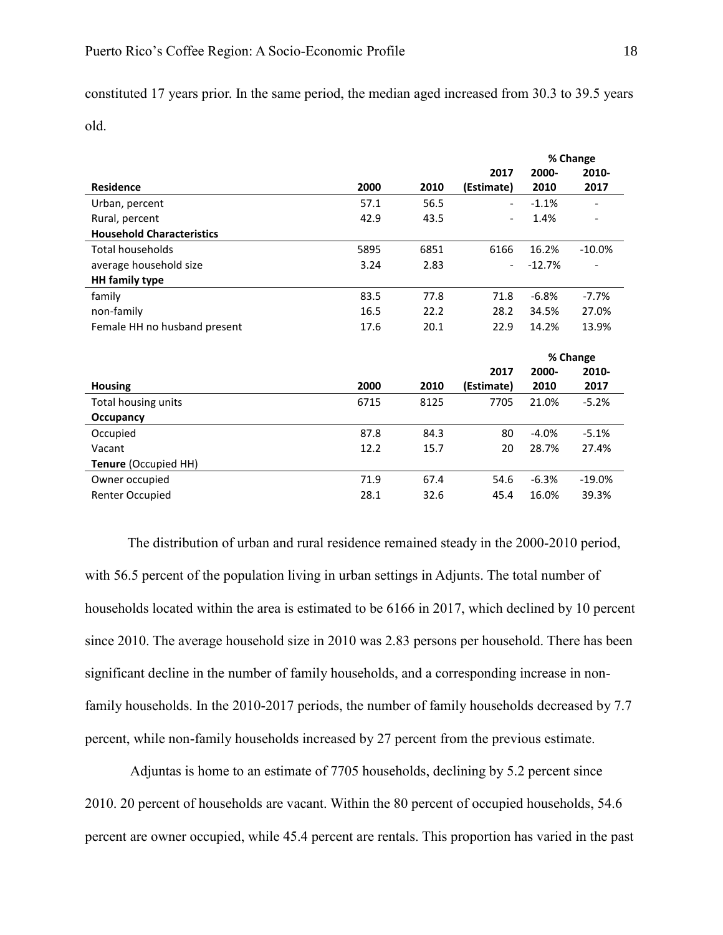constituted 17 years prior. In the same period, the median aged increased from 30.3 to 39.5 years old.

|                                  |      |      |                              |          | % Change |
|----------------------------------|------|------|------------------------------|----------|----------|
|                                  |      |      | 2017                         | 2000-    | 2010-    |
| <b>Residence</b>                 | 2000 | 2010 | (Estimate)                   | 2010     | 2017     |
| Urban, percent                   | 57.1 | 56.5 | $\qquad \qquad \blacksquare$ | $-1.1%$  |          |
| Rural, percent                   | 42.9 | 43.5 |                              | 1.4%     |          |
| <b>Household Characteristics</b> |      |      |                              |          |          |
| <b>Total households</b>          | 5895 | 6851 | 6166                         | 16.2%    | $-10.0%$ |
| average household size           | 3.24 | 2.83 |                              | $-12.7%$ |          |
| <b>HH</b> family type            |      |      |                              |          |          |
| family                           | 83.5 | 77.8 | 71.8                         | $-6.8%$  | $-7.7%$  |
| non-family                       | 16.5 | 22.2 | 28.2                         | 34.5%    | 27.0%    |
| Female HH no husband present     | 17.6 | 20.1 | 22.9                         | 14.2%    | 13.9%    |
|                                  |      |      |                              |          | % Change |
|                                  |      |      | 2017                         | 2000-    | 2010-    |
| <b>Housing</b>                   | 2000 | 2010 | (Estimate)                   | 2010     | 2017     |
| Total housing units              | 6715 | 8125 | 7705                         | 21.0%    | $-5.2%$  |
| Occupancy                        |      |      |                              |          |          |
| Occupied                         | 87.8 | 84.3 | 80                           | $-4.0%$  | $-5.1%$  |
| Vacant                           | 12.2 | 15.7 | 20                           | 28.7%    | 27.4%    |
| Tenure (Occupied HH)             |      |      |                              |          |          |
| Owner occupied                   | 71.9 | 67.4 | 54.6                         | $-6.3%$  | $-19.0%$ |
| Renter Occupied                  | 28.1 | 32.6 | 45.4                         | 16.0%    | 39.3%    |

The distribution of urban and rural residence remained steady in the 2000-2010 period, with 56.5 percent of the population living in urban settings in Adjunts. The total number of households located within the area is estimated to be 6166 in 2017, which declined by 10 percent since 2010. The average household size in 2010 was 2.83 persons per household. There has been significant decline in the number of family households, and a corresponding increase in nonfamily households. In the 2010-2017 periods, the number of family households decreased by 7.7 percent, while non-family households increased by 27 percent from the previous estimate.

Adjuntas is home to an estimate of 7705 households, declining by 5.2 percent since 2010. 20 percent of households are vacant. Within the 80 percent of occupied households, 54.6 percent are owner occupied, while 45.4 percent are rentals. This proportion has varied in the past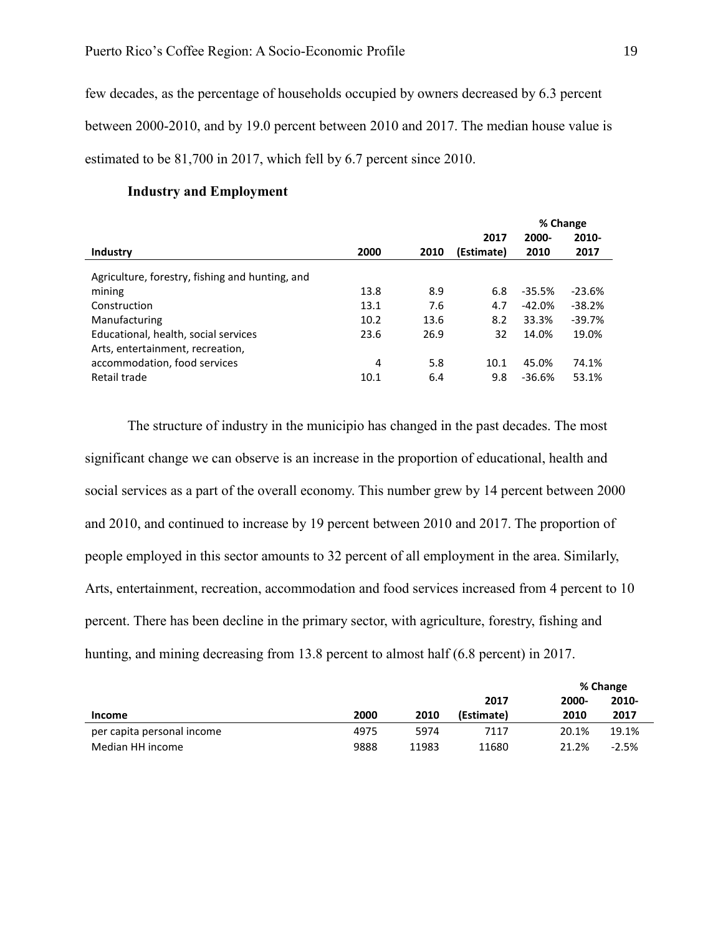few decades, as the percentage of households occupied by owners decreased by 6.3 percent between 2000-2010, and by 19.0 percent between 2010 and 2017. The median house value is estimated to be 81,700 in 2017, which fell by 6.7 percent since 2010.

<span id="page-19-0"></span>

|                                                                          |      | % Change |            |          |          |
|--------------------------------------------------------------------------|------|----------|------------|----------|----------|
|                                                                          |      |          | 2017       | 2000-    | 2010-    |
| Industry                                                                 | 2000 | 2010     | (Estimate) | 2010     | 2017     |
| Agriculture, forestry, fishing and hunting, and                          |      |          |            |          |          |
| mining                                                                   | 13.8 | 8.9      | 6.8        | $-35.5%$ | $-23.6%$ |
| Construction                                                             | 13.1 | 7.6      | 4.7        | $-42.0%$ | $-38.2%$ |
| Manufacturing                                                            | 10.2 | 13.6     | 8.2        | 33.3%    | $-39.7%$ |
| Educational, health, social services<br>Arts, entertainment, recreation, | 23.6 | 26.9     | 32         | 14.0%    | 19.0%    |
| accommodation, food services                                             | 4    | 5.8      | 10.1       | 45.0%    | 74.1%    |
| Retail trade                                                             | 10.1 | 6.4      | 9.8        | -36.6%   | 53.1%    |

#### **Industry and Employment**

The structure of industry in the municipio has changed in the past decades. The most significant change we can observe is an increase in the proportion of educational, health and social services as a part of the overall economy. This number grew by 14 percent between 2000 and 2010, and continued to increase by 19 percent between 2010 and 2017. The proportion of people employed in this sector amounts to 32 percent of all employment in the area. Similarly, Arts, entertainment, recreation, accommodation and food services increased from 4 percent to 10 percent. There has been decline in the primary sector, with agriculture, forestry, fishing and hunting, and mining decreasing from 13.8 percent to almost half (6.8 percent) in 2017.

|                            |      |       |            | % Change |         |
|----------------------------|------|-------|------------|----------|---------|
|                            |      |       | 2017       | 2000-    | 2010-   |
| <b>Income</b>              | 2000 | 2010  | (Estimate) | 2010     | 2017    |
| per capita personal income | 4975 | 5974  | 7117       | 20.1%    | 19.1%   |
| Median HH income           | 9888 | 11983 | 11680      | 21.2%    | $-2.5%$ |

**% Change**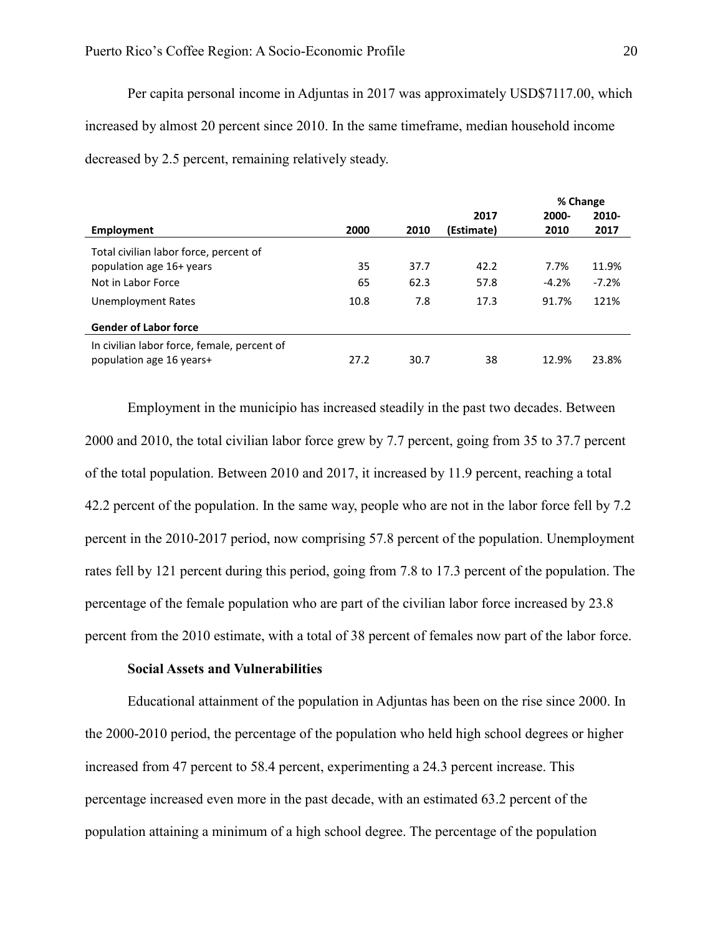Per capita personal income in Adjuntas in 2017 was approximately USD\$7117.00, which increased by almost 20 percent since 2010. In the same timeframe, median household income decreased by 2.5 percent, remaining relatively steady.

|                                             |      |      |            | % Change |         |
|---------------------------------------------|------|------|------------|----------|---------|
|                                             |      |      | 2017       | 2000-    | 2010-   |
| Employment                                  | 2000 | 2010 | (Estimate) | 2010     | 2017    |
| Total civilian labor force, percent of      |      |      |            |          |         |
| population age 16+ years                    | 35   | 37.7 | 42.2       | 7.7%     | 11.9%   |
| Not in Labor Force                          | 65   | 62.3 | 57.8       | $-4.2\%$ | $-7.2%$ |
| Unemployment Rates                          | 10.8 | 7.8  | 17.3       | 91.7%    | 121%    |
| <b>Gender of Labor force</b>                |      |      |            |          |         |
| In civilian labor force, female, percent of |      |      |            |          |         |
| population age 16 years+                    | 27.2 | 30.7 | 38         | 12.9%    | 23.8%   |

Employment in the municipio has increased steadily in the past two decades. Between 2000 and 2010, the total civilian labor force grew by 7.7 percent, going from 35 to 37.7 percent of the total population. Between 2010 and 2017, it increased by 11.9 percent, reaching a total 42.2 percent of the population. In the same way, people who are not in the labor force fell by 7.2 percent in the 2010-2017 period, now comprising 57.8 percent of the population. Unemployment rates fell by 121 percent during this period, going from 7.8 to 17.3 percent of the population. The percentage of the female population who are part of the civilian labor force increased by 23.8 percent from the 2010 estimate, with a total of 38 percent of females now part of the labor force.

# **Social Assets and Vulnerabilities**

<span id="page-20-0"></span>Educational attainment of the population in Adjuntas has been on the rise since 2000. In the 2000-2010 period, the percentage of the population who held high school degrees or higher increased from 47 percent to 58.4 percent, experimenting a 24.3 percent increase. This percentage increased even more in the past decade, with an estimated 63.2 percent of the population attaining a minimum of a high school degree. The percentage of the population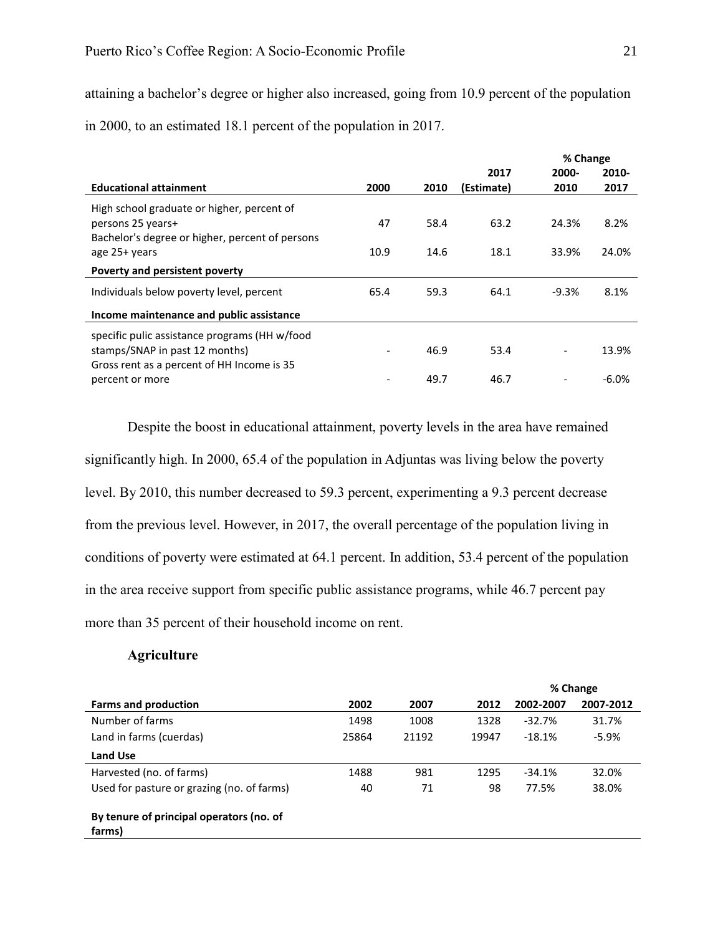attaining a bachelor's degree or higher also increased, going from 10.9 percent of the population

in 2000, to an estimated 18.1 percent of the population in 2017.

|                                                 |      |      |            | % Change |         |
|-------------------------------------------------|------|------|------------|----------|---------|
|                                                 |      |      | 2017       | 2000-    | 2010-   |
| <b>Educational attainment</b>                   | 2000 | 2010 | (Estimate) | 2010     | 2017    |
| High school graduate or higher, percent of      |      |      |            |          |         |
| persons 25 years+                               | 47   | 58.4 | 63.2       | 24.3%    | 8.2%    |
| Bachelor's degree or higher, percent of persons |      |      |            |          |         |
| age 25+ years                                   | 10.9 | 14.6 | 18.1       | 33.9%    | 24.0%   |
| Poverty and persistent poverty                  |      |      |            |          |         |
| Individuals below poverty level, percent        | 65.4 | 59.3 | 64.1       | $-9.3%$  | 8.1%    |
| Income maintenance and public assistance        |      |      |            |          |         |
| specific pulic assistance programs (HH w/food   |      |      |            |          |         |
| stamps/SNAP in past 12 months)                  |      | 46.9 | 53.4       |          | 13.9%   |
| Gross rent as a percent of HH Income is 35      |      |      |            |          |         |
| percent or more                                 |      | 49.7 | 46.7       |          | $-6.0%$ |

Despite the boost in educational attainment, poverty levels in the area have remained significantly high. In 2000, 65.4 of the population in Adjuntas was living below the poverty level. By 2010, this number decreased to 59.3 percent, experimenting a 9.3 percent decrease from the previous level. However, in 2017, the overall percentage of the population living in conditions of poverty were estimated at 64.1 percent. In addition, 53.4 percent of the population in the area receive support from specific public assistance programs, while 46.7 percent pay more than 35 percent of their household income on rent.

## **Agriculture**

<span id="page-21-0"></span>

|                                                    |       |       |       |           | % Change  |
|----------------------------------------------------|-------|-------|-------|-----------|-----------|
| <b>Farms and production</b>                        | 2002  | 2007  | 2012  | 2002-2007 | 2007-2012 |
| Number of farms                                    | 1498  | 1008  | 1328  | $-32.7%$  | 31.7%     |
| Land in farms (cuerdas)                            | 25864 | 21192 | 19947 | $-18.1%$  | $-5.9\%$  |
| <b>Land Use</b>                                    |       |       |       |           |           |
| Harvested (no. of farms)                           | 1488  | 981   | 1295  | $-34.1%$  | 32.0%     |
| Used for pasture or grazing (no. of farms)         | 40    | 71    | 98    | 77.5%     | 38.0%     |
| By tenure of principal operators (no. of<br>farms) |       |       |       |           |           |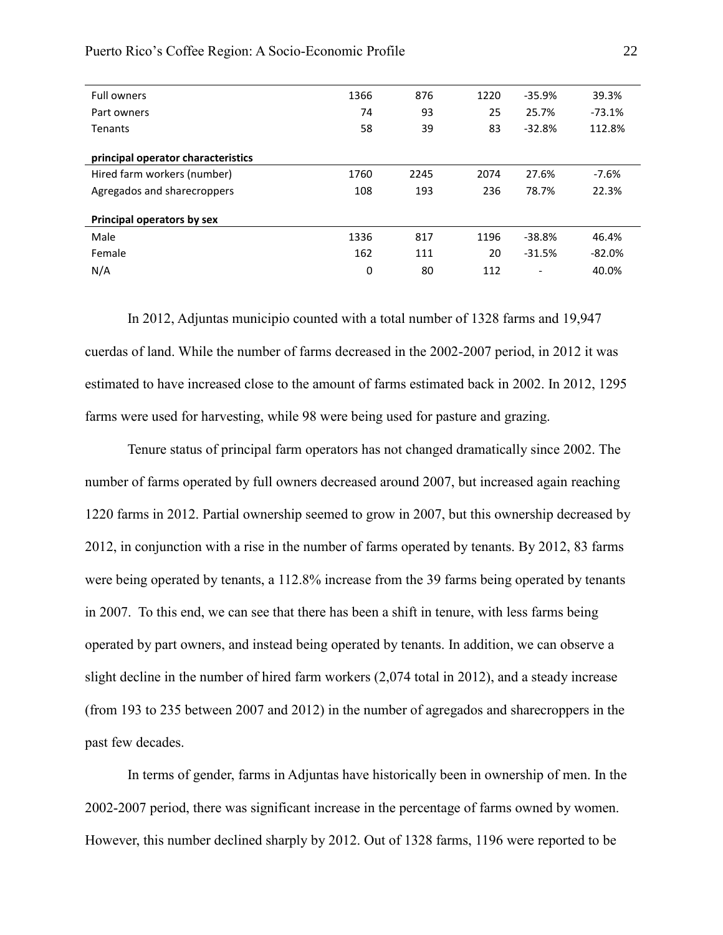| <b>Full owners</b>                 | 1366 | 876  | 1220 | $-35.9%$                 | 39.3%    |
|------------------------------------|------|------|------|--------------------------|----------|
| Part owners                        | 74   | 93   | 25   | 25.7%                    | $-73.1%$ |
| <b>Tenants</b>                     | 58   | 39   | 83   | $-32.8%$                 | 112.8%   |
| principal operator characteristics |      |      |      |                          |          |
| Hired farm workers (number)        | 1760 | 2245 | 2074 | 27.6%                    | $-7.6%$  |
| Agregados and sharecroppers        | 108  | 193  | 236  | 78.7%                    | 22.3%    |
| Principal operators by sex         |      |      |      |                          |          |
| Male                               | 1336 | 817  | 1196 | $-38.8%$                 | 46.4%    |
| Female                             | 162  | 111  | 20   | $-31.5%$                 | $-82.0%$ |
| N/A                                | 0    | 80   | 112  | $\overline{\phantom{0}}$ | 40.0%    |

Puerto Rico's Coffee Region: A Socio-Economic Profile 22

In 2012, Adjuntas municipio counted with a total number of 1328 farms and 19,947 cuerdas of land. While the number of farms decreased in the 2002-2007 period, in 2012 it was estimated to have increased close to the amount of farms estimated back in 2002. In 2012, 1295 farms were used for harvesting, while 98 were being used for pasture and grazing.

Tenure status of principal farm operators has not changed dramatically since 2002. The number of farms operated by full owners decreased around 2007, but increased again reaching 1220 farms in 2012. Partial ownership seemed to grow in 2007, but this ownership decreased by 2012, in conjunction with a rise in the number of farms operated by tenants. By 2012, 83 farms were being operated by tenants, a 112.8% increase from the 39 farms being operated by tenants in 2007. To this end, we can see that there has been a shift in tenure, with less farms being operated by part owners, and instead being operated by tenants. In addition, we can observe a slight decline in the number of hired farm workers (2,074 total in 2012), and a steady increase (from 193 to 235 between 2007 and 2012) in the number of agregados and sharecroppers in the past few decades.

In terms of gender, farms in Adjuntas have historically been in ownership of men. In the 2002-2007 period, there was significant increase in the percentage of farms owned by women. However, this number declined sharply by 2012. Out of 1328 farms, 1196 were reported to be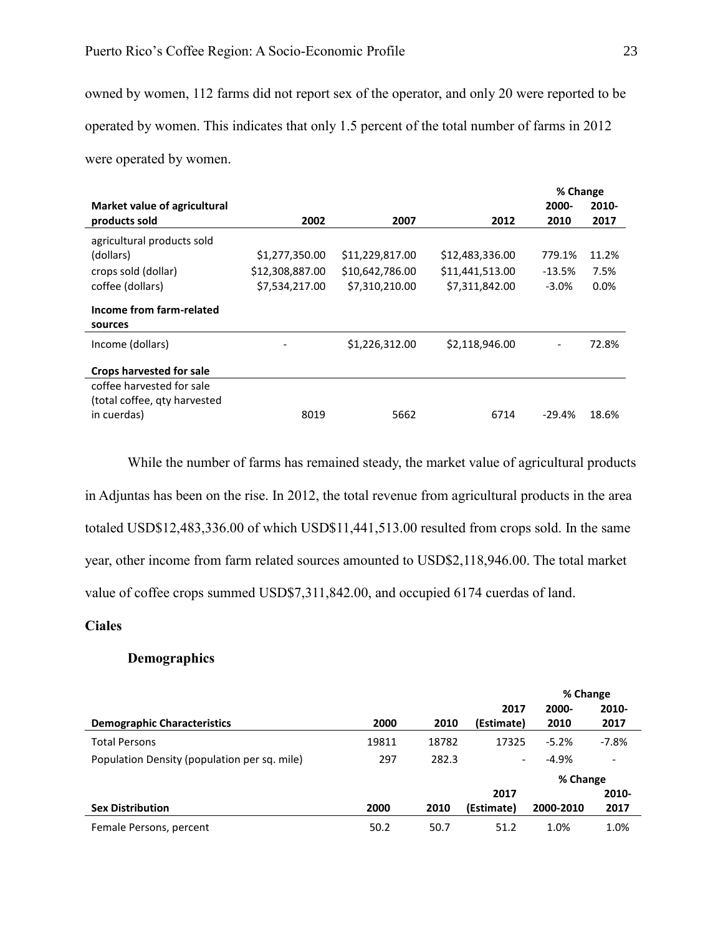owned by women, 112 farms did not report sex of the operator, and only 20 were reported to be operated by women. This indicates that only 1.5 percent of the total number of farms in 2012 were operated by women.

|                                 |                 |                 |                 | % Change                 |         |
|---------------------------------|-----------------|-----------------|-----------------|--------------------------|---------|
| Market value of agricultural    |                 |                 |                 | 2000-                    | 2010-   |
| products sold                   | 2002            | 2007            | 2012            | 2010                     | 2017    |
| agricultural products sold      |                 |                 |                 |                          |         |
| (dollars)                       | \$1,277,350.00  | \$11,229,817.00 | \$12,483,336.00 | 779.1%                   | 11.2%   |
| crops sold (dollar)             | \$12,308,887.00 | \$10,642,786.00 | \$11,441,513.00 | $-13.5%$                 | 7.5%    |
| coffee (dollars)                | \$7,534,217.00  | \$7,310,210.00  | \$7,311,842.00  | $-3.0\%$                 | $0.0\%$ |
| Income from farm-related        |                 |                 |                 |                          |         |
| sources                         |                 |                 |                 |                          |         |
| Income (dollars)                |                 | \$1,226,312.00  | \$2,118,946.00  | $\overline{\phantom{a}}$ | 72.8%   |
| <b>Crops harvested for sale</b> |                 |                 |                 |                          |         |
| coffee harvested for sale       |                 |                 |                 |                          |         |
| (total coffee, gty harvested    |                 |                 |                 |                          |         |
| in cuerdas)                     | 8019            | 5662            | 6714            | $-29.4%$                 | 18.6%   |

While the number of farms has remained steady, the market value of agricultural products in Adjuntas has been on the rise. In 2012, the total revenue from agricultural products in the area totaled USD\$12,483,336.00 of which USD\$11,441,513.00 resulted from crops sold. In the same year, other income from farm related sources amounted to USD\$2,118,946.00. The total market value of coffee crops summed USD\$7,311,842.00, and occupied 6174 cuerdas of land.

# <span id="page-23-1"></span><span id="page-23-0"></span>**Ciales**

# **Demographics**

|                                              |       |       |                          | % Change  |                          |
|----------------------------------------------|-------|-------|--------------------------|-----------|--------------------------|
|                                              |       |       | 2017                     | 2000-     | 2010-                    |
| <b>Demographic Characteristics</b>           | 2000  | 2010  | (Estimate)               | 2010      | 2017                     |
| <b>Total Persons</b>                         | 19811 | 18782 | 17325                    | $-5.2%$   | $-7.8%$                  |
| Population Density (population per sq. mile) | 297   | 282.3 | $\overline{\phantom{a}}$ | $-4.9%$   | $\overline{\phantom{a}}$ |
|                                              |       |       |                          | % Change  |                          |
|                                              |       |       | 2017                     |           | 2010-                    |
| <b>Sex Distribution</b>                      | 2000  | 2010  | (Estimate)               | 2000-2010 | 2017                     |
| Female Persons, percent                      | 50.2  | 50.7  | 51.2                     | 1.0%      | 1.0%                     |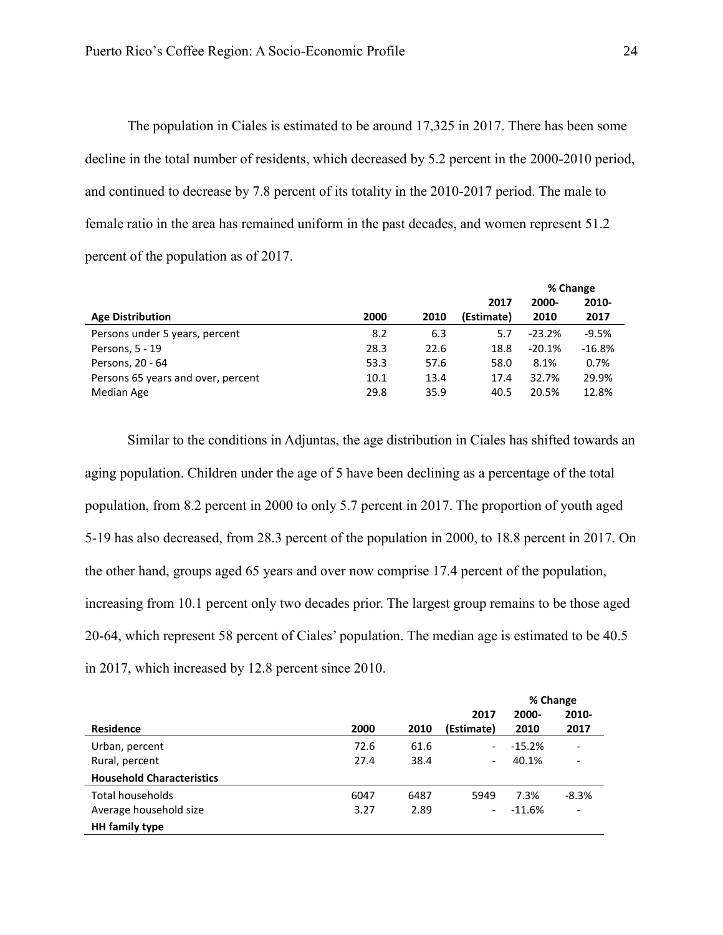The population in Ciales is estimated to be around 17,325 in 2017. There has been some decline in the total number of residents, which decreased by 5.2 percent in the 2000-2010 period, and continued to decrease by 7.8 percent of its totality in the 2010-2017 period. The male to female ratio in the area has remained uniform in the past decades, and women represent 51.2 percent of the population as of 2017.

|                                    |      |      |            | % Change |          |  |
|------------------------------------|------|------|------------|----------|----------|--|
|                                    |      |      | 2017       | 2000-    | 2010-    |  |
| <b>Age Distribution</b>            | 2000 | 2010 | (Estimate) | 2010     | 2017     |  |
| Persons under 5 years, percent     | 8.2  | 6.3  | 5.7        | $-23.2%$ | $-9.5%$  |  |
| Persons, 5 - 19                    | 28.3 | 22.6 | 18.8       | $-20.1%$ | $-16.8%$ |  |
| Persons, 20 - 64                   | 53.3 | 57.6 | 58.0       | 8.1%     | 0.7%     |  |
| Persons 65 years and over, percent | 10.1 | 13.4 | 17.4       | 32.7%    | 29.9%    |  |
| Median Age                         | 29.8 | 35.9 | 40.5       | 20.5%    | 12.8%    |  |

Similar to the conditions in Adjuntas, the age distribution in Ciales has shifted towards an aging population. Children under the age of 5 have been declining as a percentage of the total population, from 8.2 percent in 2000 to only 5.7 percent in 2017. The proportion of youth aged 5-19 has also decreased, from 28.3 percent of the population in 2000, to 18.8 percent in 2017. On the other hand, groups aged 65 years and over now comprise 17.4 percent of the population, increasing from 10.1 percent only two decades prior. The largest group remains to be those aged 20-64, which represent 58 percent of Ciales' population. The median age is estimated to be 40.5 in 2017, which increased by 12.8 percent since 2010.

|                                  |      |      |                          | % Change |                          |
|----------------------------------|------|------|--------------------------|----------|--------------------------|
|                                  |      |      | 2017                     | 2000-    | 2010-                    |
| <b>Residence</b>                 | 2000 | 2010 | (Estimate)               | 2010     | 2017                     |
| Urban, percent                   | 72.6 | 61.6 | $\overline{\phantom{0}}$ | $-15.2%$ | $\overline{\phantom{a}}$ |
| Rural, percent                   | 27.4 | 38.4 | $\overline{\phantom{0}}$ | 40.1%    | -                        |
| <b>Household Characteristics</b> |      |      |                          |          |                          |
| Total households                 | 6047 | 6487 | 5949                     | 7.3%     | $-8.3%$                  |
| Average household size           | 3.27 | 2.89 | $\overline{\phantom{0}}$ | $-11.6%$ | $\overline{\phantom{a}}$ |
| <b>HH</b> family type            |      |      |                          |          |                          |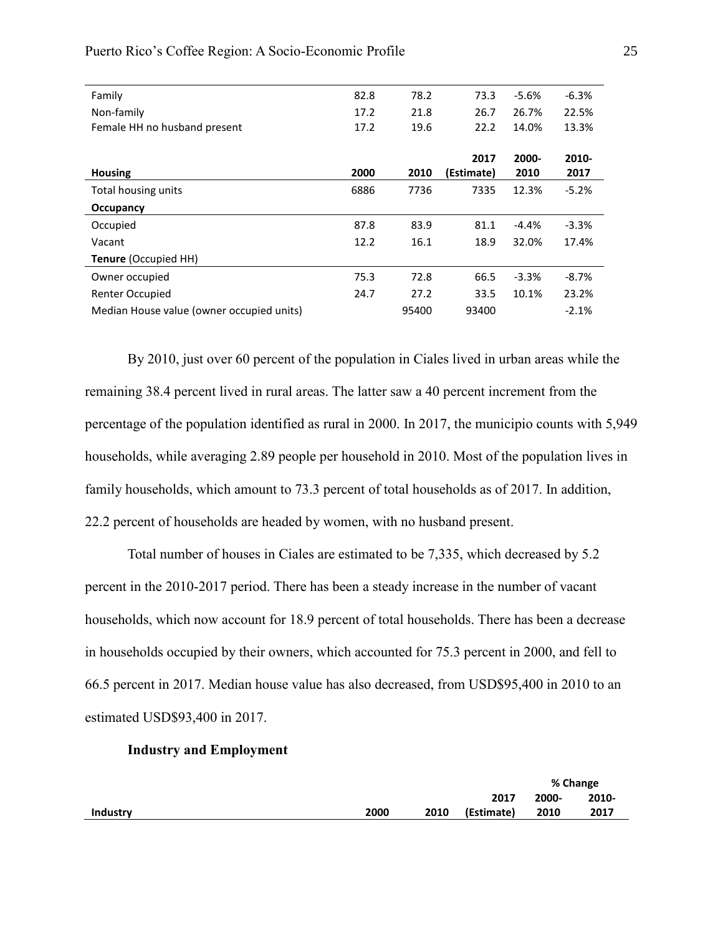| Family                                    | 82.8 | 78.2  | 73.3       | $-5.6%$ | $-6.3%$ |
|-------------------------------------------|------|-------|------------|---------|---------|
| Non-family                                | 17.2 | 21.8  | 26.7       | 26.7%   | 22.5%   |
| Female HH no husband present              | 17.2 | 19.6  | 22.2       | 14.0%   | 13.3%   |
|                                           |      |       |            |         |         |
|                                           |      |       | 2017       | 2000-   | 2010-   |
| <b>Housing</b>                            | 2000 | 2010  | (Estimate) | 2010    | 2017    |
| Total housing units                       | 6886 | 7736  | 7335       | 12.3%   | $-5.2%$ |
| Occupancy                                 |      |       |            |         |         |
| Occupied                                  | 87.8 | 83.9  | 81.1       | $-4.4%$ | $-3.3%$ |
| Vacant                                    | 12.2 | 16.1  | 18.9       | 32.0%   | 17.4%   |
| <b>Tenure (Occupied HH)</b>               |      |       |            |         |         |
| Owner occupied                            | 75.3 | 72.8  | 66.5       | $-3.3%$ | $-8.7%$ |
| Renter Occupied                           | 24.7 | 27.2  | 33.5       | 10.1%   | 23.2%   |
| Median House value (owner occupied units) |      | 95400 | 93400      |         | $-2.1%$ |

By 2010, just over 60 percent of the population in Ciales lived in urban areas while the remaining 38.4 percent lived in rural areas. The latter saw a 40 percent increment from the percentage of the population identified as rural in 2000. In 2017, the municipio counts with 5,949 households, while averaging 2.89 people per household in 2010. Most of the population lives in family households, which amount to 73.3 percent of total households as of 2017. In addition, 22.2 percent of households are headed by women, with no husband present.

Total number of houses in Ciales are estimated to be 7,335, which decreased by 5.2 percent in the 2010-2017 period. There has been a steady increase in the number of vacant households, which now account for 18.9 percent of total households. There has been a decrease in households occupied by their owners, which accounted for 75.3 percent in 2000, and fell to 66.5 percent in 2017. Median house value has also decreased, from USD\$95,400 in 2010 to an estimated USD\$93,400 in 2017.

#### **Industry and Employment**

<span id="page-25-0"></span>

|                 |      |      |            | % Change |       |
|-----------------|------|------|------------|----------|-------|
|                 |      |      | 2017       | 2000-    | 2010- |
| <b>Industry</b> | 2000 | 2010 | (Estimate) | 2010     | 2017  |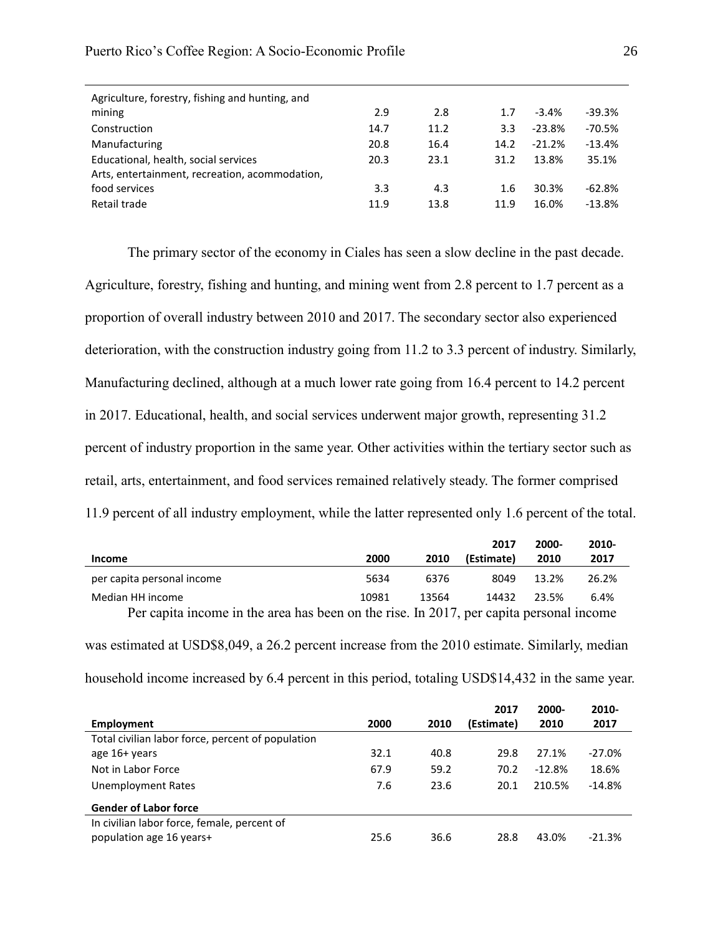| Agriculture, forestry, fishing and hunting, and |      |      |      |          |          |
|-------------------------------------------------|------|------|------|----------|----------|
| mining                                          | 2.9  | 2.8  | 1.7  | $-3.4%$  | -39.3%   |
| Construction                                    | 14.7 | 11.2 | 3.3  | $-23.8%$ | $-70.5%$ |
| Manufacturing                                   | 20.8 | 16.4 | 14.2 | $-21.2%$ | $-13.4%$ |
| Educational, health, social services            | 20.3 | 23.1 | 31.2 | 13.8%    | 35.1%    |
| Arts, entertainment, recreation, acommodation,  |      |      |      |          |          |
| food services                                   | 3.3  | 4.3  | 1.6  | 30.3%    | $-62.8%$ |
| Retail trade                                    | 11.9 | 13.8 | 11.9 | 16.0%    | $-13.8%$ |
|                                                 |      |      |      |          |          |

The primary sector of the economy in Ciales has seen a slow decline in the past decade. Agriculture, forestry, fishing and hunting, and mining went from 2.8 percent to 1.7 percent as a proportion of overall industry between 2010 and 2017. The secondary sector also experienced deterioration, with the construction industry going from 11.2 to 3.3 percent of industry. Similarly, Manufacturing declined, although at a much lower rate going from 16.4 percent to 14.2 percent in 2017. Educational, health, and social services underwent major growth, representing 31.2 percent of industry proportion in the same year. Other activities within the tertiary sector such as retail, arts, entertainment, and food services remained relatively steady. The former comprised 11.9 percent of all industry employment, while the latter represented only 1.6 percent of the total.

|                                                                                         |       |       | 2017       | 2000- | 2010- |  |  |
|-----------------------------------------------------------------------------------------|-------|-------|------------|-------|-------|--|--|
| Income                                                                                  | 2000  | 2010  | (Estimate) | 2010  | 2017  |  |  |
| per capita personal income                                                              | 5634  | 6376  | 8049       | 13.2% | 26.2% |  |  |
| Median HH income                                                                        | 10981 | 13564 | 14432      | 23.5% | 6.4%  |  |  |
| Per capita income in the area has been on the rise. In 2017, per capita personal income |       |       |            |       |       |  |  |

| was estimated at USD\$8,049, a 26.2 percent increase from the 2010 estimate. Similarly, median  |  |
|-------------------------------------------------------------------------------------------------|--|
| household income increased by 6.4 percent in this period, totaling USD\$14,432 in the same year |  |

|                                                   |      |      | 2017       | 2000-    | 2010-    |
|---------------------------------------------------|------|------|------------|----------|----------|
| Employment                                        | 2000 | 2010 | (Estimate) | 2010     | 2017     |
| Total civilian labor force, percent of population |      |      |            |          |          |
| age 16+ years                                     | 32.1 | 40.8 | 29.8       | 27.1%    | $-27.0%$ |
| Not in Labor Force                                | 67.9 | 59.2 | 70.2       | $-12.8%$ | 18.6%    |
| Unemployment Rates                                | 7.6  | 23.6 | 20.1       | 210.5%   | $-14.8%$ |
| <b>Gender of Labor force</b>                      |      |      |            |          |          |
| In civilian labor force, female, percent of       |      |      |            |          |          |
| population age 16 years+                          | 25.6 | 36.6 | 28.8       | 43.0%    | $-21.3%$ |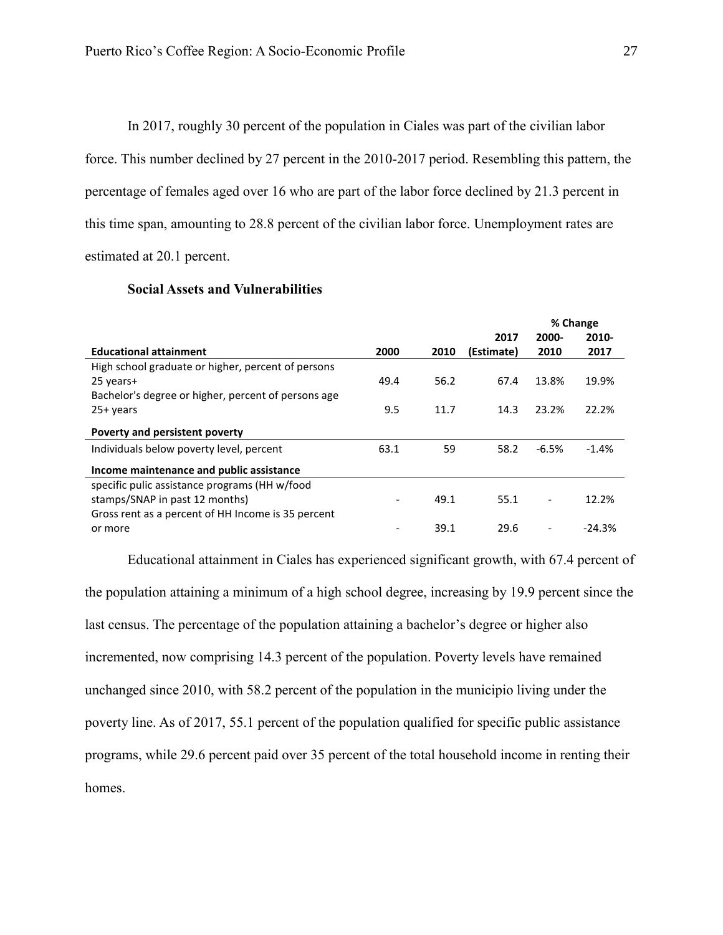<span id="page-27-1"></span>In 2017, roughly 30 percent of the population in Ciales was part of the civilian labor force. This number declined by 27 percent in the 2010-2017 period. Resembling this pattern, the percentage of females aged over 16 who are part of the labor force declined by 21.3 percent in this time span, amounting to 28.8 percent of the civilian labor force. Unemployment rates are estimated at 20.1 percent.

# **Social Assets and Vulnerabilities**

<span id="page-27-0"></span>

|                                                     |      |      |            | % Change                 |          |  |
|-----------------------------------------------------|------|------|------------|--------------------------|----------|--|
|                                                     |      |      | 2017       | 2000-                    | 2010-    |  |
| <b>Educational attainment</b>                       | 2000 | 2010 | (Estimate) | 2010                     | 2017     |  |
| High school graduate or higher, percent of persons  |      |      |            |                          |          |  |
| 25 years+                                           | 49.4 | 56.2 | 67.4       | 13.8%                    | 19.9%    |  |
| Bachelor's degree or higher, percent of persons age |      |      |            |                          |          |  |
| 25+ years                                           | 9.5  | 11.7 | 14.3       | 23.2%                    | 22.2%    |  |
| Poverty and persistent poverty                      |      |      |            |                          |          |  |
| Individuals below poverty level, percent            | 63.1 | 59   | 58.2       | $-6.5%$                  | $-1.4%$  |  |
| Income maintenance and public assistance            |      |      |            |                          |          |  |
| specific pulic assistance programs (HH w/food       |      |      |            |                          |          |  |
| stamps/SNAP in past 12 months)                      |      | 49.1 | 55.1       |                          | 12.2%    |  |
| Gross rent as a percent of HH Income is 35 percent  |      |      |            |                          |          |  |
| or more                                             |      | 39.1 | 29.6       | $\overline{\phantom{0}}$ | $-24.3%$ |  |

Educational attainment in Ciales has experienced significant growth, with 67.4 percent of the population attaining a minimum of a high school degree, increasing by 19.9 percent since the last census. The percentage of the population attaining a bachelor's degree or higher also incremented, now comprising 14.3 percent of the population. Poverty levels have remained unchanged since 2010, with 58.2 percent of the population in the municipio living under the poverty line. As of 2017, 55.1 percent of the population qualified for specific public assistance programs, while 29.6 percent paid over 35 percent of the total household income in renting their homes.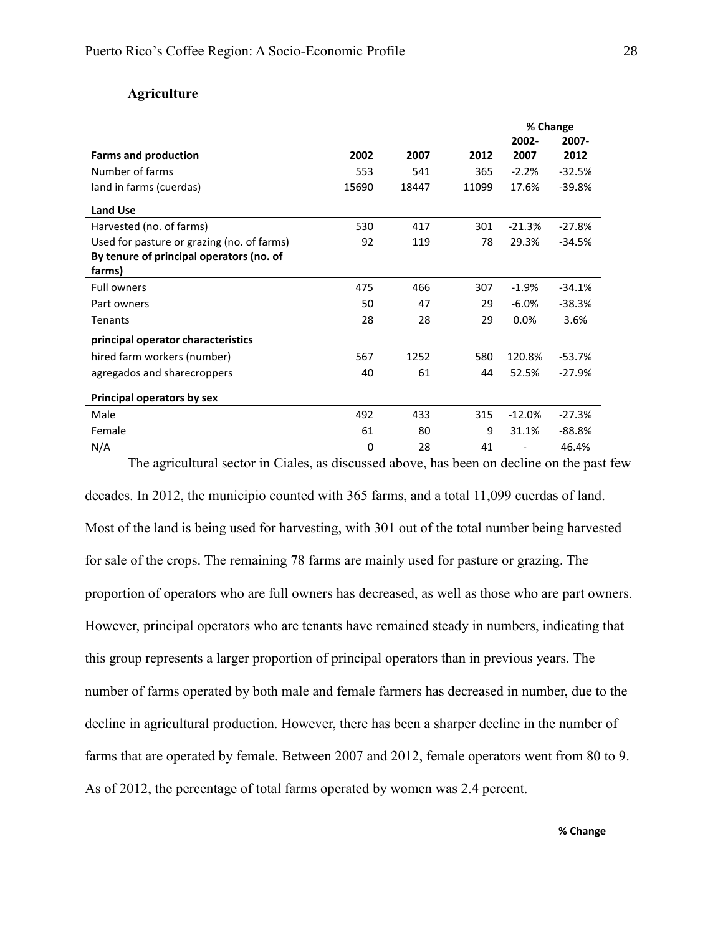# **Agriculture**

|                                                                                                                                                                                                                                                                                                                                                                                                                                                                                                                                                                                                                                                                                                     |      | 2002- | 2007-    |
|-----------------------------------------------------------------------------------------------------------------------------------------------------------------------------------------------------------------------------------------------------------------------------------------------------------------------------------------------------------------------------------------------------------------------------------------------------------------------------------------------------------------------------------------------------------------------------------------------------------------------------------------------------------------------------------------------------|------|-------|----------|
| % Change<br>2002<br>2007<br>2007<br>2012<br>553<br>541<br>365<br>$-2.2%$<br>15690<br>11099<br>17.6%<br>18447<br>530<br>417<br>301<br>$-21.3%$<br>Used for pasture or grazing (no. of farms)<br>92<br>119<br>78<br>29.3%<br>By tenure of principal operators (no. of<br>475<br>466<br>$-1.9%$<br>307<br>50<br>$-6.0%$<br>47<br>29<br>28<br>0.0%<br>28<br>29<br>principal operator characteristics<br>hired farm workers (number)<br>1252<br>580<br>567<br>120.8%<br>agregados and sharecroppers<br>40<br>61<br>52.5%<br>44<br>492<br>433<br>315<br>$-12.0%$<br>61<br>80<br>9<br>31.1%<br>0<br>28<br>41<br>The agricultural sector in Ciales, as discussed above, has been on decline on the past few | 2012 |       |          |
|                                                                                                                                                                                                                                                                                                                                                                                                                                                                                                                                                                                                                                                                                                     |      |       | $-32.5%$ |
|                                                                                                                                                                                                                                                                                                                                                                                                                                                                                                                                                                                                                                                                                                     |      |       | $-39.8%$ |
|                                                                                                                                                                                                                                                                                                                                                                                                                                                                                                                                                                                                                                                                                                     |      |       |          |
|                                                                                                                                                                                                                                                                                                                                                                                                                                                                                                                                                                                                                                                                                                     |      |       | $-27.8%$ |
|                                                                                                                                                                                                                                                                                                                                                                                                                                                                                                                                                                                                                                                                                                     |      |       | $-34.5%$ |
|                                                                                                                                                                                                                                                                                                                                                                                                                                                                                                                                                                                                                                                                                                     |      |       |          |
|                                                                                                                                                                                                                                                                                                                                                                                                                                                                                                                                                                                                                                                                                                     |      |       | $-34.1%$ |
|                                                                                                                                                                                                                                                                                                                                                                                                                                                                                                                                                                                                                                                                                                     |      |       | $-38.3%$ |
|                                                                                                                                                                                                                                                                                                                                                                                                                                                                                                                                                                                                                                                                                                     |      |       | 3.6%     |
|                                                                                                                                                                                                                                                                                                                                                                                                                                                                                                                                                                                                                                                                                                     |      |       |          |
|                                                                                                                                                                                                                                                                                                                                                                                                                                                                                                                                                                                                                                                                                                     |      |       | $-53.7%$ |
|                                                                                                                                                                                                                                                                                                                                                                                                                                                                                                                                                                                                                                                                                                     |      |       | $-27.9%$ |
|                                                                                                                                                                                                                                                                                                                                                                                                                                                                                                                                                                                                                                                                                                     |      |       |          |
|                                                                                                                                                                                                                                                                                                                                                                                                                                                                                                                                                                                                                                                                                                     |      |       | $-27.3%$ |
|                                                                                                                                                                                                                                                                                                                                                                                                                                                                                                                                                                                                                                                                                                     |      |       | $-88.8%$ |
|                                                                                                                                                                                                                                                                                                                                                                                                                                                                                                                                                                                                                                                                                                     |      |       | 46.4%    |
|                                                                                                                                                                                                                                                                                                                                                                                                                                                                                                                                                                                                                                                                                                     |      |       |          |

decades. In 2012, the municipio counted with 365 farms, and a total 11,099 cuerdas of land. Most of the land is being used for harvesting, with 301 out of the total number being harvested for sale of the crops. The remaining 78 farms are mainly used for pasture or grazing. The proportion of operators who are full owners has decreased, as well as those who are part owners. However, principal operators who are tenants have remained steady in numbers, indicating that this group represents a larger proportion of principal operators than in previous years. The number of farms operated by both male and female farmers has decreased in number, due to the decline in agricultural production. However, there has been a sharper decline in the number of farms that are operated by female. Between 2007 and 2012, female operators went from 80 to 9. As of 2012, the percentage of total farms operated by women was 2.4 percent.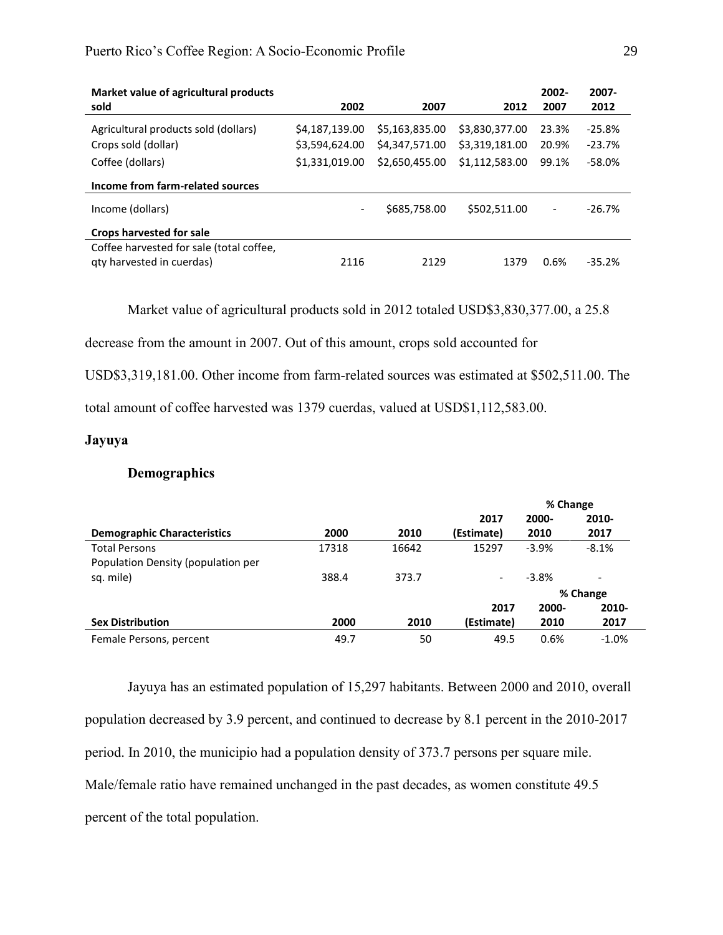| Market value of agricultural products    |                          |                |                | 2002-                    | 2007-    |
|------------------------------------------|--------------------------|----------------|----------------|--------------------------|----------|
| sold                                     | 2002                     | 2007           | 2012           | 2007                     | 2012     |
| Agricultural products sold (dollars)     | \$4,187,139.00           | \$5,163,835.00 | \$3,830,377.00 | 23.3%                    | $-25.8%$ |
| Crops sold (dollar)                      | \$3,594,624.00           | \$4,347,571.00 | \$3,319,181.00 | 20.9%                    | $-23.7%$ |
| Coffee (dollars)                         | \$1,331,019.00           | \$2,650,455.00 | \$1,112,583.00 | 99.1%                    | $-58.0%$ |
| Income from farm-related sources         |                          |                |                |                          |          |
| Income (dollars)                         | $\overline{\phantom{0}}$ | \$685,758.00   | \$502,511.00   | $\overline{\phantom{a}}$ | $-26.7%$ |
| <b>Crops harvested for sale</b>          |                          |                |                |                          |          |
| Coffee harvested for sale (total coffee, |                          |                |                |                          |          |
| qty harvested in cuerdas)                | 2116                     | 2129           | 1379           | 0.6%                     | $-35.2%$ |

Market value of agricultural products sold in 2012 totaled USD\$3,830,377.00, a 25.8

decrease from the amount in 2007. Out of this amount, crops sold accounted for

USD\$3,319,181.00. Other income from farm-related sources was estimated at \$502,511.00. The

total amount of coffee harvested was 1379 cuerdas, valued at USD\$1,112,583.00.

# <span id="page-29-1"></span><span id="page-29-0"></span>**Jayuya**

#### **Demographics**

|                                    |       |       |                          | % Change |          |  |
|------------------------------------|-------|-------|--------------------------|----------|----------|--|
|                                    |       |       | 2017                     | 2000-    | 2010-    |  |
| <b>Demographic Characteristics</b> | 2000  | 2010  | (Estimate)               | 2010     | 2017     |  |
| <b>Total Persons</b>               | 17318 | 16642 | 15297                    | $-3.9%$  | $-8.1%$  |  |
| Population Density (population per |       |       |                          |          |          |  |
| sq. mile)                          | 388.4 | 373.7 | $\overline{\phantom{0}}$ | $-3.8%$  | -        |  |
|                                    |       |       |                          |          | % Change |  |
|                                    |       |       | 2017                     | 2000-    | 2010-    |  |
| <b>Sex Distribution</b>            | 2000  | 2010  | (Estimate)               | 2010     | 2017     |  |
| Female Persons, percent            | 49.7  | 50    | 49.5                     | 0.6%     | $-1.0%$  |  |

Jayuya has an estimated population of 15,297 habitants. Between 2000 and 2010, overall population decreased by 3.9 percent, and continued to decrease by 8.1 percent in the 2010-2017 period. In 2010, the municipio had a population density of 373.7 persons per square mile. Male/female ratio have remained unchanged in the past decades, as women constitute 49.5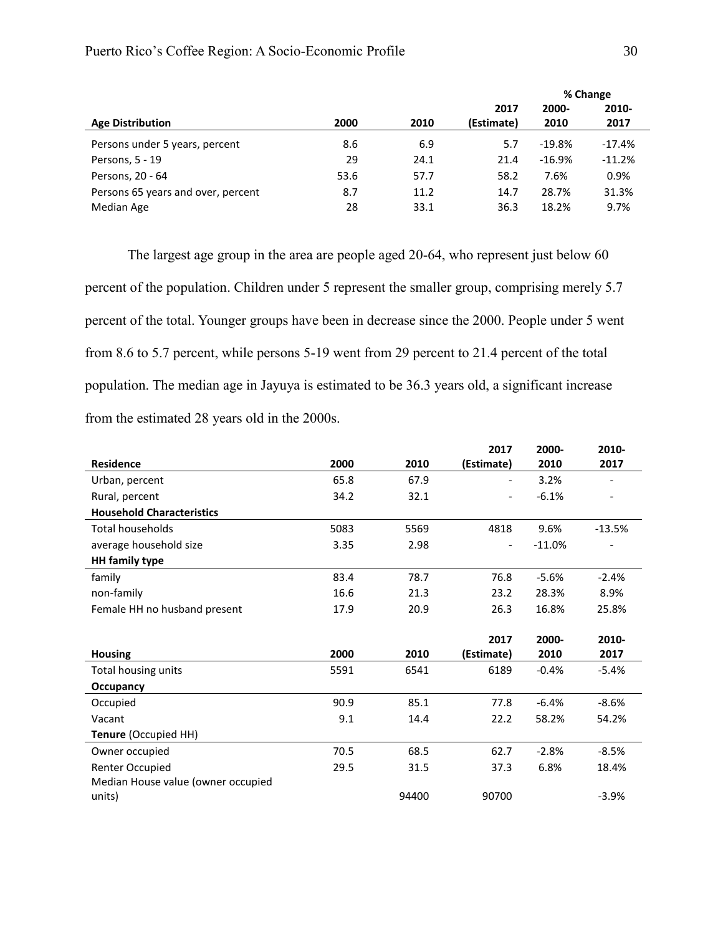|                                    |      |      |            | % Change |          |  |
|------------------------------------|------|------|------------|----------|----------|--|
|                                    |      |      | 2017       | 2000-    | 2010-    |  |
| <b>Age Distribution</b>            | 2000 | 2010 | (Estimate) | 2010     | 2017     |  |
| Persons under 5 years, percent     | 8.6  | 6.9  | 5.7        | $-19.8%$ | $-17.4%$ |  |
| Persons, 5 - 19                    | 29   | 24.1 | 21.4       | $-16.9%$ | $-11.2%$ |  |
| Persons, 20 - 64                   | 53.6 | 57.7 | 58.2       | 7.6%     | 0.9%     |  |
| Persons 65 years and over, percent | 8.7  | 11.2 | 14.7       | 28.7%    | 31.3%    |  |
| Median Age                         | 28   | 33.1 | 36.3       | 18.2%    | 9.7%     |  |

The largest age group in the area are people aged 20-64, who represent just below 60 percent of the population. Children under 5 represent the smaller group, comprising merely 5.7 percent of the total. Younger groups have been in decrease since the 2000. People under 5 went from 8.6 to 5.7 percent, while persons 5-19 went from 29 percent to 21.4 percent of the total population. The median age in Jayuya is estimated to be 36.3 years old, a significant increase from the estimated 28 years old in the 2000s.

|                                    |      |       | 2017       | 2000-    | 2010-    |
|------------------------------------|------|-------|------------|----------|----------|
| <b>Residence</b>                   | 2000 | 2010  | (Estimate) | 2010     | 2017     |
| Urban, percent                     | 65.8 | 67.9  |            | 3.2%     |          |
| Rural, percent                     | 34.2 | 32.1  |            | $-6.1%$  |          |
| <b>Household Characteristics</b>   |      |       |            |          |          |
| <b>Total households</b>            | 5083 | 5569  | 4818       | 9.6%     | $-13.5%$ |
| average household size             | 3.35 | 2.98  |            | $-11.0%$ |          |
| <b>HH</b> family type              |      |       |            |          |          |
| family                             | 83.4 | 78.7  | 76.8       | $-5.6%$  | $-2.4%$  |
| non-family                         | 16.6 | 21.3  | 23.2       | 28.3%    | 8.9%     |
| Female HH no husband present       | 17.9 | 20.9  | 26.3       | 16.8%    | 25.8%    |
|                                    |      |       |            |          |          |
|                                    |      |       | 2017       | 2000-    | 2010-    |
| <b>Housing</b>                     | 2000 | 2010  | (Estimate) | 2010     | 2017     |
| Total housing units                | 5591 | 6541  | 6189       | $-0.4%$  | $-5.4%$  |
| Occupancy                          |      |       |            |          |          |
| Occupied                           | 90.9 | 85.1  | 77.8       | $-6.4%$  | $-8.6%$  |
| Vacant                             | 9.1  | 14.4  | 22.2       | 58.2%    | 54.2%    |
| Tenure (Occupied HH)               |      |       |            |          |          |
| Owner occupied                     | 70.5 | 68.5  | 62.7       | $-2.8%$  | $-8.5%$  |
| Renter Occupied                    | 29.5 | 31.5  | 37.3       | 6.8%     | 18.4%    |
| Median House value (owner occupied |      |       |            |          |          |
| units)                             |      | 94400 | 90700      |          | $-3.9%$  |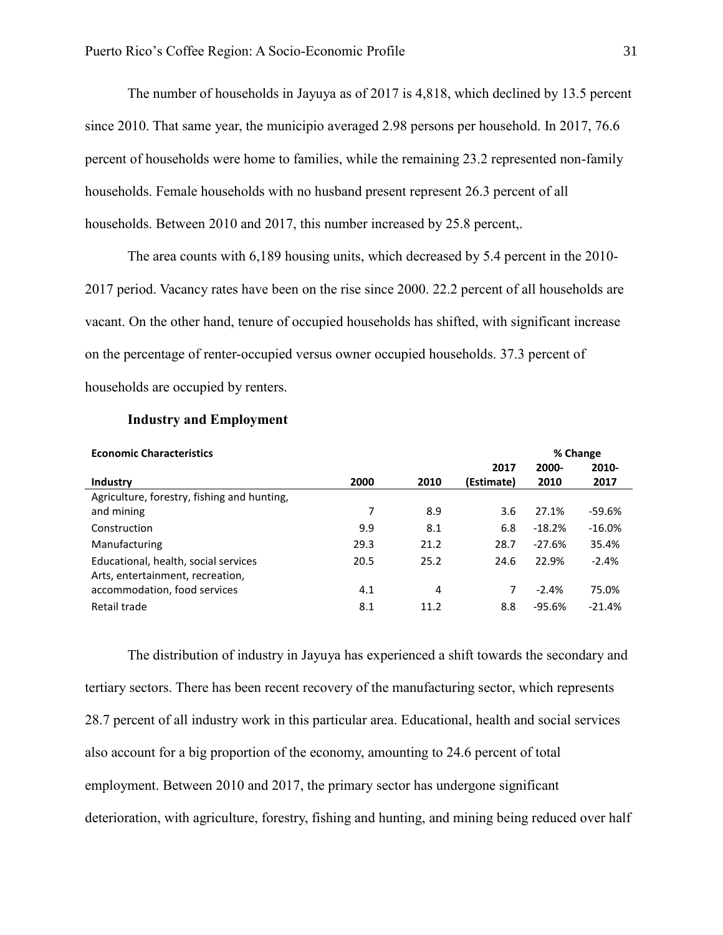The number of households in Jayuya as of 2017 is 4,818, which declined by 13.5 percent since 2010. That same year, the municipio averaged 2.98 persons per household. In 2017, 76.6 percent of households were home to families, while the remaining 23.2 represented non-family households. Female households with no husband present represent 26.3 percent of all households. Between 2010 and 2017, this number increased by 25.8 percent,.

The area counts with 6,189 housing units, which decreased by 5.4 percent in the 2010- 2017 period. Vacancy rates have been on the rise since 2000. 22.2 percent of all households are vacant. On the other hand, tenure of occupied households has shifted, with significant increase on the percentage of renter-occupied versus owner occupied households. 37.3 percent of households are occupied by renters.

<span id="page-31-0"></span>

| <b>Economic Characteristics</b>                                          |      |      |            |          | % Change |
|--------------------------------------------------------------------------|------|------|------------|----------|----------|
|                                                                          |      |      | 2017       | 2000-    | 2010-    |
| <b>Industry</b>                                                          | 2000 | 2010 | (Estimate) | 2010     | 2017     |
| Agriculture, forestry, fishing and hunting,                              |      |      |            |          |          |
| and mining                                                               | 7    | 8.9  | 3.6        | 27.1%    | $-59.6%$ |
| Construction                                                             | 9.9  | 8.1  | 6.8        | $-18.2%$ | $-16.0%$ |
| Manufacturing                                                            | 29.3 | 21.2 | 28.7       | $-27.6%$ | 35.4%    |
| Educational, health, social services<br>Arts, entertainment, recreation, | 20.5 | 25.2 | 24.6       | 22.9%    | $-2.4%$  |
| accommodation, food services                                             | 4.1  | 4    | 7          | $-2.4%$  | 75.0%    |
| Retail trade                                                             | 8.1  | 11.2 | 8.8        | $-95.6%$ | $-21.4%$ |

#### **Industry and Employment**

The distribution of industry in Jayuya has experienced a shift towards the secondary and tertiary sectors. There has been recent recovery of the manufacturing sector, which represents 28.7 percent of all industry work in this particular area. Educational, health and social services also account for a big proportion of the economy, amounting to 24.6 percent of total employment. Between 2010 and 2017, the primary sector has undergone significant deterioration, with agriculture, forestry, fishing and hunting, and mining being reduced over half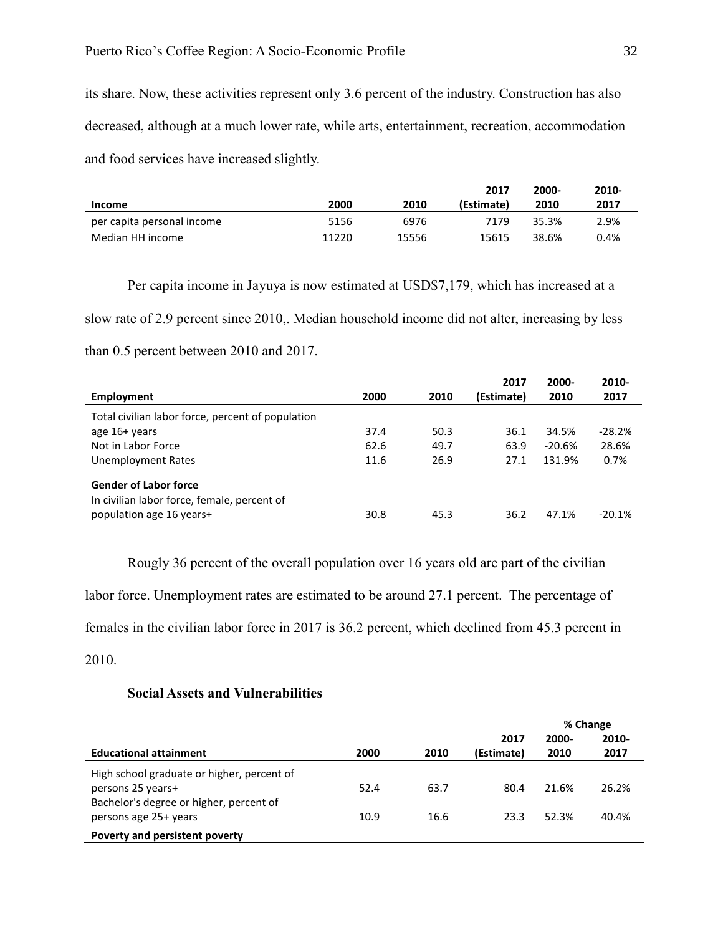its share. Now, these activities represent only 3.6 percent of the industry. Construction has also decreased, although at a much lower rate, while arts, entertainment, recreation, accommodation and food services have increased slightly.

|                            |       |       | 2017       | 2000- | 2010- |
|----------------------------|-------|-------|------------|-------|-------|
| <b>Income</b>              | 2000  | 2010  | (Estimate) | 2010  | 2017  |
| per capita personal income | 5156  | 6976  | 7179       | 35.3% | 2.9%  |
| Median HH income           | 11220 | 15556 | 15615      | 38.6% | 0.4%  |

Per capita income in Jayuya is now estimated at USD\$7,179, which has increased at a slow rate of 2.9 percent since 2010,. Median household income did not alter, increasing by less than 0.5 percent between 2010 and 2017.

|                                                   |      |      | 2017       | 2000-    | 2010-    |
|---------------------------------------------------|------|------|------------|----------|----------|
| Employment                                        | 2000 | 2010 | (Estimate) | 2010     | 2017     |
| Total civilian labor force, percent of population |      |      |            |          |          |
| age 16+ years                                     | 37.4 | 50.3 | 36.1       | 34.5%    | $-28.2%$ |
| Not in Labor Force                                | 62.6 | 49.7 | 63.9       | $-20.6%$ | 28.6%    |
| <b>Unemployment Rates</b>                         | 11.6 | 26.9 | 27.1       | 131.9%   | 0.7%     |
| <b>Gender of Labor force</b>                      |      |      |            |          |          |
| In civilian labor force, female, percent of       |      |      |            |          |          |
| population age 16 years+                          | 30.8 | 45.3 | 36.2       | 47.1%    | $-20.1%$ |

Rougly 36 percent of the overall population over 16 years old are part of the civilian

labor force. Unemployment rates are estimated to be around 27.1 percent. The percentage of

females in the civilian labor force in 2017 is 36.2 percent, which declined from 45.3 percent in

<span id="page-32-0"></span>2010.

#### **Social Assets and Vulnerabilities**

|                                            |      |      |            | % Change |          |
|--------------------------------------------|------|------|------------|----------|----------|
|                                            |      |      | 2017       | 2000-    | $2010 -$ |
| <b>Educational attainment</b>              | 2000 | 2010 | (Estimate) | 2010     | 2017     |
| High school graduate or higher, percent of |      |      |            |          |          |
| persons 25 years+                          | 52.4 | 63.7 | 80.4       | 21.6%    | 26.2%    |
| Bachelor's degree or higher, percent of    |      |      |            |          |          |
| persons age 25+ years                      | 10.9 | 16.6 | 23.3       | 52.3%    | 40.4%    |
| Poverty and persistent poverty             |      |      |            |          |          |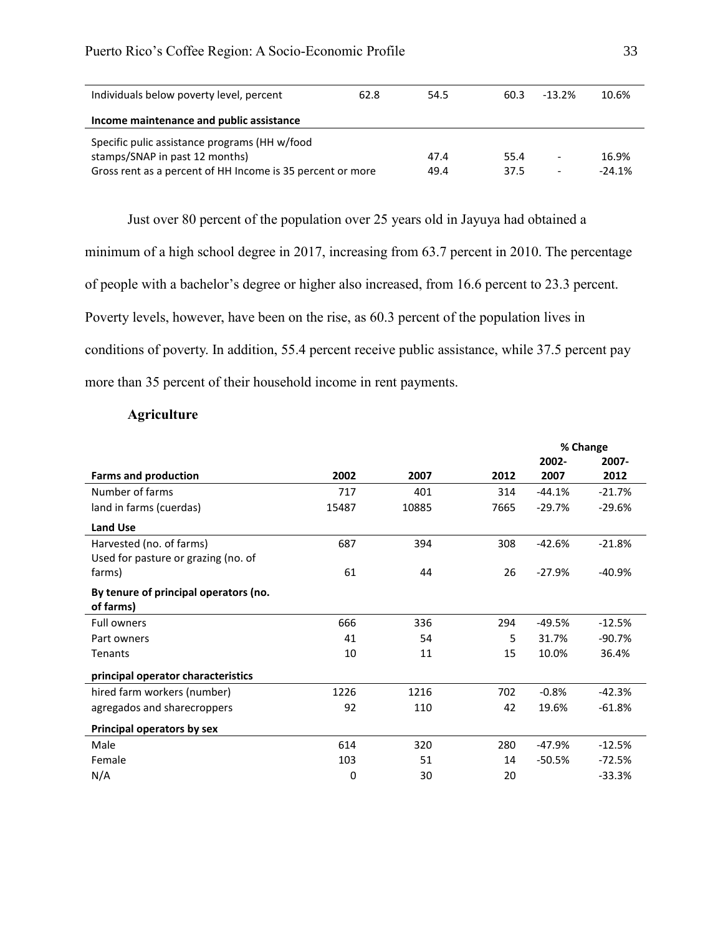| Individuals below poverty level, percent                   | 62.8 | 54.5 | 60.3 | $-13.2\%$ | 10.6%    |  |  |
|------------------------------------------------------------|------|------|------|-----------|----------|--|--|
| Income maintenance and public assistance                   |      |      |      |           |          |  |  |
| Specific pulic assistance programs (HH w/food              |      |      |      |           |          |  |  |
| stamps/SNAP in past 12 months)                             |      | 47.4 | 55.4 | ٠         | 16.9%    |  |  |
| Gross rent as a percent of HH Income is 35 percent or more |      | 49.4 | 37.5 |           | $-24.1%$ |  |  |

Just over 80 percent of the population over 25 years old in Jayuya had obtained a

minimum of a high school degree in 2017, increasing from 63.7 percent in 2010. The percentage

of people with a bachelor's degree or higher also increased, from 16.6 percent to 23.3 percent.

Poverty levels, however, have been on the rise, as 60.3 percent of the population lives in

conditions of poverty. In addition, 55.4 percent receive public assistance, while 37.5 percent pay

<span id="page-33-0"></span>more than 35 percent of their household income in rent payments.

## **Agriculture**

|                                       |       |       |      |          | % Change |
|---------------------------------------|-------|-------|------|----------|----------|
|                                       |       |       |      | 2002-    | 2007-    |
| <b>Farms and production</b>           | 2002  | 2007  | 2012 | 2007     | 2012     |
| Number of farms                       | 717   | 401   | 314  | $-44.1%$ | $-21.7%$ |
| land in farms (cuerdas)               | 15487 | 10885 | 7665 | $-29.7%$ | $-29.6%$ |
| <b>Land Use</b>                       |       |       |      |          |          |
| Harvested (no. of farms)              | 687   | 394   | 308  | $-42.6%$ | $-21.8%$ |
| Used for pasture or grazing (no. of   |       |       |      |          |          |
| farms)                                | 61    | 44    | 26   | $-27.9%$ | $-40.9%$ |
| By tenure of principal operators (no. |       |       |      |          |          |
| of farms)                             |       |       |      |          |          |
| <b>Full owners</b>                    | 666   | 336   | 294  | $-49.5%$ | $-12.5%$ |
| Part owners                           | 41    | 54    | 5    | 31.7%    | $-90.7%$ |
| Tenants                               | 10    | 11    | 15   | 10.0%    | 36.4%    |
| principal operator characteristics    |       |       |      |          |          |
| hired farm workers (number)           | 1226  | 1216  | 702  | $-0.8%$  | $-42.3%$ |
| agregados and sharecroppers           | 92    | 110   | 42   | 19.6%    | $-61.8%$ |
| Principal operators by sex            |       |       |      |          |          |
| Male                                  | 614   | 320   | 280  | $-47.9%$ | $-12.5%$ |
| Female                                | 103   | 51    | 14   | $-50.5%$ | $-72.5%$ |
| N/A                                   | 0     | 30    | 20   |          | $-33.3%$ |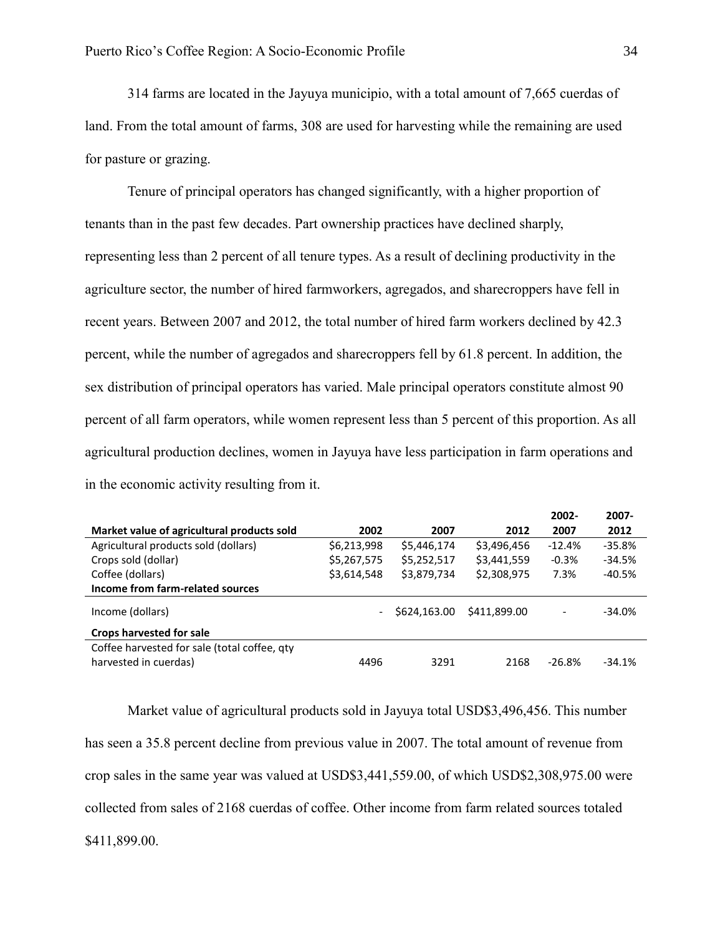314 farms are located in the Jayuya municipio, with a total amount of 7,665 cuerdas of land. From the total amount of farms, 308 are used for harvesting while the remaining are used for pasture or grazing.

Tenure of principal operators has changed significantly, with a higher proportion of tenants than in the past few decades. Part ownership practices have declined sharply, representing less than 2 percent of all tenure types. As a result of declining productivity in the agriculture sector, the number of hired farmworkers, agregados, and sharecroppers have fell in recent years. Between 2007 and 2012, the total number of hired farm workers declined by 42.3 percent, while the number of agregados and sharecroppers fell by 61.8 percent. In addition, the sex distribution of principal operators has varied. Male principal operators constitute almost 90 percent of all farm operators, while women represent less than 5 percent of this proportion. As all agricultural production declines, women in Jayuya have less participation in farm operations and in the economic activity resulting from it.

|                                                                       |                          |              |              | 2002-                    | 2007-    |
|-----------------------------------------------------------------------|--------------------------|--------------|--------------|--------------------------|----------|
| Market value of agricultural products sold                            | 2002                     | 2007         | 2012         | 2007                     | 2012     |
| Agricultural products sold (dollars)                                  | \$6,213,998              | \$5,446,174  | \$3,496,456  | $-12.4%$                 | $-35.8%$ |
| Crops sold (dollar)                                                   | \$5,267,575              | \$5,252,517  | \$3,441,559  | $-0.3%$                  | $-34.5%$ |
| Coffee (dollars)                                                      | \$3,614,548              | \$3,879,734  | \$2,308,975  | 7.3%                     | $-40.5%$ |
| Income from farm-related sources                                      |                          |              |              |                          |          |
| Income (dollars)                                                      | $\overline{\phantom{m}}$ | \$624,163.00 | \$411,899.00 | $\overline{\phantom{a}}$ | $-34.0%$ |
| Crops harvested for sale                                              |                          |              |              |                          |          |
| Coffee harvested for sale (total coffee, qty<br>harvested in cuerdas) | 4496                     | 3291         | 2168         | $-26.8%$                 | $-34.1%$ |

Market value of agricultural products sold in Jayuya total USD\$3,496,456. This number has seen a 35.8 percent decline from previous value in 2007. The total amount of revenue from crop sales in the same year was valued at USD\$3,441,559.00, of which USD\$2,308,975.00 were collected from sales of 2168 cuerdas of coffee. Other income from farm related sources totaled \$411,899.00.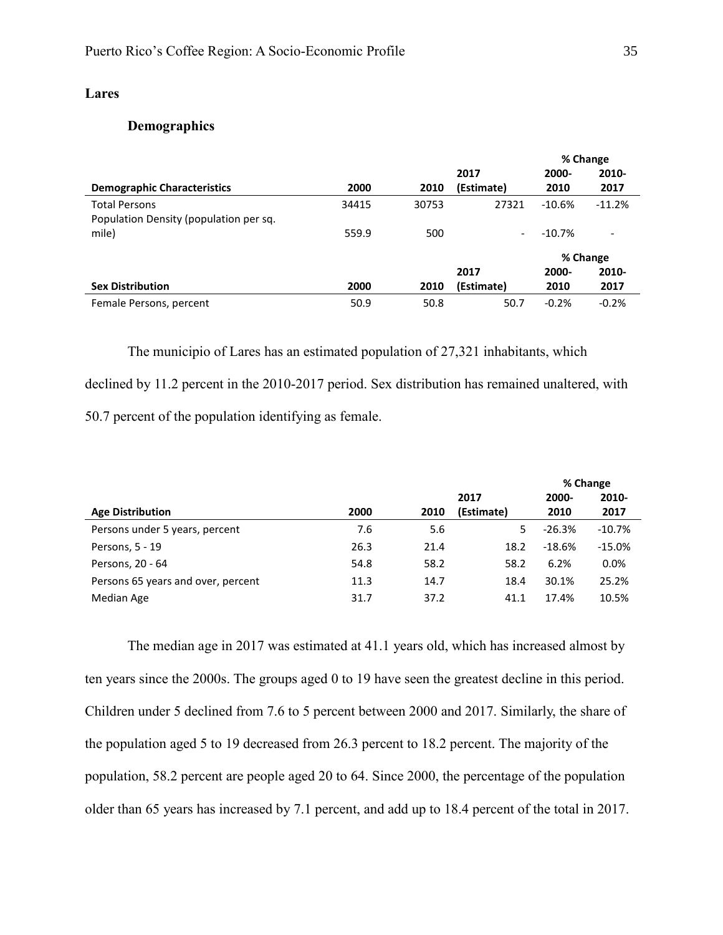# <span id="page-35-1"></span><span id="page-35-0"></span>**Lares**

# **Demographics**

|                                        |       |       |            |          | % Change |
|----------------------------------------|-------|-------|------------|----------|----------|
|                                        |       |       | 2017       | 2000-    | 2010-    |
| <b>Demographic Characteristics</b>     | 2000  | 2010  | (Estimate) | 2010     | 2017     |
| <b>Total Persons</b>                   | 34415 | 30753 | 27321      | $-10.6%$ | $-11.2%$ |
| Population Density (population per sq. |       |       |            |          |          |
| mile)                                  | 559.9 | 500   |            | $-10.7%$ |          |
|                                        |       |       |            |          | % Change |
|                                        |       |       | 2017       | 2000-    | 2010-    |
| <b>Sex Distribution</b>                | 2000  | 2010  | (Estimate) | 2010     | 2017     |
| Female Persons, percent                | 50.9  | 50.8  | 50.7       | $-0.2%$  | $-0.2%$  |

The municipio of Lares has an estimated population of 27,321 inhabitants, which declined by 11.2 percent in the 2010-2017 period. Sex distribution has remained unaltered, with 50.7 percent of the population identifying as female.

|                                    |      |      |            |          | % Change |
|------------------------------------|------|------|------------|----------|----------|
|                                    |      |      | 2017       | 2000-    | 2010-    |
| <b>Age Distribution</b>            | 2000 | 2010 | (Estimate) | 2010     | 2017     |
| Persons under 5 years, percent     | 7.6  | 5.6  | 5          | $-26.3%$ | $-10.7%$ |
| Persons, 5 - 19                    | 26.3 | 21.4 | 18.2       | $-18.6%$ | $-15.0%$ |
| Persons, 20 - 64                   | 54.8 | 58.2 | 58.2       | 6.2%     | $0.0\%$  |
| Persons 65 years and over, percent | 11.3 | 14.7 | 18.4       | 30.1%    | 25.2%    |
| Median Age                         | 31.7 | 37.2 | 41.1       | 17.4%    | 10.5%    |

The median age in 2017 was estimated at 41.1 years old, which has increased almost by ten years since the 2000s. The groups aged 0 to 19 have seen the greatest decline in this period. Children under 5 declined from 7.6 to 5 percent between 2000 and 2017. Similarly, the share of the population aged 5 to 19 decreased from 26.3 percent to 18.2 percent. The majority of the population, 58.2 percent are people aged 20 to 64. Since 2000, the percentage of the population older than 65 years has increased by 7.1 percent, and add up to 18.4 percent of the total in 2017.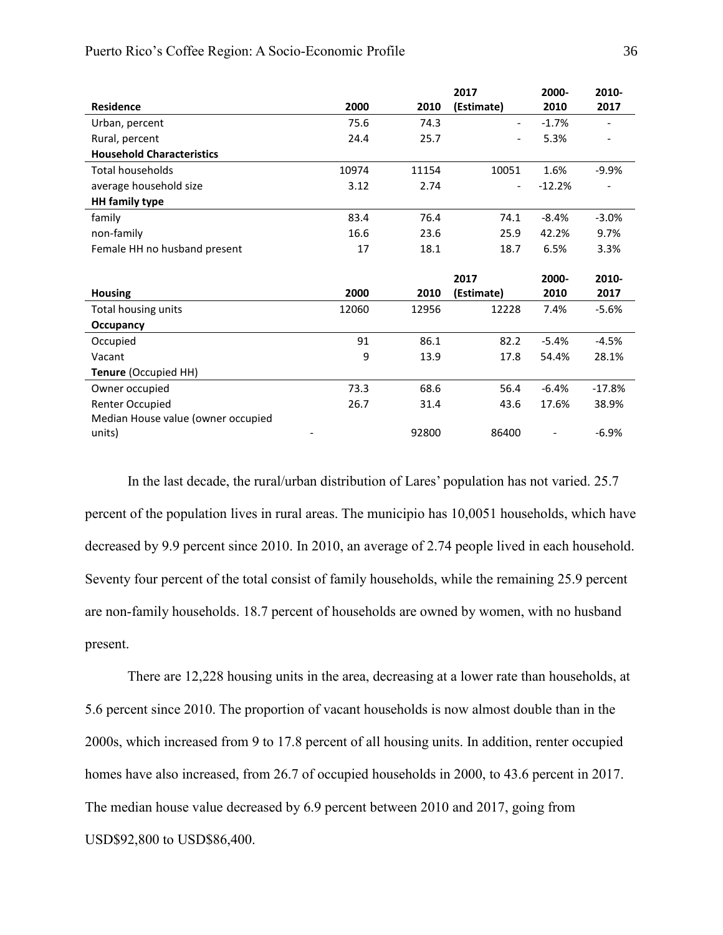|                                    |       |       | 2017           | 2000-    | 2010-    |
|------------------------------------|-------|-------|----------------|----------|----------|
| <b>Residence</b>                   | 2000  | 2010  | (Estimate)     | 2010     | 2017     |
| Urban, percent                     | 75.6  | 74.3  | $\blacksquare$ | $-1.7%$  |          |
| Rural, percent                     | 24.4  | 25.7  |                | 5.3%     |          |
| <b>Household Characteristics</b>   |       |       |                |          |          |
| <b>Total households</b>            | 10974 | 11154 | 10051          | 1.6%     | $-9.9%$  |
| average household size             | 3.12  | 2.74  |                | $-12.2%$ |          |
| <b>HH</b> family type              |       |       |                |          |          |
| family                             | 83.4  | 76.4  | 74.1           | $-8.4%$  | $-3.0%$  |
| non-family                         | 16.6  | 23.6  | 25.9           | 42.2%    | 9.7%     |
| Female HH no husband present       | 17    | 18.1  | 18.7           | 6.5%     | 3.3%     |
|                                    |       |       |                |          |          |
|                                    |       |       | 2017           | 2000-    | 2010-    |
| <b>Housing</b>                     | 2000  | 2010  | (Estimate)     | 2010     | 2017     |
| Total housing units                | 12060 | 12956 | 12228          | 7.4%     | $-5.6%$  |
| Occupancy                          |       |       |                |          |          |
| Occupied                           | 91    | 86.1  | 82.2           | $-5.4%$  | $-4.5%$  |
| Vacant                             | 9     | 13.9  | 17.8           | 54.4%    | 28.1%    |
| Tenure (Occupied HH)               |       |       |                |          |          |
| Owner occupied                     | 73.3  | 68.6  | 56.4           | $-6.4%$  | $-17.8%$ |
|                                    |       |       |                |          |          |
| Renter Occupied                    | 26.7  | 31.4  | 43.6           | 17.6%    | 38.9%    |
| Median House value (owner occupied |       |       |                |          |          |

In the last decade, the rural/urban distribution of Lares' population has not varied. 25.7 percent of the population lives in rural areas. The municipio has 10,0051 households, which have decreased by 9.9 percent since 2010. In 2010, an average of 2.74 people lived in each household. Seventy four percent of the total consist of family households, while the remaining 25.9 percent are non-family households. 18.7 percent of households are owned by women, with no husband present.

There are 12,228 housing units in the area, decreasing at a lower rate than households, at 5.6 percent since 2010. The proportion of vacant households is now almost double than in the 2000s, which increased from 9 to 17.8 percent of all housing units. In addition, renter occupied homes have also increased, from 26.7 of occupied households in 2000, to 43.6 percent in 2017. The median house value decreased by 6.9 percent between 2010 and 2017, going from USD\$92,800 to USD\$86,400.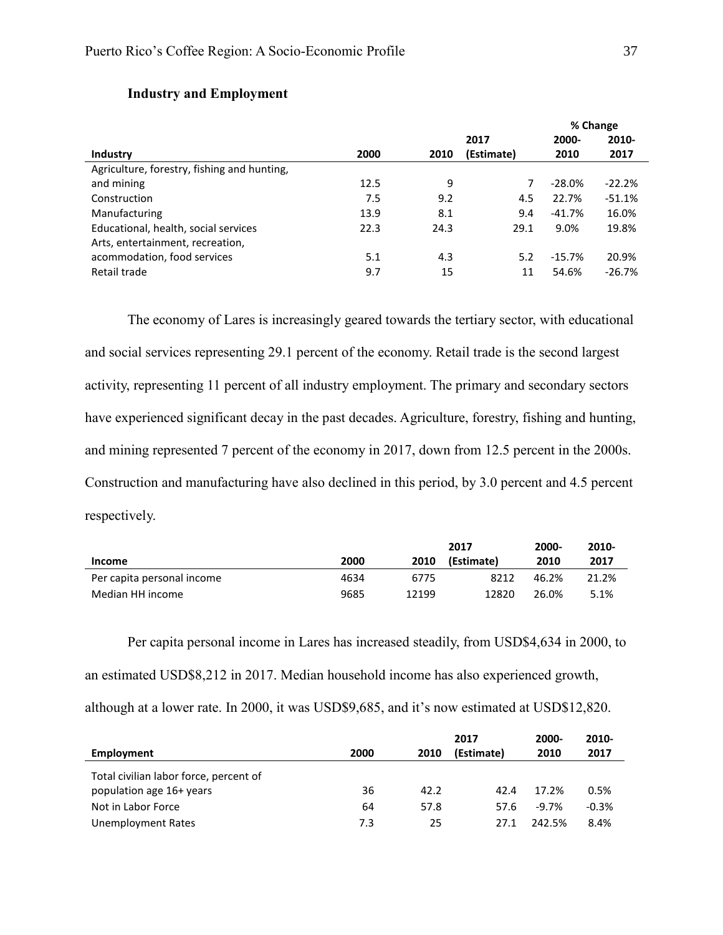|                                             |      |      |            | 70 Cridite |          |  |
|---------------------------------------------|------|------|------------|------------|----------|--|
|                                             |      |      | 2017       | 2000-      | 2010-    |  |
| <b>Industry</b>                             | 2000 | 2010 | (Estimate) | 2010       | 2017     |  |
| Agriculture, forestry, fishing and hunting, |      |      |            |            |          |  |
| and mining                                  | 12.5 | 9    |            | $-28.0\%$  | $-22.2%$ |  |
| Construction                                | 7.5  | 9.2  | 4.5        | 22.7%      | $-51.1%$ |  |
| Manufacturing                               | 13.9 | 8.1  | 9.4        | $-41.7%$   | 16.0%    |  |
| Educational, health, social services        | 22.3 | 24.3 | 29.1       | 9.0%       | 19.8%    |  |
| Arts, entertainment, recreation,            |      |      |            |            |          |  |
| acommodation, food services                 | 5.1  | 4.3  | 5.2        | $-15.7%$   | 20.9%    |  |
| Retail trade                                | 9.7  | 15   | 11         | 54.6%      | $-26.7%$ |  |

## **Industry and Employment**

The economy of Lares is increasingly geared towards the tertiary sector, with educational and social services representing 29.1 percent of the economy. Retail trade is the second largest activity, representing 11 percent of all industry employment. The primary and secondary sectors have experienced significant decay in the past decades. Agriculture, forestry, fishing and hunting, and mining represented 7 percent of the economy in 2017, down from 12.5 percent in the 2000s. Construction and manufacturing have also declined in this period, by 3.0 percent and 4.5 percent respectively.

|                            |      |       | 2017       | 2000- | 2010- |
|----------------------------|------|-------|------------|-------|-------|
| Income                     | 2000 | 2010  | (Estimate) | 2010  | 2017  |
| Per capita personal income | 4634 | 6775  | 8212       | 46.2% | 21.2% |
| Median HH income           | 9685 | 12199 | 12820      | 26.0% | 5.1%  |

Per capita personal income in Lares has increased steadily, from USD\$4,634 in 2000, to an estimated USD\$8,212 in 2017. Median household income has also experienced growth, although at a lower rate. In 2000, it was USD\$9,685, and it's now estimated at USD\$12,820.

| Employment                                                         | 2000 | 2010 | 2017<br>(Estimate) | 2000-<br>2010 | 2010-<br>2017 |
|--------------------------------------------------------------------|------|------|--------------------|---------------|---------------|
| Total civilian labor force, percent of<br>population age 16+ years | 36   | 42.2 | 42.4               | 17.2%         | 0.5%          |
| Not in Labor Force                                                 | 64   | 57.8 | 57.6               | $-9.7\%$      | $-0.3%$       |
| Unemployment Rates                                                 | 7.3  | 25   | 27 1               | 242.5%        | 8.4%          |

**% Change**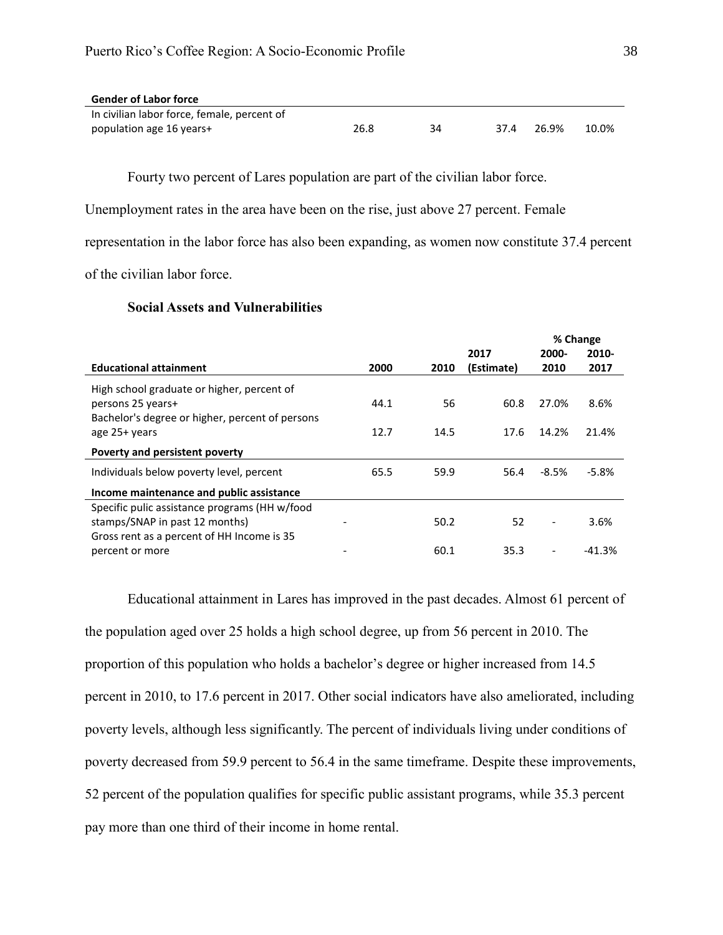| <b>Gender of Labor force</b>                |      |    |      |       |       |
|---------------------------------------------|------|----|------|-------|-------|
| In civilian labor force, female, percent of |      |    |      |       |       |
| population age 16 years+                    | 26.8 | 34 | 37 4 | 26.9% | 10.0% |

Fourty two percent of Lares population are part of the civilian labor force.

Unemployment rates in the area have been on the rise, just above 27 percent. Female

representation in the labor force has also been expanding, as women now constitute 37.4 percent

of the civilian labor force.

## **Social Assets and Vulnerabilities**

|                                                 |      |      |            |                              | % Change |
|-------------------------------------------------|------|------|------------|------------------------------|----------|
|                                                 |      |      | 2017       | 2000-                        | 2010-    |
| <b>Educational attainment</b>                   | 2000 | 2010 | (Estimate) | 2010                         | 2017     |
| High school graduate or higher, percent of      |      |      |            |                              |          |
| persons 25 years+                               | 44.1 | 56   | 60.8       | 27.0%                        | 8.6%     |
| Bachelor's degree or higher, percent of persons |      |      |            |                              |          |
| age 25+ years                                   | 12.7 | 14.5 | 17.6       | 14.2%                        | 21.4%    |
| Poverty and persistent poverty                  |      |      |            |                              |          |
| Individuals below poverty level, percent        | 65.5 | 59.9 | 56.4       | -8.5%                        | $-5.8%$  |
| Income maintenance and public assistance        |      |      |            |                              |          |
| Specific pulic assistance programs (HH w/food   |      |      |            |                              |          |
| stamps/SNAP in past 12 months)                  |      | 50.2 | 52         | $\overline{\phantom{a}}$     | 3.6%     |
| Gross rent as a percent of HH Income is 35      |      |      |            |                              |          |
| percent or more                                 |      | 60.1 | 35.3       | $\qquad \qquad \blacksquare$ | $-41.3%$ |

Educational attainment in Lares has improved in the past decades. Almost 61 percent of the population aged over 25 holds a high school degree, up from 56 percent in 2010. The proportion of this population who holds a bachelor's degree or higher increased from 14.5 percent in 2010, to 17.6 percent in 2017. Other social indicators have also ameliorated, including poverty levels, although less significantly. The percent of individuals living under conditions of poverty decreased from 59.9 percent to 56.4 in the same timeframe. Despite these improvements, 52 percent of the population qualifies for specific public assistant programs, while 35.3 percent pay more than one third of their income in home rental.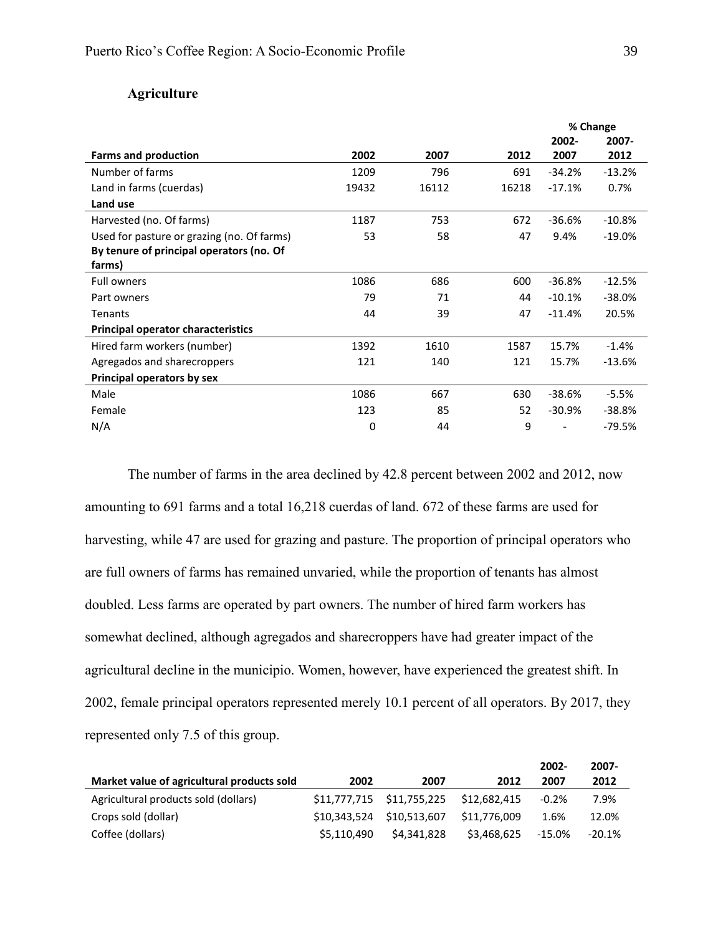## **Agriculture**

|                                                    |       |       |       |          | % Change |
|----------------------------------------------------|-------|-------|-------|----------|----------|
|                                                    |       |       |       | 2002-    | 2007-    |
| <b>Farms and production</b>                        | 2002  | 2007  | 2012  | 2007     | 2012     |
| Number of farms                                    | 1209  | 796   | 691   | $-34.2%$ | $-13.2%$ |
| Land in farms (cuerdas)                            | 19432 | 16112 | 16218 | $-17.1%$ | 0.7%     |
| Land use                                           |       |       |       |          |          |
| Harvested (no. Of farms)                           | 1187  | 753   | 672   | -36.6%   | $-10.8%$ |
| Used for pasture or grazing (no. Of farms)         | 53    | 58    | 47    | 9.4%     | $-19.0%$ |
| By tenure of principal operators (no. Of<br>farms) |       |       |       |          |          |
| <b>Full owners</b>                                 | 1086  | 686   | 600   | $-36.8%$ | $-12.5%$ |
| Part owners                                        | 79    | 71    | 44    | $-10.1%$ | $-38.0%$ |
| <b>Tenants</b>                                     | 44    | 39    | 47    | $-11.4%$ | 20.5%    |
| <b>Principal operator characteristics</b>          |       |       |       |          |          |
| Hired farm workers (number)                        | 1392  | 1610  | 1587  | 15.7%    | $-1.4%$  |
| Agregados and sharecroppers                        | 121   | 140   | 121   | 15.7%    | $-13.6%$ |
| Principal operators by sex                         |       |       |       |          |          |
| Male                                               | 1086  | 667   | 630   | $-38.6%$ | $-5.5%$  |
| Female                                             | 123   | 85    | 52    | $-30.9%$ | -38.8%   |
| N/A                                                | 0     | 44    | 9     |          | $-79.5%$ |
|                                                    |       |       |       |          |          |

The number of farms in the area declined by 42.8 percent between 2002 and 2012, now amounting to 691 farms and a total 16,218 cuerdas of land. 672 of these farms are used for harvesting, while 47 are used for grazing and pasture. The proportion of principal operators who are full owners of farms has remained unvaried, while the proportion of tenants has almost doubled. Less farms are operated by part owners. The number of hired farm workers has somewhat declined, although agregados and sharecroppers have had greater impact of the agricultural decline in the municipio. Women, however, have experienced the greatest shift. In 2002, female principal operators represented merely 10.1 percent of all operators. By 2017, they represented only 7.5 of this group.

|                                            |              |                           |              | $2002 -$  | 2007-    |
|--------------------------------------------|--------------|---------------------------|--------------|-----------|----------|
| Market value of agricultural products sold | 2002         | 2007                      | 2012         | 2007      | 2012     |
| Agricultural products sold (dollars)       |              | \$11,777,715 \$11,755,225 | \$12.682.415 | $-0.2%$   | 7.9%     |
| Crops sold (dollar)                        | \$10,343,524 | \$10,513,607              | \$11,776,009 | 1.6%      | 12.0%    |
| Coffee (dollars)                           | \$5,110,490  | \$4,341,828               | \$3,468,625  | $-15.0\%$ | $-20.1%$ |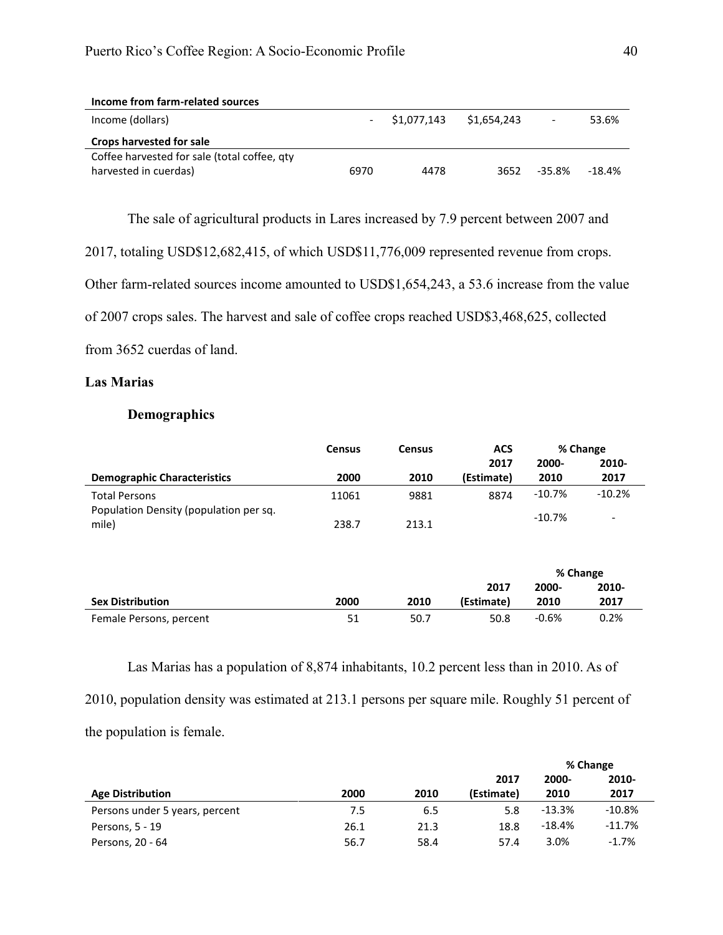| Income from farm-related sources             |      |             |             |                          |          |
|----------------------------------------------|------|-------------|-------------|--------------------------|----------|
| Income (dollars)                             |      | \$1,077,143 | \$1,654,243 | $\overline{\phantom{a}}$ | 53.6%    |
| <b>Crops harvested for sale</b>              |      |             |             |                          |          |
| Coffee harvested for sale (total coffee, gty |      |             |             |                          |          |
| harvested in cuerdas)                        | 6970 | 4478        | 3652        | $-35.8\%$                | $-18.4%$ |

The sale of agricultural products in Lares increased by 7.9 percent between 2007 and

2017, totaling USD\$12,682,415, of which USD\$11,776,009 represented revenue from crops.

Other farm-related sources income amounted to USD\$1,654,243, a 53.6 increase from the value

of 2007 crops sales. The harvest and sale of coffee crops reached USD\$3,468,625, collected

from 3652 cuerdas of land.

## **Las Marias**

## **Demographics**

|                                                 | <b>Census</b> | <b>Census</b> | <b>ACS</b> |                   | % Change                 |
|-------------------------------------------------|---------------|---------------|------------|-------------------|--------------------------|
|                                                 |               |               | 2017       | 2000-             | 2010-                    |
| <b>Demographic Characteristics</b>              | 2000          | 2010          | (Estimate) | 2010              | 2017                     |
| <b>Total Persons</b>                            | 11061         | 9881          | 8874       | $-10.7\%$         | $-10.2%$                 |
| Population Density (population per sq.<br>mile) | 238.7         | 213.1         |            | $-10.7%$          | $\overline{\phantom{a}}$ |
|                                                 |               |               | 2017       | % Change<br>2000- | 2010-                    |
| <b>Sex Distribution</b>                         | 2000          | 2010          | (Estimate) | 2010              | 2017                     |

Las Marias has a population of 8,874 inhabitants, 10.2 percent less than in 2010. As of 2010, population density was estimated at 213.1 persons per square mile. Roughly 51 percent of the population is female.

Female Persons, percent 61 50.7 50.7 50.8 50.8 50.8 50.8 50.2%

|                                |      |      |            | % Change |          |  |
|--------------------------------|------|------|------------|----------|----------|--|
|                                |      |      | 2017       | 2000-    | 2010-    |  |
| <b>Age Distribution</b>        | 2000 | 2010 | (Estimate) | 2010     | 2017     |  |
| Persons under 5 years, percent | 7.5  | 6.5  | 5.8        | -13.3%   | $-10.8%$ |  |
| Persons, 5 - 19                | 26.1 | 21.3 | 18.8       | -18.4%   | $-11.7%$ |  |
| Persons, 20 - 64               | 56.7 | 58.4 | 57.4       | 3.0%     | $-1.7%$  |  |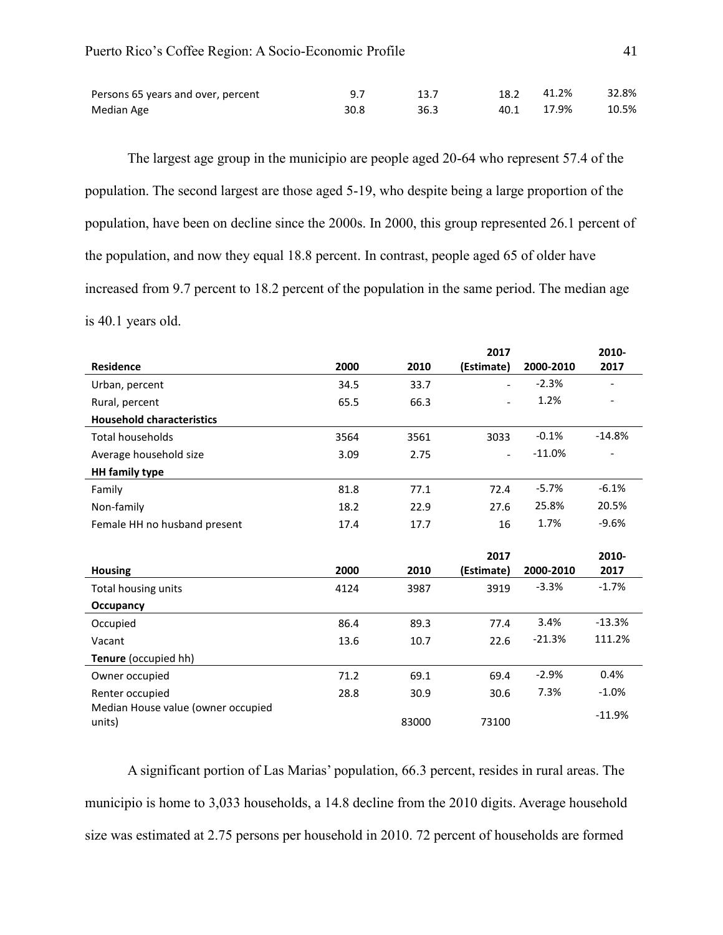| Persons 65 years and over, percent |      | 13.7 | 18.2 41.2% | 32.8% |
|------------------------------------|------|------|------------|-------|
| Median Age                         | 30.8 | 36.3 | 40.1 17.9% | 10.5% |

The largest age group in the municipio are people aged 20-64 who represent 57.4 of the population. The second largest are those aged 5-19, who despite being a large proportion of the population, have been on decline since the 2000s. In 2000, this group represented 26.1 percent of the population, and now they equal 18.8 percent. In contrast, people aged 65 of older have increased from 9.7 percent to 18.2 percent of the population in the same period. The median age is 40.1 years old.

|                                              |      |       | 2017       |           | 2010-                    |
|----------------------------------------------|------|-------|------------|-----------|--------------------------|
| <b>Residence</b>                             | 2000 | 2010  | (Estimate) | 2000-2010 | 2017                     |
| Urban, percent                               | 34.5 | 33.7  |            | $-2.3%$   |                          |
| Rural, percent                               | 65.5 | 66.3  |            | 1.2%      | $\qquad \qquad -$        |
| <b>Household characteristics</b>             |      |       |            |           |                          |
| <b>Total households</b>                      | 3564 | 3561  | 3033       | $-0.1%$   | $-14.8%$                 |
| Average household size                       | 3.09 | 2.75  |            | $-11.0%$  | $\overline{\phantom{0}}$ |
| <b>HH</b> family type                        |      |       |            |           |                          |
| Family                                       | 81.8 | 77.1  | 72.4       | $-5.7%$   | $-6.1%$                  |
| Non-family                                   | 18.2 | 22.9  | 27.6       | 25.8%     | 20.5%                    |
| Female HH no husband present                 | 17.4 | 17.7  | 16         | 1.7%      | $-9.6%$                  |
|                                              |      |       |            |           |                          |
|                                              |      |       | 2017       |           | 2010-                    |
| <b>Housing</b>                               | 2000 | 2010  | (Estimate) | 2000-2010 | 2017                     |
| Total housing units                          | 4124 | 3987  | 3919       | $-3.3%$   | $-1.7%$                  |
| Occupancy                                    |      |       |            |           |                          |
| Occupied                                     | 86.4 | 89.3  | 77.4       | 3.4%      | $-13.3%$                 |
| Vacant                                       | 13.6 | 10.7  | 22.6       | $-21.3%$  | 111.2%                   |
| Tenure (occupied hh)                         |      |       |            |           |                          |
| Owner occupied                               | 71.2 | 69.1  | 69.4       | $-2.9%$   | 0.4%                     |
| Renter occupied                              | 28.8 | 30.9  | 30.6       | 7.3%      | $-1.0%$                  |
| Median House value (owner occupied<br>units) |      | 83000 | 73100      |           | $-11.9%$                 |

A significant portion of Las Marias' population, 66.3 percent, resides in rural areas. The municipio is home to 3,033 households, a 14.8 decline from the 2010 digits. Average household size was estimated at 2.75 persons per household in 2010. 72 percent of households are formed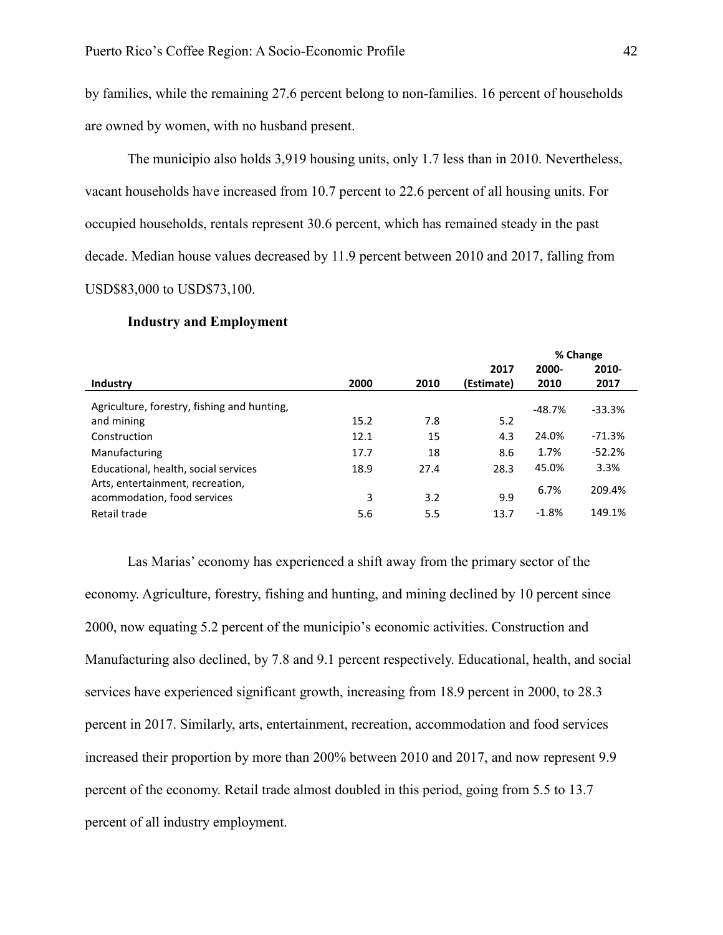by families, while the remaining 27.6 percent belong to non-families. 16 percent of households are owned by women, with no husband present.

The municipio also holds 3,919 housing units, only 1.7 less than in 2010. Nevertheless, vacant households have increased from 10.7 percent to 22.6 percent of all housing units. For occupied households, rentals represent 30.6 percent, which has remained steady in the past decade. Median house values decreased by 11.9 percent between 2010 and 2017, falling from USD\$83,000 to USD\$73,100.

|                                             |      |      |            | % Change  |          |  |
|---------------------------------------------|------|------|------------|-----------|----------|--|
|                                             |      |      | 2017       | 2000-     | $2010 -$ |  |
| <b>Industry</b>                             | 2000 | 2010 | (Estimate) | 2010      | 2017     |  |
| Agriculture, forestry, fishing and hunting, |      |      |            | $-48.7\%$ | $-33.3%$ |  |
| and mining                                  | 15.2 | 7.8  | 5.2        |           |          |  |
| Construction                                | 12.1 | 15   | 4.3        | 24.0%     | $-71.3%$ |  |
| Manufacturing                               | 17.7 | 18   | 8.6        | 1.7%      | $-52.2%$ |  |
| Educational, health, social services        | 18.9 | 27.4 | 28.3       | 45.0%     | 3.3%     |  |
| Arts, entertainment, recreation,            |      | 3.2  | 9.9        | 6.7%      | 209.4%   |  |
| acommodation, food services                 | 3    |      |            |           |          |  |
| Retail trade                                | 5.6  | 5.5  | 13.7       | $-1.8%$   | 149.1%   |  |

#### **Industry and Employment**

Las Marias' economy has experienced a shift away from the primary sector of the economy. Agriculture, forestry, fishing and hunting, and mining declined by 10 percent since 2000, now equating 5.2 percent of the municipio's economic activities. Construction and Manufacturing also declined, by 7.8 and 9.1 percent respectively. Educational, health, and social services have experienced significant growth, increasing from 18.9 percent in 2000, to 28.3 percent in 2017. Similarly, arts, entertainment, recreation, accommodation and food services increased their proportion by more than 200% between 2010 and 2017, and now represent 9.9 percent of the economy. Retail trade almost doubled in this period, going from 5.5 to 13.7 percent of all industry employment.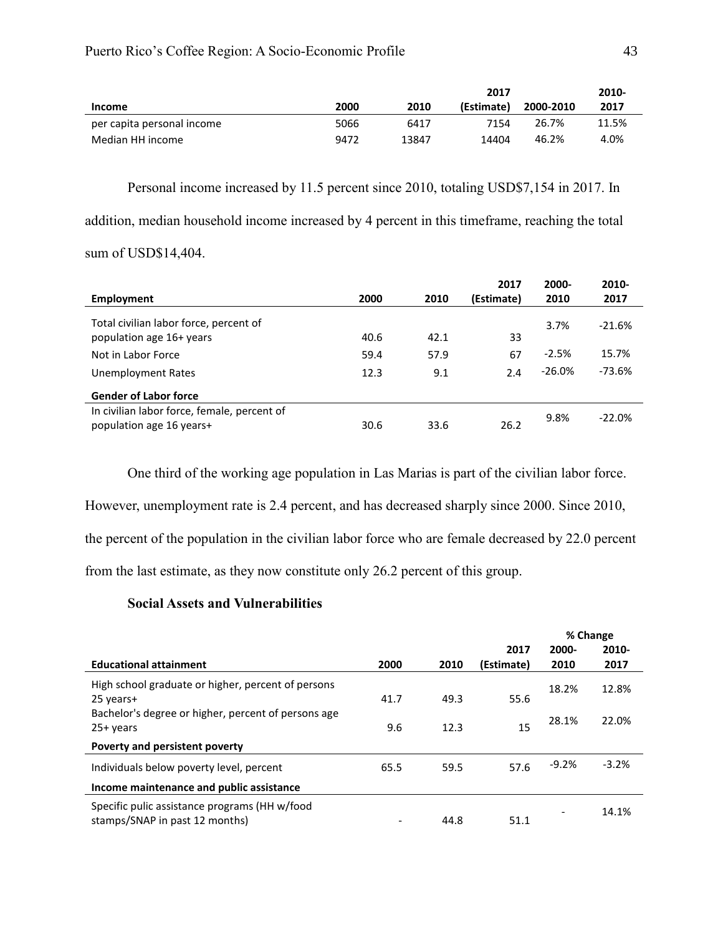|                            |      |       | 2017       |           | 2010- |
|----------------------------|------|-------|------------|-----------|-------|
| <b>Income</b>              | 2000 | 2010  | (Estimate) | 2000-2010 | 2017  |
| per capita personal income | 5066 | 6417  | 7154       | 26.7%     | 11.5% |
| Median HH income           | 9472 | 13847 | 14404      | 46.2%     | 4.0%  |

Personal income increased by 11.5 percent since 2010, totaling USD\$7,154 in 2017. In addition, median household income increased by 4 percent in this timeframe, reaching the total sum of USD\$14,404.

|                                             |      |      | 2017       | 2000-     | 2010-    |
|---------------------------------------------|------|------|------------|-----------|----------|
| Employment                                  | 2000 | 2010 | (Estimate) | 2010      | 2017     |
| Total civilian labor force, percent of      |      |      |            | 3.7%      | $-21.6%$ |
| population age 16+ years                    | 40.6 | 42.1 | 33         |           |          |
| Not in Labor Force                          | 59.4 | 57.9 | 67         | $-2.5%$   | 15.7%    |
| Unemployment Rates                          | 12.3 | 9.1  | 2.4        | $-26.0\%$ | $-73.6%$ |
| <b>Gender of Labor force</b>                |      |      |            |           |          |
| In civilian labor force, female, percent of |      |      |            | 9.8%      | $-22.0%$ |
| population age 16 years+                    | 30.6 | 33.6 | 26.2       |           |          |

One third of the working age population in Las Marias is part of the civilian labor force. However, unemployment rate is 2.4 percent, and has decreased sharply since 2000. Since 2010, the percent of the population in the civilian labor force who are female decreased by 22.0 percent from the last estimate, as they now constitute only 26.2 percent of this group.

## **Social Assets and Vulnerabilities**

|                                                                                 |      |      |            |         | % Change |
|---------------------------------------------------------------------------------|------|------|------------|---------|----------|
|                                                                                 |      |      | 2017       | 2000-   | $2010 -$ |
| <b>Educational attainment</b>                                                   | 2000 | 2010 | (Estimate) | 2010    | 2017     |
| High school graduate or higher, percent of persons<br>25 years+                 | 41.7 | 49.3 | 55.6       | 18.2%   | 12.8%    |
| Bachelor's degree or higher, percent of persons age<br>$25+years$               | 9.6  | 12.3 | 15         | 28.1%   | 22.0%    |
| Poverty and persistent poverty                                                  |      |      |            |         |          |
| Individuals below poverty level, percent                                        | 65.5 | 59.5 | 57.6       | $-9.2%$ | $-3.2%$  |
| Income maintenance and public assistance                                        |      |      |            |         |          |
| Specific pulic assistance programs (HH w/food<br>stamps/SNAP in past 12 months) |      | 44.8 | 51.1       |         | 14.1%    |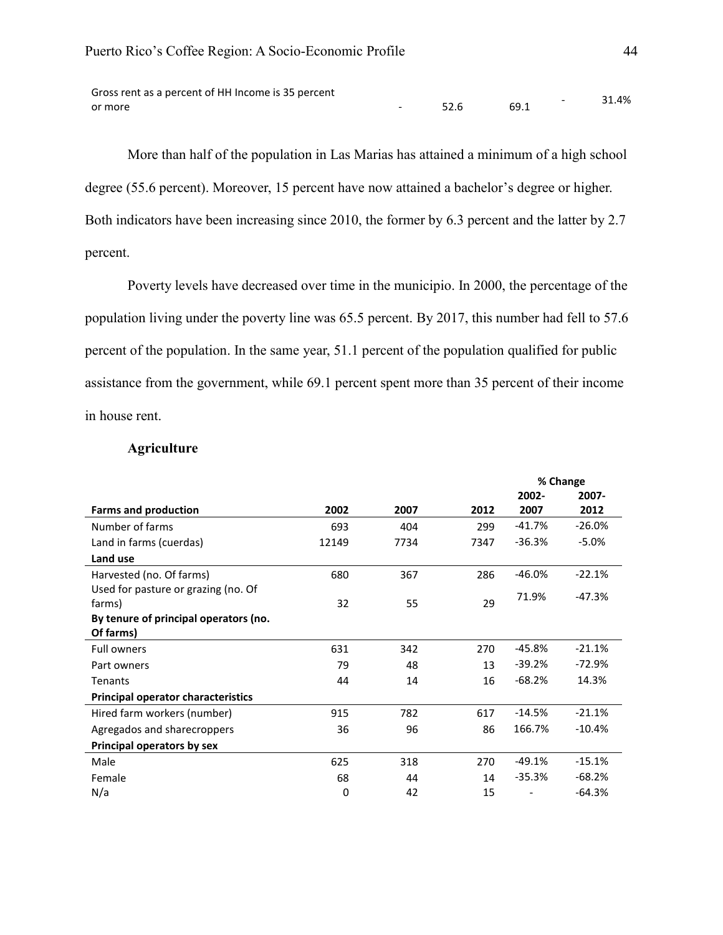| Gross rent as a percent of HH Income is 35 percent |      |        | 31.4% |
|----------------------------------------------------|------|--------|-------|
| or more                                            | 52.6 | - 69.1 |       |

More than half of the population in Las Marias has attained a minimum of a high school degree (55.6 percent). Moreover, 15 percent have now attained a bachelor's degree or higher. Both indicators have been increasing since 2010, the former by 6.3 percent and the latter by 2.7 percent.

Poverty levels have decreased over time in the municipio. In 2000, the percentage of the population living under the poverty line was 65.5 percent. By 2017, this number had fell to 57.6 percent of the population. In the same year, 51.1 percent of the population qualified for public assistance from the government, while 69.1 percent spent more than 35 percent of their income in house rent.

## **Agriculture**

|                                           |       |      |      |          | % Change |
|-------------------------------------------|-------|------|------|----------|----------|
|                                           |       |      |      | 2002-    | 2007-    |
| <b>Farms and production</b>               | 2002  | 2007 | 2012 | 2007     | 2012     |
| Number of farms                           | 693   | 404  | 299  | $-41.7%$ | $-26.0%$ |
| Land in farms (cuerdas)                   | 12149 | 7734 | 7347 | $-36.3%$ | $-5.0%$  |
| Land use                                  |       |      |      |          |          |
| Harvested (no. Of farms)                  | 680   | 367  | 286  | $-46.0%$ | $-22.1%$ |
| Used for pasture or grazing (no. Of       |       |      |      | 71.9%    | $-47.3%$ |
| farms)                                    | 32    | 55   | 29   |          |          |
| By tenure of principal operators (no.     |       |      |      |          |          |
| Of farms)                                 |       |      |      |          |          |
| <b>Full owners</b>                        | 631   | 342  | 270  | $-45.8%$ | $-21.1%$ |
| Part owners                               | 79    | 48   | 13   | $-39.2%$ | $-72.9%$ |
| Tenants                                   | 44    | 14   | 16   | $-68.2%$ | 14.3%    |
| <b>Principal operator characteristics</b> |       |      |      |          |          |
| Hired farm workers (number)               | 915   | 782  | 617  | $-14.5%$ | $-21.1%$ |
| Agregados and sharecroppers               | 36    | 96   | 86   | 166.7%   | $-10.4%$ |
| Principal operators by sex                |       |      |      |          |          |
| Male                                      | 625   | 318  | 270  | $-49.1%$ | $-15.1%$ |
| Female                                    | 68    | 44   | 14   | $-35.3%$ | $-68.2%$ |
| N/a                                       | 0     | 42   | 15   |          | $-64.3%$ |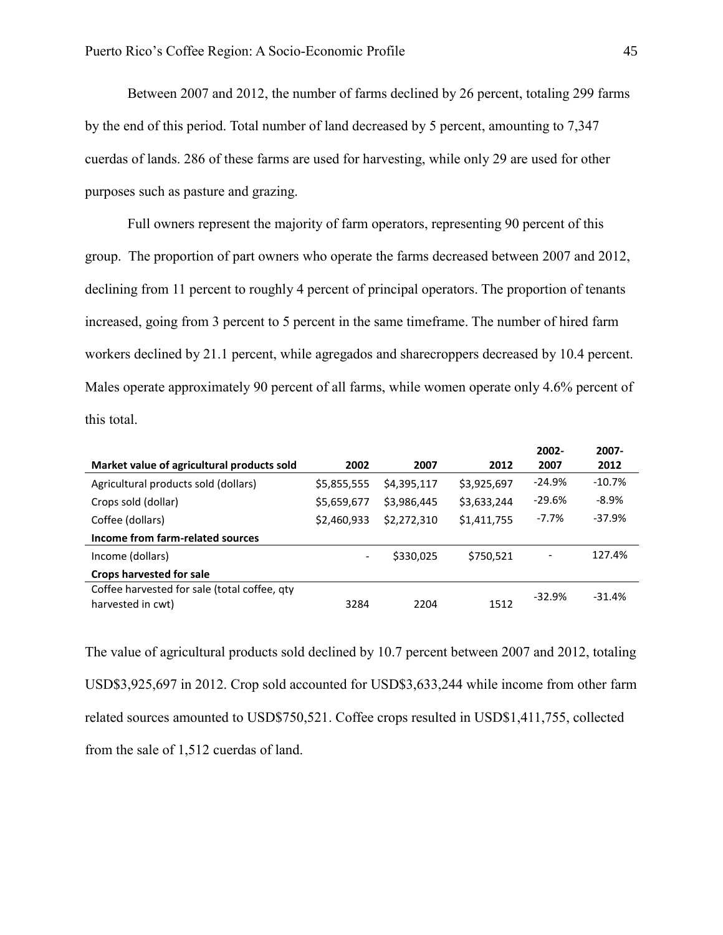Between 2007 and 2012, the number of farms declined by 26 percent, totaling 299 farms by the end of this period. Total number of land decreased by 5 percent, amounting to 7,347 cuerdas of lands. 286 of these farms are used for harvesting, while only 29 are used for other purposes such as pasture and grazing.

Full owners represent the majority of farm operators, representing 90 percent of this group. The proportion of part owners who operate the farms decreased between 2007 and 2012, declining from 11 percent to roughly 4 percent of principal operators. The proportion of tenants increased, going from 3 percent to 5 percent in the same timeframe. The number of hired farm workers declined by 21.1 percent, while agregados and sharecroppers decreased by 10.4 percent. Males operate approximately 90 percent of all farms, while women operate only 4.6% percent of this total.

|                                                                   |                          |             |             | 2002-    | 2007-    |
|-------------------------------------------------------------------|--------------------------|-------------|-------------|----------|----------|
| Market value of agricultural products sold                        | 2002                     | 2007        | 2012        | 2007     | 2012     |
| Agricultural products sold (dollars)                              | \$5,855,555              | \$4,395,117 | \$3,925,697 | $-24.9%$ | $-10.7%$ |
| Crops sold (dollar)                                               | \$5,659,677              | \$3,986,445 | \$3,633,244 | $-29.6%$ | $-8.9%$  |
| Coffee (dollars)                                                  | \$2,460,933              | \$2,272,310 | \$1,411,755 | $-7.7%$  | $-37.9%$ |
| Income from farm-related sources                                  |                          |             |             |          |          |
| Income (dollars)                                                  | $\overline{\phantom{a}}$ | \$330,025   | \$750,521   |          | 127.4%   |
| <b>Crops harvested for sale</b>                                   |                          |             |             |          |          |
| Coffee harvested for sale (total coffee, qty<br>harvested in cwt) | 3284                     | 2204        | 1512        | $-32.9%$ | $-31.4%$ |
|                                                                   |                          |             |             |          |          |

The value of agricultural products sold declined by 10.7 percent between 2007 and 2012, totaling USD\$3,925,697 in 2012. Crop sold accounted for USD\$3,633,244 while income from other farm related sources amounted to USD\$750,521. Coffee crops resulted in USD\$1,411,755, collected from the sale of 1,512 cuerdas of land.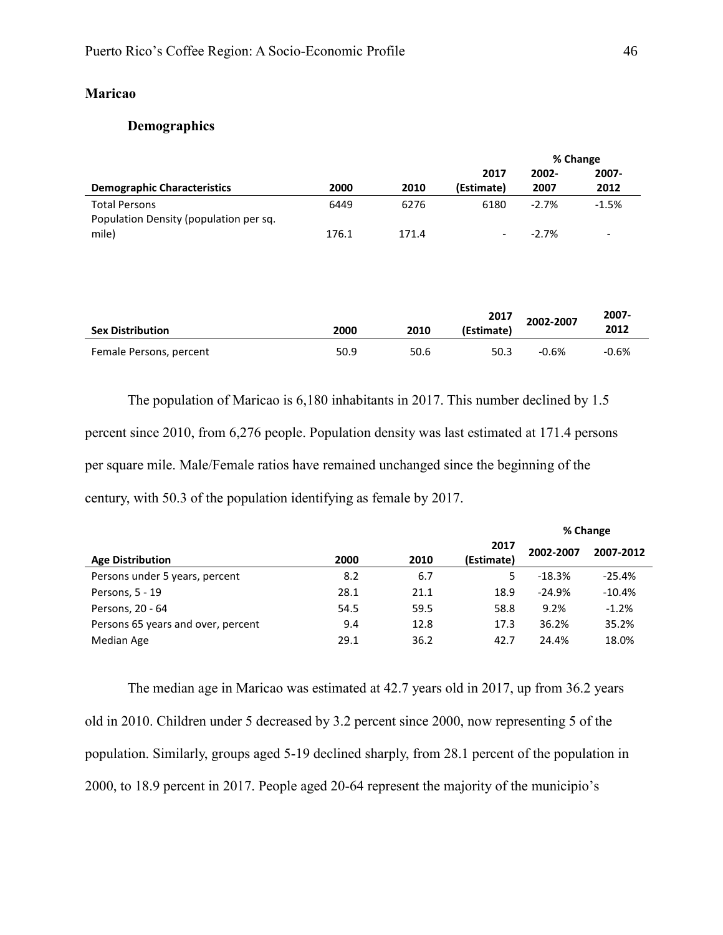## **Maricao**

## **Demographics**

|                                        |       |       |                          |         | % Change                 |
|----------------------------------------|-------|-------|--------------------------|---------|--------------------------|
|                                        |       |       | 2017                     | 2002-   | 2007-                    |
| <b>Demographic Characteristics</b>     | 2000  | 2010  | (Estimate)               | 2007    | 2012                     |
| <b>Total Persons</b>                   | 6449  | 6276  | 6180                     | $-2.7%$ | $-1.5%$                  |
| Population Density (population per sq. |       |       |                          |         |                          |
| mile)                                  | 176.1 | 171.4 | $\overline{\phantom{a}}$ | $-2.7%$ | $\overline{\phantom{a}}$ |

| <b>Sex Distribution</b> | 2000 | 2010 | 2017<br>(Estimate) | 2002-2007 | 2007-<br>2012 |
|-------------------------|------|------|--------------------|-----------|---------------|
| Female Persons, percent | 50.9 | 50.6 | 50.3               | $-0.6%$   | $-0.6%$       |

The population of Maricao is 6,180 inhabitants in 2017. This number declined by 1.5 percent since 2010, from 6,276 people. Population density was last estimated at 171.4 persons per square mile. Male/Female ratios have remained unchanged since the beginning of the century, with 50.3 of the population identifying as female by 2017.

|                                    |      |      | % Change           |           |           |
|------------------------------------|------|------|--------------------|-----------|-----------|
| <b>Age Distribution</b>            | 2000 | 2010 | 2017<br>(Estimate) | 2002-2007 | 2007-2012 |
| Persons under 5 years, percent     | 8.2  | 6.7  | 5                  | $-18.3%$  | $-25.4%$  |
| Persons, 5 - 19                    | 28.1 | 21.1 | 18.9               | $-24.9%$  | $-10.4%$  |
| Persons, 20 - 64                   | 54.5 | 59.5 | 58.8               | 9.2%      | $-1.2%$   |
| Persons 65 years and over, percent | 9.4  | 12.8 | 17.3               | 36.2%     | 35.2%     |
| Median Age                         | 29.1 | 36.2 | 42.7               | 24.4%     | 18.0%     |

The median age in Maricao was estimated at 42.7 years old in 2017, up from 36.2 years old in 2010. Children under 5 decreased by 3.2 percent since 2000, now representing 5 of the population. Similarly, groups aged 5-19 declined sharply, from 28.1 percent of the population in 2000, to 18.9 percent in 2017. People aged 20-64 represent the majority of the municipio's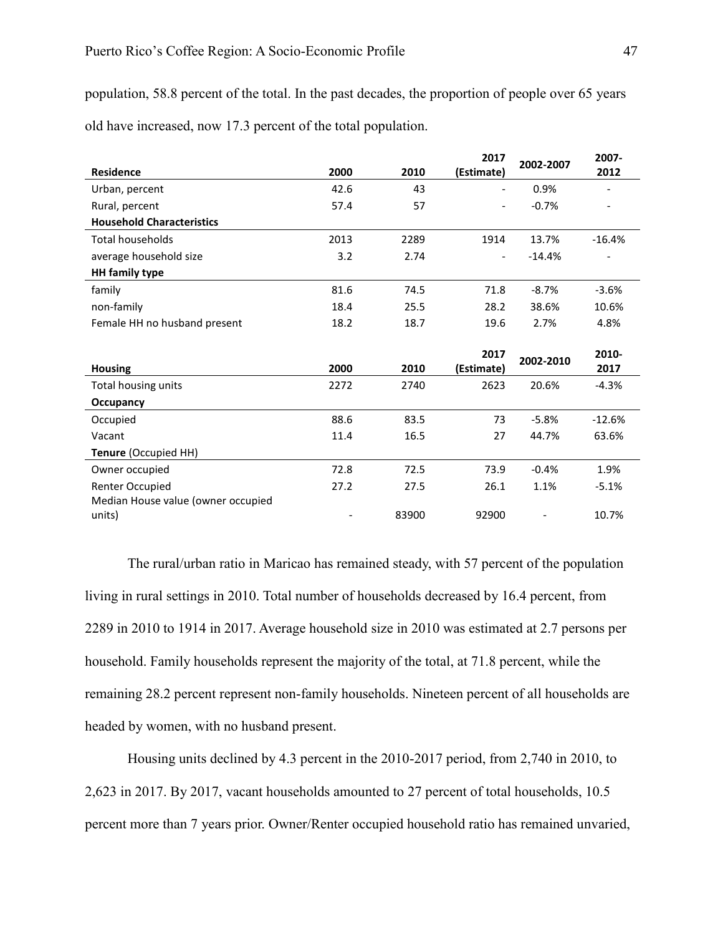population, 58.8 percent of the total. In the past decades, the proportion of people over 65 years old have increased, now 17.3 percent of the total population.

|                                    |      |      | 2017                     | 2002-2007 | 2007-    |
|------------------------------------|------|------|--------------------------|-----------|----------|
| <b>Residence</b>                   | 2000 | 2010 | (Estimate)               |           | 2012     |
| Urban, percent                     | 42.6 | 43   |                          | 0.9%      |          |
| Rural, percent                     | 57.4 | 57   |                          | $-0.7%$   |          |
| <b>Household Characteristics</b>   |      |      |                          |           |          |
| <b>Total households</b>            | 2013 | 2289 | 1914                     | 13.7%     | $-16.4%$ |
| average household size             | 3.2  | 2.74 | $\overline{\phantom{a}}$ | $-14.4%$  |          |
| <b>HH</b> family type              |      |      |                          |           |          |
| family                             | 81.6 | 74.5 | 71.8                     | $-8.7%$   | $-3.6%$  |
| non-family                         | 18.4 | 25.5 | 28.2                     | 38.6%     | 10.6%    |
| Female HH no husband present       | 18.2 | 18.7 | 19.6                     | 2.7%      | 4.8%     |
|                                    |      |      |                          |           |          |
|                                    |      |      | 2017                     | 2002-2010 | 2010-    |
| <b>Housing</b>                     | 2000 | 2010 | (Estimate)               |           | 2017     |
| Total housing units                | 2272 | 2740 | 2623                     | 20.6%     | $-4.3%$  |
| <b>Occupancy</b>                   |      |      |                          |           |          |
| Occupied                           | 88.6 | 83.5 | 73                       | $-5.8%$   | $-12.6%$ |
| Vacant                             | 11.4 | 16.5 | 27                       | 44.7%     | 63.6%    |
| Tenure (Occupied HH)               |      |      |                          |           |          |
| Owner occupied                     | 72.8 | 72.5 | 73.9                     | $-0.4%$   | 1.9%     |
| Renter Occupied                    |      |      |                          |           |          |
|                                    | 27.2 | 27.5 | 26.1                     | 1.1%      | $-5.1%$  |
| Median House value (owner occupied |      |      |                          |           |          |

The rural/urban ratio in Maricao has remained steady, with 57 percent of the population living in rural settings in 2010. Total number of households decreased by 16.4 percent, from 2289 in 2010 to 1914 in 2017. Average household size in 2010 was estimated at 2.7 persons per household. Family households represent the majority of the total, at 71.8 percent, while the remaining 28.2 percent represent non-family households. Nineteen percent of all households are headed by women, with no husband present.

Housing units declined by 4.3 percent in the 2010-2017 period, from 2,740 in 2010, to 2,623 in 2017. By 2017, vacant households amounted to 27 percent of total households, 10.5 percent more than 7 years prior. Owner/Renter occupied household ratio has remained unvaried,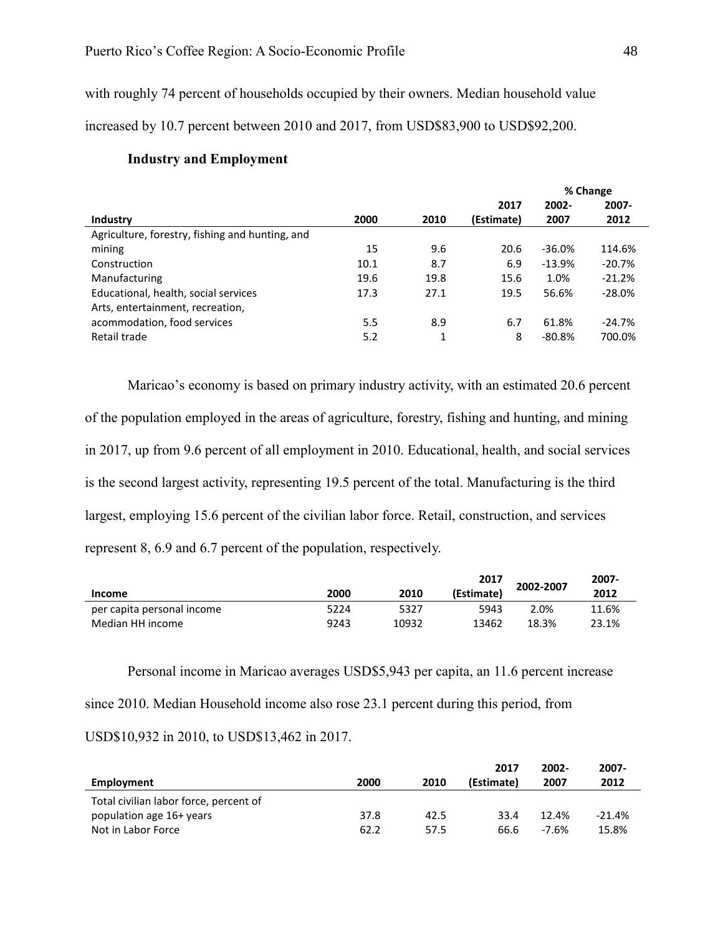with roughly 74 percent of households occupied by their owners. Median household value

increased by 10.7 percent between 2010 and 2017, from USD\$83,900 to USD\$92,200.

**% Change Industry 2000 2010 2017 (Estimate) 2002- 2007 2007- 2012** Agriculture, forestry, fishing and hunting, and mining 15 9.6 20.6 -36.0% 114.6% Construction 10.1 8.7 6.9 -13.9% -20.7% Manufacturing 19.6 19.8 15.6 1.0% -21.2% Educational, health, social services 17.3 27.1 19.5 56.6% -28.0% Arts, entertainment, recreation, acommodation, food services 5.5 8.9 6.7 61.8% -24.7% Retail trade 6.1 and 5.2 1 8 -80.8% 700.0% 1

## **Industry and Employment**

Maricao's economy is based on primary industry activity, with an estimated 20.6 percent of the population employed in the areas of agriculture, forestry, fishing and hunting, and mining in 2017, up from 9.6 percent of all employment in 2010. Educational, health, and social services is the second largest activity, representing 19.5 percent of the total. Manufacturing is the third largest, employing 15.6 percent of the civilian labor force. Retail, construction, and services represent 8, 6.9 and 6.7 percent of the population, respectively.

| Income                     | 2000 | 2010  | 2017<br>(Estimate) | 2002-2007 | 2007-<br>2012 |
|----------------------------|------|-------|--------------------|-----------|---------------|
| per capita personal income | 5224 | 5327  | 5943               | 2.0%      | 11.6%         |
| Median HH income           | 9243 | 10932 | 13462              | 18.3%     | 23.1%         |

Personal income in Maricao averages USD\$5,943 per capita, an 11.6 percent increase since 2010. Median Household income also rose 23.1 percent during this period, from USD\$10,932 in 2010, to USD\$13,462 in 2017.

| Employment                             | 2000 | 2010 | 2017<br>(Estimate) | 2002-<br>2007 | $2007 -$<br>2012 |
|----------------------------------------|------|------|--------------------|---------------|------------------|
| Total civilian labor force, percent of |      |      |                    |               |                  |
| population age 16+ years               | 37.8 | 42.5 | 33.4               | 12.4%         | $-21.4%$         |
| Not in Labor Force                     | 62.2 | 57.5 | 66.6               | -7.6%         | 15.8%            |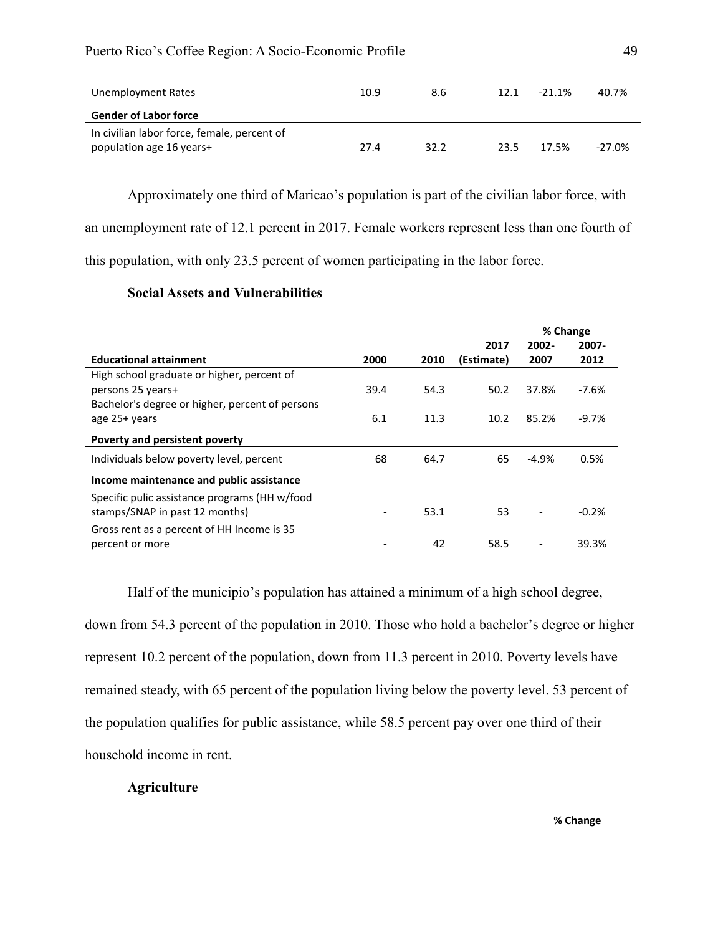| Unemployment Rates                          | 10.9 | 8.6  | 12.1 | $-21.1%$ | 40.7%    |
|---------------------------------------------|------|------|------|----------|----------|
| <b>Gender of Labor force</b>                |      |      |      |          |          |
| In civilian labor force, female, percent of |      |      |      |          |          |
| population age 16 years+                    | 27.4 | 32.2 | 23.5 | 17.5%    | $-27.0%$ |

Approximately one third of Maricao's population is part of the civilian labor force, with an unemployment rate of 12.1 percent in 2017. Female workers represent less than one fourth of this population, with only 23.5 percent of women participating in the labor force.

## **Social Assets and Vulnerabilities**

|                                                 |      |      |            |          | % Change |
|-------------------------------------------------|------|------|------------|----------|----------|
|                                                 |      |      | 2017       | $2002 -$ | $2007 -$ |
| <b>Educational attainment</b>                   | 2000 | 2010 | (Estimate) | 2007     | 2012     |
| High school graduate or higher, percent of      |      |      |            |          |          |
| persons 25 years+                               | 39.4 | 54.3 | 50.2       | 37.8%    | $-7.6%$  |
| Bachelor's degree or higher, percent of persons |      |      |            |          |          |
| age 25+ years                                   | 6.1  | 11.3 | 10.2       | 85.2%    | $-9.7\%$ |
| Poverty and persistent poverty                  |      |      |            |          |          |
| Individuals below poverty level, percent        | 68   | 64.7 | 65         | $-4.9%$  | 0.5%     |
| Income maintenance and public assistance        |      |      |            |          |          |
| Specific pulic assistance programs (HH w/food   |      |      |            |          |          |
| stamps/SNAP in past 12 months)                  |      | 53.1 | 53         |          | $-0.2%$  |
| Gross rent as a percent of HH Income is 35      |      |      |            |          |          |
| percent or more                                 |      | 42   | 58.5       |          | 39.3%    |
|                                                 |      |      |            |          |          |

Half of the municipio's population has attained a minimum of a high school degree, down from 54.3 percent of the population in 2010. Those who hold a bachelor's degree or higher represent 10.2 percent of the population, down from 11.3 percent in 2010. Poverty levels have remained steady, with 65 percent of the population living below the poverty level. 53 percent of the population qualifies for public assistance, while 58.5 percent pay over one third of their household income in rent.

## **Agriculture**

**% Change**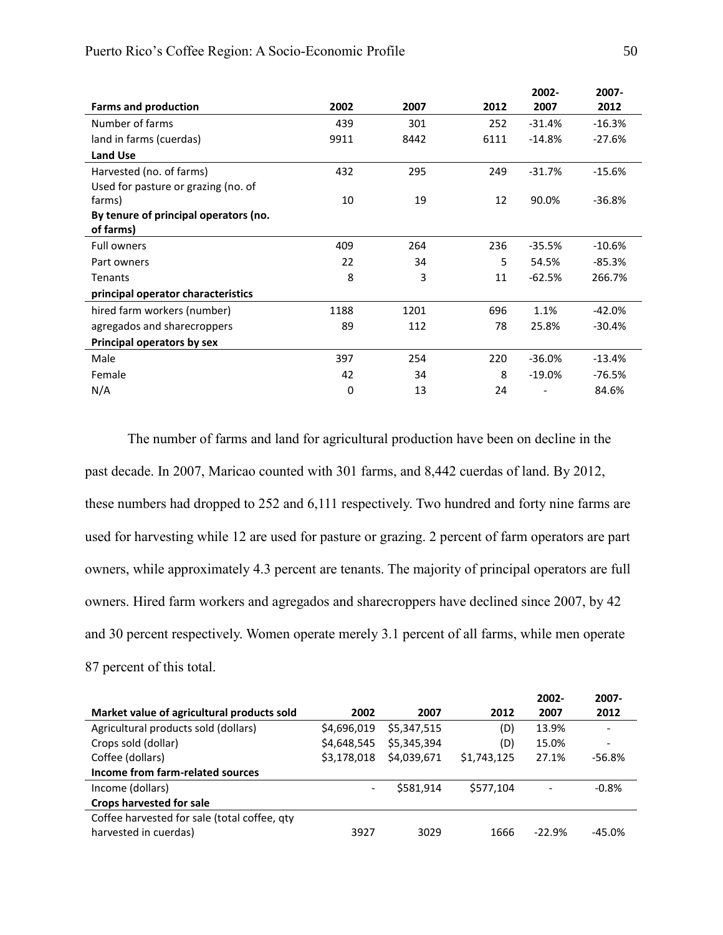|                                       |      |      |      | 2002-    | 2007-    |
|---------------------------------------|------|------|------|----------|----------|
| <b>Farms and production</b>           | 2002 | 2007 | 2012 | 2007     | 2012     |
| Number of farms                       | 439  | 301  | 252  | $-31.4%$ | $-16.3%$ |
| land in farms (cuerdas)               | 9911 | 8442 | 6111 | $-14.8%$ | $-27.6%$ |
| <b>Land Use</b>                       |      |      |      |          |          |
| Harvested (no. of farms)              | 432  | 295  | 249  | $-31.7%$ | $-15.6%$ |
| Used for pasture or grazing (no. of   |      |      |      |          |          |
| farms)                                | 10   | 19   | 12   | 90.0%    | $-36.8%$ |
| By tenure of principal operators (no. |      |      |      |          |          |
| of farms)                             |      |      |      |          |          |
| <b>Full owners</b>                    | 409  | 264  | 236  | $-35.5%$ | $-10.6%$ |
| Part owners                           | 22   | 34   | 5    | 54.5%    | $-85.3%$ |
| Tenants                               | 8    | 3    | 11   | $-62.5%$ | 266.7%   |
| principal operator characteristics    |      |      |      |          |          |
| hired farm workers (number)           | 1188 | 1201 | 696  | 1.1%     | $-42.0%$ |
| agregados and sharecroppers           | 89   | 112  | 78   | 25.8%    | $-30.4%$ |
| Principal operators by sex            |      |      |      |          |          |
| Male                                  | 397  | 254  | 220  | $-36.0%$ | $-13.4%$ |
| Female                                | 42   | 34   | 8    | $-19.0%$ | $-76.5%$ |
| N/A                                   | 0    | 13   | 24   |          | 84.6%    |

The number of farms and land for agricultural production have been on decline in the past decade. In 2007, Maricao counted with 301 farms, and 8,442 cuerdas of land. By 2012, these numbers had dropped to 252 and 6,111 respectively. Two hundred and forty nine farms are used for harvesting while 12 are used for pasture or grazing. 2 percent of farm operators are part owners, while approximately 4.3 percent are tenants. The majority of principal operators are full owners. Hired farm workers and agregados and sharecroppers have declined since 2007, by 42 and 30 percent respectively. Women operate merely 3.1 percent of all farms, while men operate 87 percent of this total.

|                                              |             |             |             | 2002-    | 2007-                    |
|----------------------------------------------|-------------|-------------|-------------|----------|--------------------------|
| Market value of agricultural products sold   | 2002        | 2007        | 2012        | 2007     | 2012                     |
| Agricultural products sold (dollars)         | \$4,696,019 | \$5,347,515 | (D)         | 13.9%    |                          |
| Crops sold (dollar)                          | \$4,648,545 | \$5,345,394 | (D)         | 15.0%    | $\overline{\phantom{0}}$ |
| Coffee (dollars)                             | \$3,178,018 | \$4,039,671 | \$1,743,125 | 27.1%    | $-56.8%$                 |
| Income from farm-related sources             |             |             |             |          |                          |
| Income (dollars)                             |             | \$581.914   | \$577.104   | ۰        | $-0.8%$                  |
| <b>Crops harvested for sale</b>              |             |             |             |          |                          |
| Coffee harvested for sale (total coffee, qty |             |             |             |          |                          |
| harvested in cuerdas)                        | 3927        | 3029        | 1666        | $-22.9%$ | $-45.0%$                 |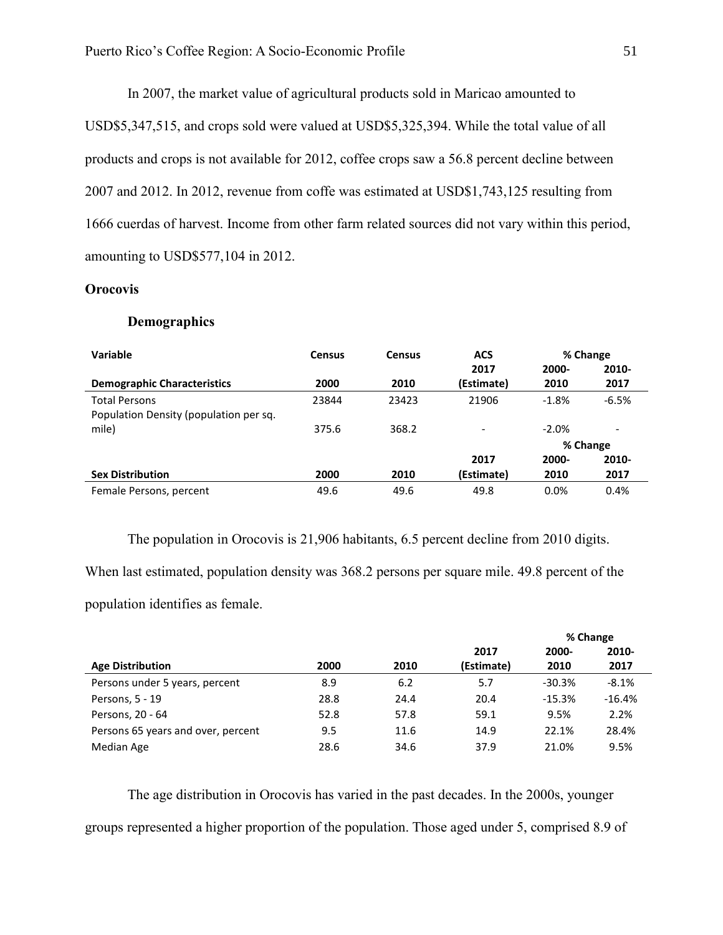In 2007, the market value of agricultural products sold in Maricao amounted to USD\$5,347,515, and crops sold were valued at USD\$5,325,394. While the total value of all products and crops is not available for 2012, coffee crops saw a 56.8 percent decline between 2007 and 2012. In 2012, revenue from coffe was estimated at USD\$1,743,125 resulting from 1666 cuerdas of harvest. Income from other farm related sources did not vary within this period, amounting to USD\$577,104 in 2012.

## **Orocovis**

#### **Demographics**

| Variable                               | <b>Census</b> | <b>Census</b> | <b>ACS</b> | % Change |         |  |
|----------------------------------------|---------------|---------------|------------|----------|---------|--|
|                                        |               |               | 2017       | 2000-    | 2010-   |  |
| <b>Demographic Characteristics</b>     | 2000          | 2010          | (Estimate) | 2010     | 2017    |  |
| <b>Total Persons</b>                   | 23844         | 23423         | 21906      | $-1.8%$  | $-6.5%$ |  |
| Population Density (population per sq. |               |               |            |          |         |  |
| mile)                                  | 375.6         | 368.2         | -          | $-2.0%$  | -       |  |
|                                        |               |               |            | % Change |         |  |
|                                        |               |               | 2017       | 2000-    | 2010-   |  |
| <b>Sex Distribution</b>                | 2000          | 2010          | (Estimate) | 2010     | 2017    |  |
| Female Persons, percent                | 49.6          | 49.6          | 49.8       | 0.0%     | 0.4%    |  |

The population in Orocovis is 21,906 habitants, 6.5 percent decline from 2010 digits.

When last estimated, population density was 368.2 persons per square mile. 49.8 percent of the

population identifies as female.

|                                    |      |      |            | % Change |          |
|------------------------------------|------|------|------------|----------|----------|
|                                    |      |      | 2017       | 2000-    | 2010-    |
| <b>Age Distribution</b>            | 2000 | 2010 | (Estimate) | 2010     | 2017     |
| Persons under 5 years, percent     | 8.9  | 6.2  | 5.7        | $-30.3%$ | $-8.1%$  |
| Persons, 5 - 19                    | 28.8 | 24.4 | 20.4       | $-15.3%$ | $-16.4%$ |
| Persons, 20 - 64                   | 52.8 | 57.8 | 59.1       | 9.5%     | 2.2%     |
| Persons 65 years and over, percent | 9.5  | 11.6 | 14.9       | 22.1%    | 28.4%    |
| Median Age                         | 28.6 | 34.6 | 37.9       | 21.0%    | 9.5%     |

The age distribution in Orocovis has varied in the past decades. In the 2000s, younger groups represented a higher proportion of the population. Those aged under 5, comprised 8.9 of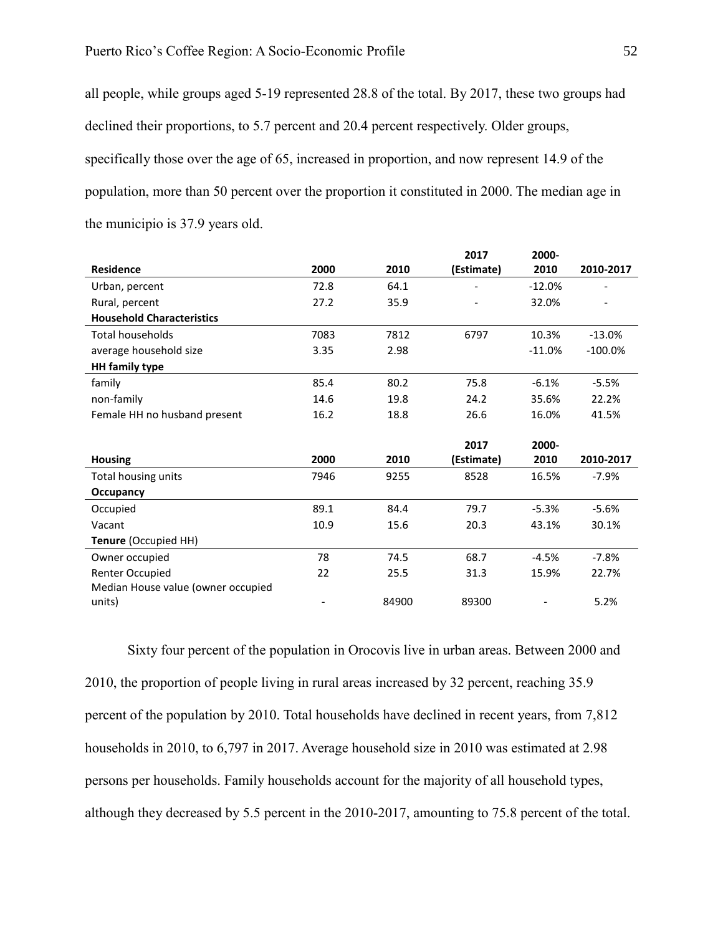all people, while groups aged 5-19 represented 28.8 of the total. By 2017, these two groups had declined their proportions, to 5.7 percent and 20.4 percent respectively. Older groups, specifically those over the age of 65, increased in proportion, and now represent 14.9 of the population, more than 50 percent over the proportion it constituted in 2000. The median age in the municipio is 37.9 years old.

|                                    |      |       | 2017       | 2000-    |           |
|------------------------------------|------|-------|------------|----------|-----------|
| <b>Residence</b>                   | 2000 | 2010  | (Estimate) | 2010     | 2010-2017 |
| Urban, percent                     | 72.8 | 64.1  |            | $-12.0%$ |           |
| Rural, percent                     | 27.2 | 35.9  |            | 32.0%    |           |
| <b>Household Characteristics</b>   |      |       |            |          |           |
| <b>Total households</b>            | 7083 | 7812  | 6797       | 10.3%    | $-13.0%$  |
| average household size             | 3.35 | 2.98  |            | $-11.0%$ | $-100.0%$ |
| <b>HH</b> family type              |      |       |            |          |           |
| family                             | 85.4 | 80.2  | 75.8       | $-6.1%$  | $-5.5%$   |
| non-family                         | 14.6 | 19.8  | 24.2       | 35.6%    | 22.2%     |
| Female HH no husband present       | 16.2 | 18.8  | 26.6       | 16.0%    | 41.5%     |
|                                    |      |       |            |          |           |
|                                    |      |       | 2017       | 2000-    |           |
| <b>Housing</b>                     | 2000 | 2010  | (Estimate) | 2010     | 2010-2017 |
| Total housing units                | 7946 | 9255  | 8528       | 16.5%    | $-7.9%$   |
| Occupancy                          |      |       |            |          |           |
| Occupied                           | 89.1 | 84.4  | 79.7       | $-5.3%$  | $-5.6%$   |
| Vacant                             | 10.9 | 15.6  | 20.3       | 43.1%    | 30.1%     |
| Tenure (Occupied HH)               |      |       |            |          |           |
| Owner occupied                     |      |       |            |          |           |
|                                    | 78   | 74.5  | 68.7       | $-4.5%$  | $-7.8%$   |
| Renter Occupied                    | 22   | 25.5  | 31.3       | 15.9%    | 22.7%     |
| Median House value (owner occupied |      |       |            |          |           |
| units)                             |      | 84900 | 89300      |          | 5.2%      |

Sixty four percent of the population in Orocovis live in urban areas. Between 2000 and 2010, the proportion of people living in rural areas increased by 32 percent, reaching 35.9 percent of the population by 2010. Total households have declined in recent years, from 7,812 households in 2010, to 6,797 in 2017. Average household size in 2010 was estimated at 2.98 persons per households. Family households account for the majority of all household types, although they decreased by 5.5 percent in the 2010-2017, amounting to 75.8 percent of the total.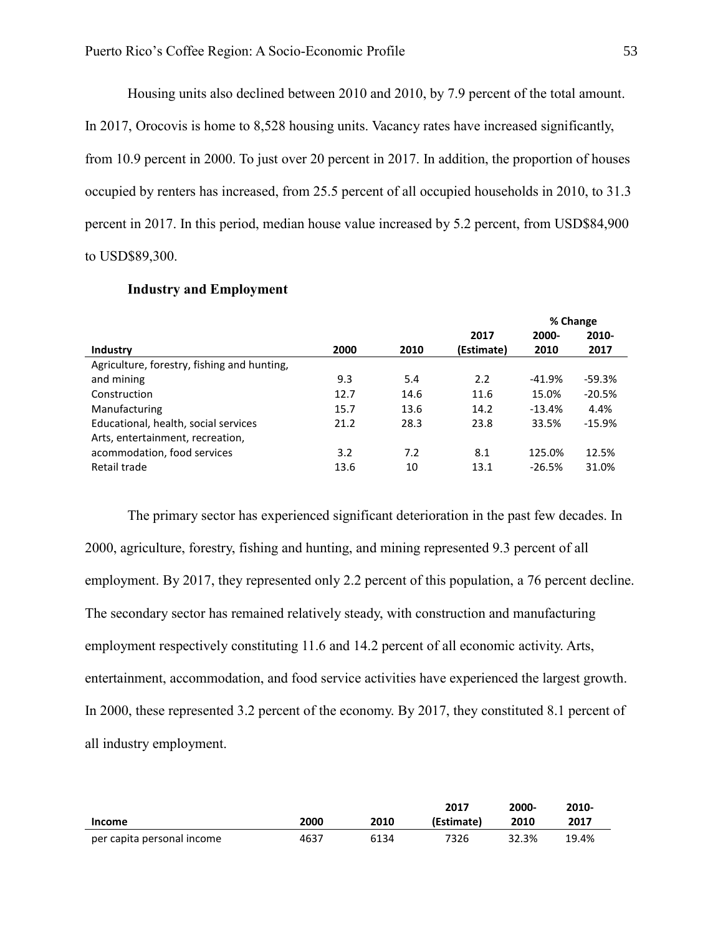Housing units also declined between 2010 and 2010, by 7.9 percent of the total amount.

In 2017, Orocovis is home to 8,528 housing units. Vacancy rates have increased significantly, from 10.9 percent in 2000. To just over 20 percent in 2017. In addition, the proportion of houses occupied by renters has increased, from 25.5 percent of all occupied households in 2010, to 31.3 percent in 2017. In this period, median house value increased by 5.2 percent, from USD\$84,900 to USD\$89,300.

|                                             |      |      |            | % Change |          |
|---------------------------------------------|------|------|------------|----------|----------|
|                                             |      |      | 2017       | 2000-    | 2010-    |
| Industry                                    | 2000 | 2010 | (Estimate) | 2010     | 2017     |
| Agriculture, forestry, fishing and hunting, |      |      |            |          |          |
| and mining                                  | 9.3  | 5.4  | 2.2        | $-41.9%$ | $-59.3%$ |
| Construction                                | 12.7 | 14.6 | 11.6       | 15.0%    | $-20.5%$ |
| Manufacturing                               | 15.7 | 13.6 | 14.2       | $-13.4%$ | 4.4%     |
| Educational, health, social services        | 21.2 | 28.3 | 23.8       | 33.5%    | $-15.9%$ |
| Arts, entertainment, recreation,            |      |      |            |          |          |
| acommodation, food services                 | 3.2  | 7.2  | 8.1        | 125.0%   | 12.5%    |
| Retail trade                                | 13.6 | 10   | 13.1       | $-26.5%$ | 31.0%    |

#### **Industry and Employment**

The primary sector has experienced significant deterioration in the past few decades. In 2000, agriculture, forestry, fishing and hunting, and mining represented 9.3 percent of all employment. By 2017, they represented only 2.2 percent of this population, a 76 percent decline. The secondary sector has remained relatively steady, with construction and manufacturing employment respectively constituting 11.6 and 14.2 percent of all economic activity. Arts, entertainment, accommodation, and food service activities have experienced the largest growth. In 2000, these represented 3.2 percent of the economy. By 2017, they constituted 8.1 percent of all industry employment.

|                            |      |      | 2017       | 2000- | 2010- |
|----------------------------|------|------|------------|-------|-------|
| <b>Income</b>              | 2000 | 2010 | (Estimate) | 2010  | 2017  |
| per capita personal income | 4637 | 6134 | 7326       | 32.3% | 19.4% |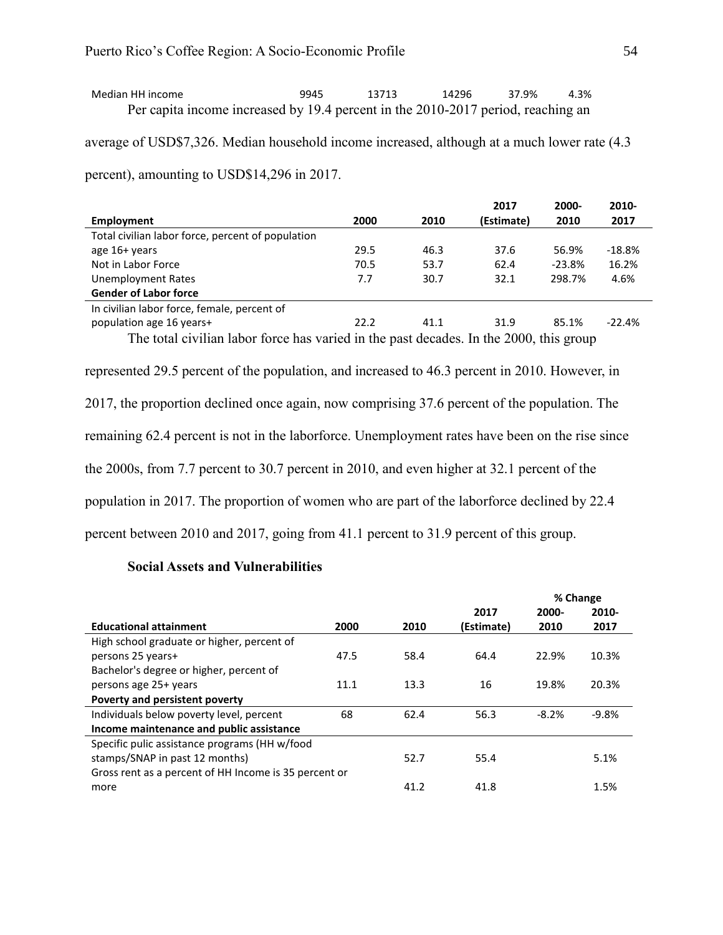| Median HH income                                                                 | 9945 | 13713 | 14296 | 37.9% | 4.3% |
|----------------------------------------------------------------------------------|------|-------|-------|-------|------|
| Per capita income increased by 19.4 percent in the 2010-2017 period, reaching an |      |       |       |       |      |

average of USD\$7,326. Median household income increased, although at a much lower rate (4.3

percent), amounting to USD\$14,296 in 2017.

|                                                                                                |      |      | 2017       | 2000-    | 2010-    |  |  |  |
|------------------------------------------------------------------------------------------------|------|------|------------|----------|----------|--|--|--|
| Employment                                                                                     | 2000 | 2010 | (Estimate) | 2010     | 2017     |  |  |  |
| Total civilian labor force, percent of population                                              |      |      |            |          |          |  |  |  |
| age 16+ years                                                                                  | 29.5 | 46.3 | 37.6       | 56.9%    | $-18.8%$ |  |  |  |
| Not in Labor Force                                                                             | 70.5 | 53.7 | 62.4       | $-23.8%$ | 16.2%    |  |  |  |
| Unemployment Rates                                                                             | 7.7  | 30.7 | 32.1       | 298.7%   | 4.6%     |  |  |  |
| <b>Gender of Labor force</b>                                                                   |      |      |            |          |          |  |  |  |
| In civilian labor force, female, percent of                                                    |      |      |            |          |          |  |  |  |
| population age 16 years+                                                                       | 22.2 | 41.1 | 31.9       | 85.1%    | $-22.4%$ |  |  |  |
| The total civilian labor force has varied in the past decades. In the 2000, this group         |      |      |            |          |          |  |  |  |
|                                                                                                |      |      |            |          |          |  |  |  |
| represented 29.5 percent of the population, and increased to 46.3 percent in 2010. However, in |      |      |            |          |          |  |  |  |

2017, the proportion declined once again, now comprising 37.6 percent of the population. The remaining 62.4 percent is not in the laborforce. Unemployment rates have been on the rise since the 2000s, from 7.7 percent to 30.7 percent in 2010, and even higher at 32.1 percent of the population in 2017. The proportion of women who are part of the laborforce declined by 22.4 percent between 2010 and 2017, going from 41.1 percent to 31.9 percent of this group.

## **Social Assets and Vulnerabilities**

|                                                       |      |      |            | % Change |         |
|-------------------------------------------------------|------|------|------------|----------|---------|
|                                                       |      |      | 2017       | 2000-    | 2010-   |
| <b>Educational attainment</b>                         | 2000 | 2010 | (Estimate) | 2010     | 2017    |
| High school graduate or higher, percent of            |      |      |            |          |         |
| persons 25 years+                                     | 47.5 | 58.4 | 64.4       | 22.9%    | 10.3%   |
| Bachelor's degree or higher, percent of               |      |      |            |          |         |
| persons age 25+ years                                 | 11.1 | 13.3 | 16         | 19.8%    | 20.3%   |
| Poverty and persistent poverty                        |      |      |            |          |         |
| Individuals below poverty level, percent              | 68   | 62.4 | 56.3       | $-8.2%$  | $-9.8%$ |
| Income maintenance and public assistance              |      |      |            |          |         |
| Specific pulic assistance programs (HH w/food         |      |      |            |          |         |
| stamps/SNAP in past 12 months)                        |      | 52.7 | 55.4       |          | 5.1%    |
| Gross rent as a percent of HH Income is 35 percent or |      |      |            |          |         |
| more                                                  |      | 41.2 | 41.8       |          | 1.5%    |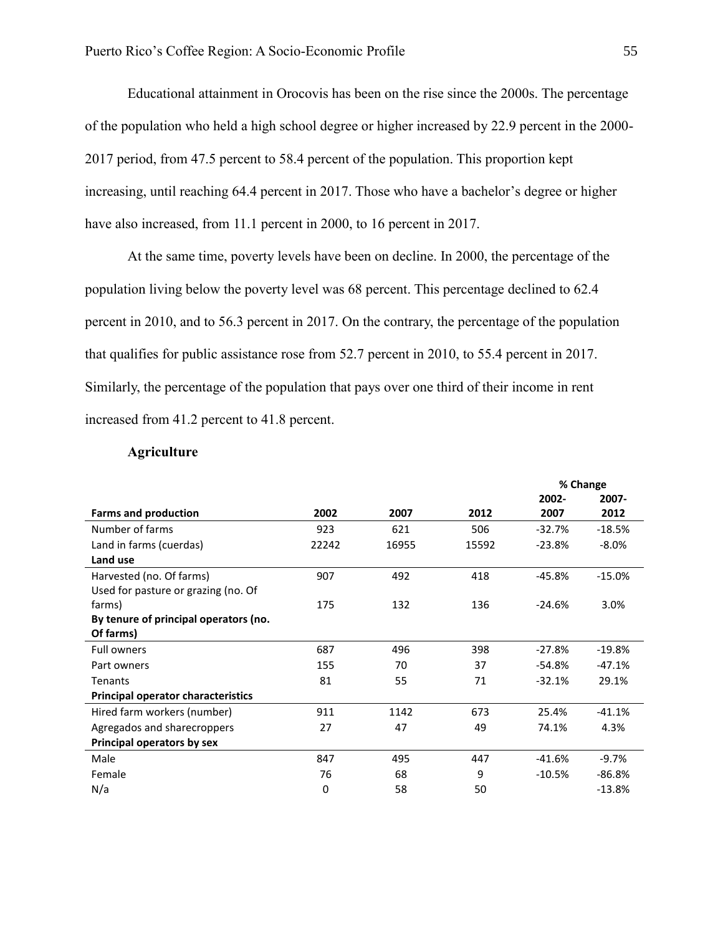Educational attainment in Orocovis has been on the rise since the 2000s. The percentage of the population who held a high school degree or higher increased by 22.9 percent in the 2000- 2017 period, from 47.5 percent to 58.4 percent of the population. This proportion kept increasing, until reaching 64.4 percent in 2017. Those who have a bachelor's degree or higher have also increased, from 11.1 percent in 2000, to 16 percent in 2017.

At the same time, poverty levels have been on decline. In 2000, the percentage of the population living below the poverty level was 68 percent. This percentage declined to 62.4 percent in 2010, and to 56.3 percent in 2017. On the contrary, the percentage of the population that qualifies for public assistance rose from 52.7 percent in 2010, to 55.4 percent in 2017. Similarly, the percentage of the population that pays over one third of their income in rent increased from 41.2 percent to 41.8 percent.

#### **Agriculture**

|                                       |       |       |       |          | % Change |
|---------------------------------------|-------|-------|-------|----------|----------|
|                                       |       |       |       | 2002-    | 2007-    |
| <b>Farms and production</b>           | 2002  | 2007  | 2012  | 2007     | 2012     |
| Number of farms                       | 923   | 621   | 506   | $-32.7%$ | $-18.5%$ |
| Land in farms (cuerdas)               | 22242 | 16955 | 15592 | $-23.8%$ | $-8.0\%$ |
| Land use                              |       |       |       |          |          |
| Harvested (no. Of farms)              | 907   | 492   | 418   | -45.8%   | $-15.0%$ |
| Used for pasture or grazing (no. Of   |       |       |       |          |          |
| farms)                                | 175   | 132   | 136   | $-24.6%$ | 3.0%     |
| By tenure of principal operators (no. |       |       |       |          |          |
| Of farms)                             |       |       |       |          |          |
| <b>Full owners</b>                    | 687   | 496   | 398   | $-27.8%$ | $-19.8%$ |
| Part owners                           | 155   | 70    | 37    | $-54.8%$ | $-47.1%$ |
| Tenants                               | 81    | 55    | 71    | $-32.1%$ | 29.1%    |
| Principal operator characteristics    |       |       |       |          |          |
| Hired farm workers (number)           | 911   | 1142  | 673   | 25.4%    | $-41.1%$ |
| Agregados and sharecroppers           | 27    | 47    | 49    | 74.1%    | 4.3%     |
| Principal operators by sex            |       |       |       |          |          |
| Male                                  | 847   | 495   | 447   | $-41.6%$ | $-9.7%$  |
| Female                                | 76    | 68    | 9     | $-10.5%$ | $-86.8%$ |
| N/a                                   | 0     | 58    | 50    |          | $-13.8%$ |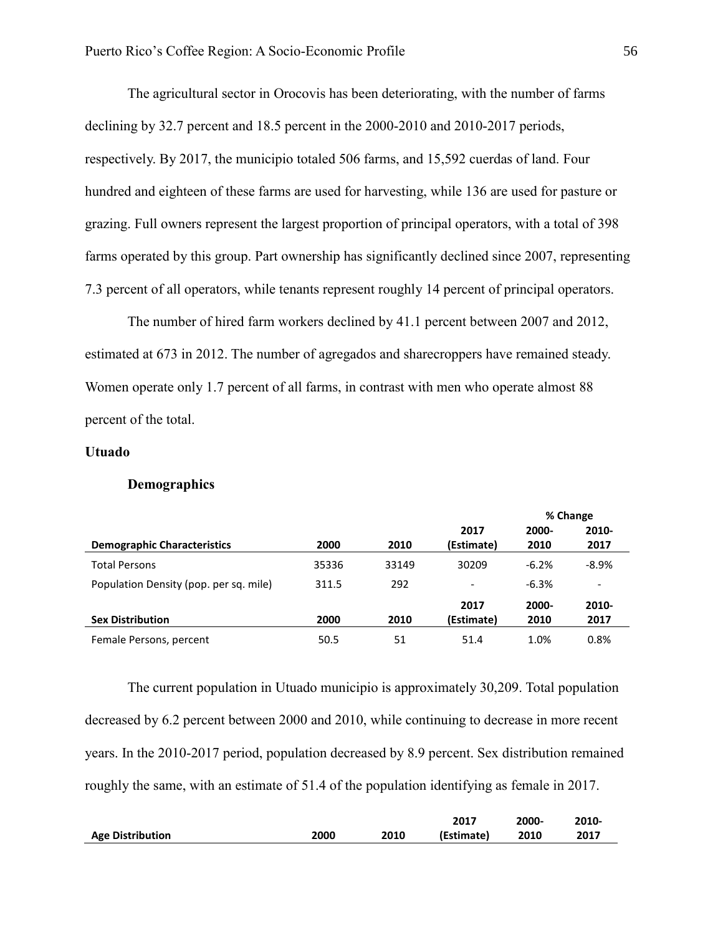The agricultural sector in Orocovis has been deteriorating, with the number of farms declining by 32.7 percent and 18.5 percent in the 2000-2010 and 2010-2017 periods, respectively. By 2017, the municipio totaled 506 farms, and 15,592 cuerdas of land. Four hundred and eighteen of these farms are used for harvesting, while 136 are used for pasture or grazing. Full owners represent the largest proportion of principal operators, with a total of 398 farms operated by this group. Part ownership has significantly declined since 2007, representing 7.3 percent of all operators, while tenants represent roughly 14 percent of principal operators.

The number of hired farm workers declined by 41.1 percent between 2007 and 2012, estimated at 673 in 2012. The number of agregados and sharecroppers have remained steady. Women operate only 1.7 percent of all farms, in contrast with men who operate almost 88 percent of the total.

#### **Utuado**

#### **Demographics**

|                                        |       |       |                          | % Change |                          |
|----------------------------------------|-------|-------|--------------------------|----------|--------------------------|
|                                        |       |       | 2017                     | 2000-    | $2010 -$                 |
| <b>Demographic Characteristics</b>     | 2000  | 2010  | (Estimate)               | 2010     | 2017                     |
| <b>Total Persons</b>                   | 35336 | 33149 | 30209                    | $-6.2%$  | $-8.9%$                  |
| Population Density (pop. per sq. mile) | 311.5 | 292   | $\overline{\phantom{a}}$ | $-6.3%$  | $\overline{\phantom{0}}$ |
| <b>Sex Distribution</b>                |       | 2010  | 2017                     | 2000-    | 2010-                    |
|                                        | 2000  |       | (Estimate)               | 2010     | 2017                     |
| Female Persons, percent                | 50.5  | 51    | 51.4                     | 1.0%     | 0.8%                     |

The current population in Utuado municipio is approximately 30,209. Total population decreased by 6.2 percent between 2000 and 2010, while continuing to decrease in more recent years. In the 2010-2017 period, population decreased by 8.9 percent. Sex distribution remained roughly the same, with an estimate of 51.4 of the population identifying as female in 2017.

|                         |      |      | 2017       | 2000- | 2010- |
|-------------------------|------|------|------------|-------|-------|
| <b>Age Distribution</b> | 2000 | 2010 | (Estimate) | 2010  | 2017  |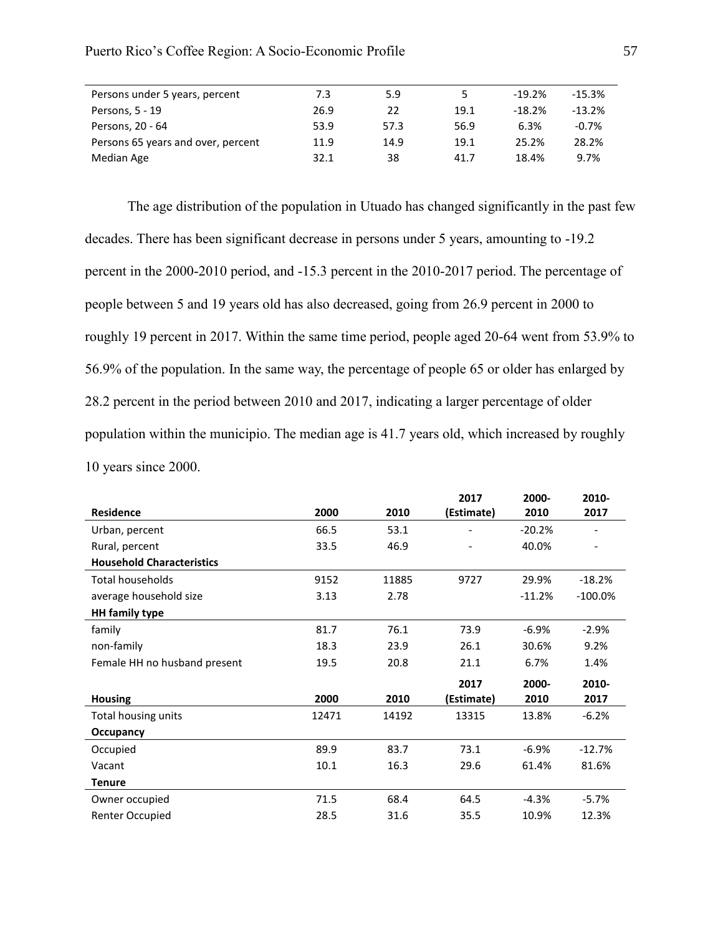| Persons under 5 years, percent     | 7.3  | 5.9  | 5.   | $-19.2%$ | $-15.3%$ |
|------------------------------------|------|------|------|----------|----------|
| Persons, 5 - 19                    | 26.9 | 22   | 19.1 | $-18.2%$ | $-13.2%$ |
| Persons, 20 - 64                   | 53.9 | 57.3 | 56.9 | 6.3%     | $-0.7%$  |
| Persons 65 years and over, percent | 11.9 | 14.9 | 19.1 | 25.2%    | 28.2%    |
| Median Age                         | 32.1 | 38   | 41.7 | 18.4%    | 9.7%     |

The age distribution of the population in Utuado has changed significantly in the past few decades. There has been significant decrease in persons under 5 years, amounting to -19.2 percent in the 2000-2010 period, and -15.3 percent in the 2010-2017 period. The percentage of people between 5 and 19 years old has also decreased, going from 26.9 percent in 2000 to roughly 19 percent in 2017. Within the same time period, people aged 20-64 went from 53.9% to 56.9% of the population. In the same way, the percentage of people 65 or older has enlarged by 28.2 percent in the period between 2010 and 2017, indicating a larger percentage of older population within the municipio. The median age is 41.7 years old, which increased by roughly 10 years since 2000.

|                                  |       |       | 2017       | 2000-    | 2010-             |
|----------------------------------|-------|-------|------------|----------|-------------------|
| <b>Residence</b>                 | 2000  | 2010  | (Estimate) | 2010     | 2017              |
| Urban, percent                   | 66.5  | 53.1  |            | $-20.2%$ |                   |
| Rural, percent                   | 33.5  | 46.9  |            | 40.0%    | $\qquad \qquad -$ |
| <b>Household Characteristics</b> |       |       |            |          |                   |
| Total households                 | 9152  | 11885 | 9727       | 29.9%    | $-18.2%$          |
| average household size           | 3.13  | 2.78  |            | $-11.2%$ | $-100.0\%$        |
| <b>HH</b> family type            |       |       |            |          |                   |
| family                           | 81.7  | 76.1  | 73.9       | $-6.9%$  | $-2.9%$           |
| non-family                       | 18.3  | 23.9  | 26.1       | 30.6%    | 9.2%              |
| Female HH no husband present     | 19.5  | 20.8  | 21.1       | 6.7%     | 1.4%              |
|                                  |       |       | 2017       | 2000-    | 2010-             |
| <b>Housing</b>                   | 2000  | 2010  | (Estimate) | 2010     | 2017              |
| Total housing units              | 12471 | 14192 | 13315      | 13.8%    | $-6.2%$           |
| Occupancy                        |       |       |            |          |                   |
| Occupied                         | 89.9  | 83.7  | 73.1       | $-6.9%$  | $-12.7%$          |
| Vacant                           | 10.1  | 16.3  | 29.6       | 61.4%    | 81.6%             |
| <b>Tenure</b>                    |       |       |            |          |                   |
| Owner occupied                   | 71.5  | 68.4  | 64.5       | $-4.3%$  | $-5.7%$           |
| <b>Renter Occupied</b>           | 28.5  | 31.6  | 35.5       | 10.9%    | 12.3%             |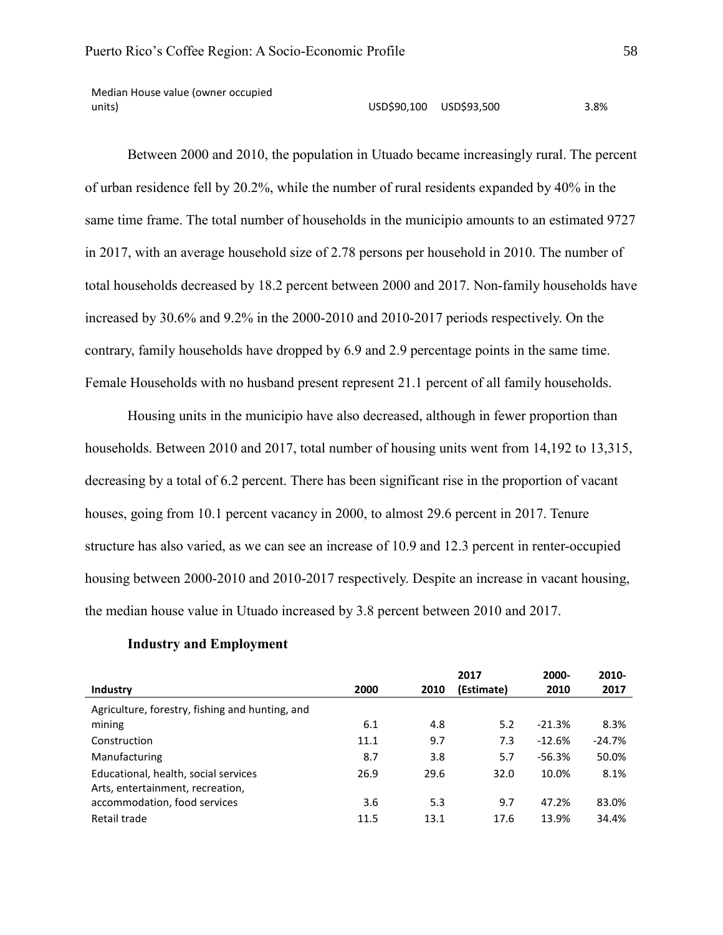Median House value (owner occupied units) USD\$90,100 USD\$93,500 3.8%

Between 2000 and 2010, the population in Utuado became increasingly rural. The percent of urban residence fell by 20.2%, while the number of rural residents expanded by 40% in the same time frame. The total number of households in the municipio amounts to an estimated 9727 in 2017, with an average household size of 2.78 persons per household in 2010. The number of total households decreased by 18.2 percent between 2000 and 2017. Non-family households have increased by 30.6% and 9.2% in the 2000-2010 and 2010-2017 periods respectively. On the contrary, family households have dropped by 6.9 and 2.9 percentage points in the same time. Female Households with no husband present represent 21.1 percent of all family households.

Housing units in the municipio have also decreased, although in fewer proportion than households. Between 2010 and 2017, total number of housing units went from 14,192 to 13,315, decreasing by a total of 6.2 percent. There has been significant rise in the proportion of vacant houses, going from 10.1 percent vacancy in 2000, to almost 29.6 percent in 2017. Tenure structure has also varied, as we can see an increase of 10.9 and 12.3 percent in renter-occupied housing between 2000-2010 and 2010-2017 respectively. Despite an increase in vacant housing, the median house value in Utuado increased by 3.8 percent between 2010 and 2017.

|                                                                          |      |      | 2017       | 2000-    | 2010-    |
|--------------------------------------------------------------------------|------|------|------------|----------|----------|
| <b>Industry</b>                                                          | 2000 | 2010 | (Estimate) | 2010     | 2017     |
| Agriculture, forestry, fishing and hunting, and                          |      |      |            |          |          |
| mining                                                                   | 6.1  | 4.8  | 5.2        | $-21.3%$ | 8.3%     |
| Construction                                                             | 11.1 | 9.7  | 7.3        | $-12.6%$ | $-24.7%$ |
| Manufacturing                                                            | 8.7  | 3.8  | 5.7        | $-56.3%$ | 50.0%    |
| Educational, health, social services<br>Arts, entertainment, recreation, | 26.9 | 29.6 | 32.0       | 10.0%    | 8.1%     |
| accommodation, food services                                             | 3.6  | 5.3  | 9.7        | 47.2%    | 83.0%    |
| Retail trade                                                             | 11.5 | 13.1 | 17.6       | 13.9%    | 34.4%    |

#### **Industry and Employment**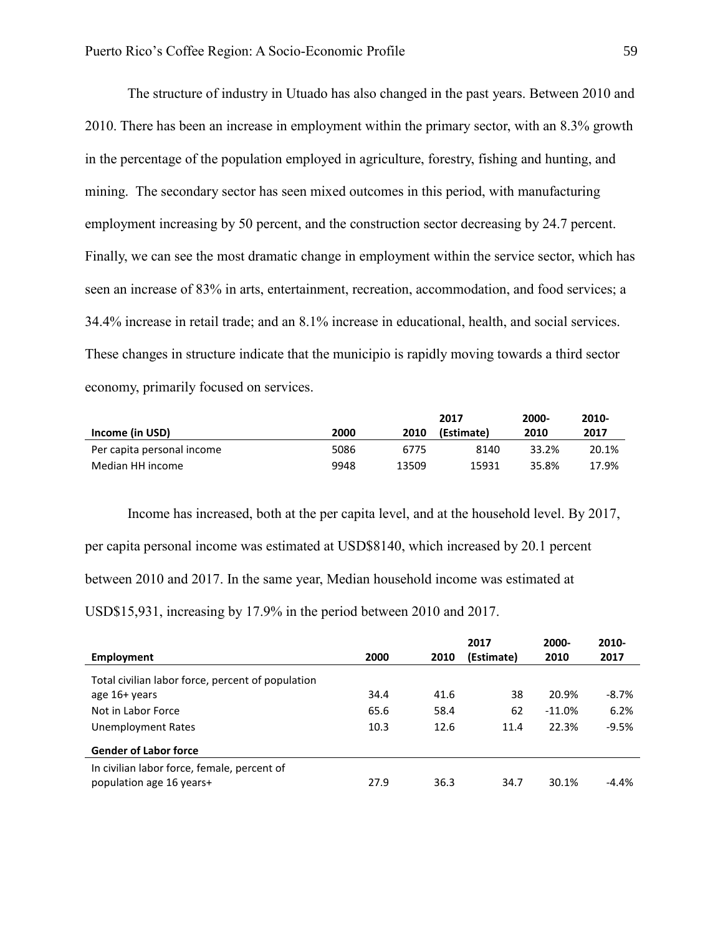The structure of industry in Utuado has also changed in the past years. Between 2010 and 2010. There has been an increase in employment within the primary sector, with an 8.3% growth in the percentage of the population employed in agriculture, forestry, fishing and hunting, and mining. The secondary sector has seen mixed outcomes in this period, with manufacturing employment increasing by 50 percent, and the construction sector decreasing by 24.7 percent. Finally, we can see the most dramatic change in employment within the service sector, which has seen an increase of 83% in arts, entertainment, recreation, accommodation, and food services; a 34.4% increase in retail trade; and an 8.1% increase in educational, health, and social services. These changes in structure indicate that the municipio is rapidly moving towards a third sector economy, primarily focused on services.

|                            |      |       | 2017       | 2000- | 2010- |
|----------------------------|------|-------|------------|-------|-------|
| Income (in USD)            | 2000 | 2010  | (Estimate) | 2010  | 2017  |
| Per capita personal income | 5086 | 6775  | 8140       | 33.2% | 20.1% |
| Median HH income           | 9948 | 13509 | 15931      | 35.8% | 17.9% |

Income has increased, both at the per capita level, and at the household level. By 2017, per capita personal income was estimated at USD\$8140, which increased by 20.1 percent between 2010 and 2017. In the same year, Median household income was estimated at USD\$15,931, increasing by 17.9% in the period between 2010 and 2017.

|                                                                         |      |      | 2017       | 2000-    | 2010-    |
|-------------------------------------------------------------------------|------|------|------------|----------|----------|
| Employment                                                              | 2000 | 2010 | (Estimate) | 2010     | 2017     |
| Total civilian labor force, percent of population                       |      |      |            |          |          |
| age 16+ years                                                           | 34.4 | 41.6 | 38         | 20.9%    | $-8.7\%$ |
| Not in Labor Force                                                      | 65.6 | 58.4 | 62         | $-11.0%$ | 6.2%     |
| Unemployment Rates                                                      | 10.3 | 12.6 | 11.4       | 22.3%    | $-9.5%$  |
| <b>Gender of Labor force</b>                                            |      |      |            |          |          |
| In civilian labor force, female, percent of<br>population age 16 years+ | 27.9 | 36.3 | 34.7       | 30.1%    | $-4.4%$  |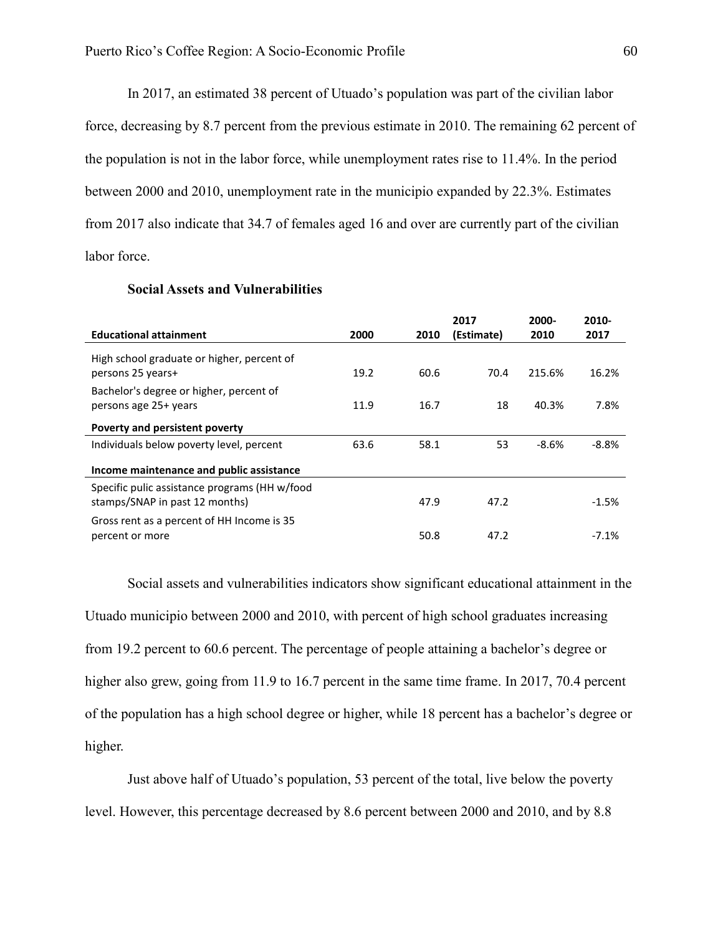In 2017, an estimated 38 percent of Utuado's population was part of the civilian labor force, decreasing by 8.7 percent from the previous estimate in 2010. The remaining 62 percent of the population is not in the labor force, while unemployment rates rise to 11.4%. In the period between 2000 and 2010, unemployment rate in the municipio expanded by 22.3%. Estimates from 2017 also indicate that 34.7 of females aged 16 and over are currently part of the civilian labor force.

|                                                                                 |      |      | 2017       | 2000-   | 2010-   |
|---------------------------------------------------------------------------------|------|------|------------|---------|---------|
| <b>Educational attainment</b>                                                   | 2000 | 2010 | (Estimate) | 2010    | 2017    |
| High school graduate or higher, percent of                                      |      |      |            |         |         |
| persons 25 years+                                                               | 19.2 | 60.6 | 70.4       | 215.6%  | 16.2%   |
| Bachelor's degree or higher, percent of                                         |      |      |            |         |         |
| persons age 25+ years                                                           | 11.9 | 16.7 | 18         | 40.3%   | 7.8%    |
| Poverty and persistent poverty                                                  |      |      |            |         |         |
| Individuals below poverty level, percent                                        | 63.6 | 58.1 | 53         | $-8.6%$ | $-8.8%$ |
| Income maintenance and public assistance                                        |      |      |            |         |         |
| Specific pulic assistance programs (HH w/food<br>stamps/SNAP in past 12 months) |      | 47.9 | 47.2       |         | $-1.5%$ |
| Gross rent as a percent of HH Income is 35                                      |      |      |            |         |         |
| percent or more                                                                 |      | 50.8 | 47.2       |         | $-7.1%$ |

### **Social Assets and Vulnerabilities**

Social assets and vulnerabilities indicators show significant educational attainment in the Utuado municipio between 2000 and 2010, with percent of high school graduates increasing from 19.2 percent to 60.6 percent. The percentage of people attaining a bachelor's degree or higher also grew, going from 11.9 to 16.7 percent in the same time frame. In 2017, 70.4 percent of the population has a high school degree or higher, while 18 percent has a bachelor's degree or higher.

Just above half of Utuado's population, 53 percent of the total, live below the poverty level. However, this percentage decreased by 8.6 percent between 2000 and 2010, and by 8.8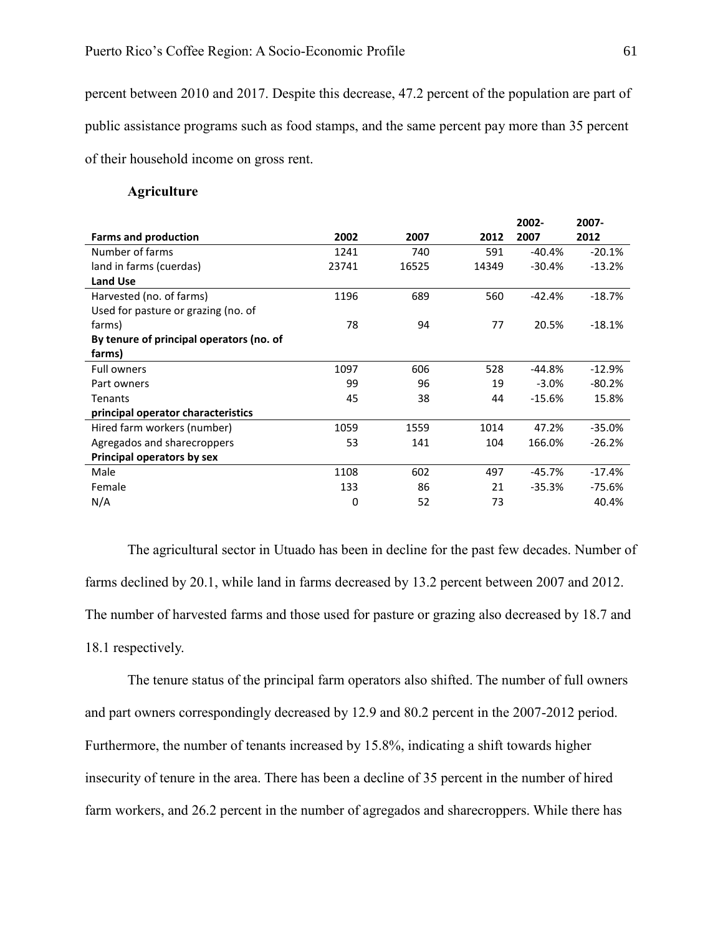percent between 2010 and 2017. Despite this decrease, 47.2 percent of the population are part of public assistance programs such as food stamps, and the same percent pay more than 35 percent of their household income on gross rent.

## **Agriculture**

|                                          |       |       |       | 2002-    | 2007-    |
|------------------------------------------|-------|-------|-------|----------|----------|
| <b>Farms and production</b>              | 2002  | 2007  | 2012  | 2007     | 2012     |
| Number of farms                          | 1241  | 740   | 591   | $-40.4%$ | $-20.1%$ |
| land in farms (cuerdas)                  | 23741 | 16525 | 14349 | $-30.4%$ | $-13.2%$ |
| <b>Land Use</b>                          |       |       |       |          |          |
| Harvested (no. of farms)                 | 1196  | 689   | 560   | $-42.4%$ | $-18.7%$ |
| Used for pasture or grazing (no. of      |       |       |       |          |          |
| farms)                                   | 78    | 94    | 77    | 20.5%    | $-18.1%$ |
| By tenure of principal operators (no. of |       |       |       |          |          |
| farms)                                   |       |       |       |          |          |
| <b>Full owners</b>                       | 1097  | 606   | 528   | $-44.8%$ | $-12.9%$ |
| Part owners                              | 99    | 96    | 19    | $-3.0%$  | $-80.2%$ |
| <b>Tenants</b>                           | 45    | 38    | 44    | $-15.6%$ | 15.8%    |
| principal operator characteristics       |       |       |       |          |          |
| Hired farm workers (number)              | 1059  | 1559  | 1014  | 47.2%    | $-35.0%$ |
| Agregados and sharecroppers              | 53    | 141   | 104   | 166.0%   | $-26.2%$ |
| Principal operators by sex               |       |       |       |          |          |
| Male                                     | 1108  | 602   | 497   | -45.7%   | $-17.4%$ |
| Female                                   | 133   | 86    | 21    | $-35.3%$ | -75.6%   |
| N/A                                      | 0     | 52    | 73    |          | 40.4%    |

The agricultural sector in Utuado has been in decline for the past few decades. Number of farms declined by 20.1, while land in farms decreased by 13.2 percent between 2007 and 2012. The number of harvested farms and those used for pasture or grazing also decreased by 18.7 and 18.1 respectively.

The tenure status of the principal farm operators also shifted. The number of full owners and part owners correspondingly decreased by 12.9 and 80.2 percent in the 2007-2012 period. Furthermore, the number of tenants increased by 15.8%, indicating a shift towards higher insecurity of tenure in the area. There has been a decline of 35 percent in the number of hired farm workers, and 26.2 percent in the number of agregados and sharecroppers. While there has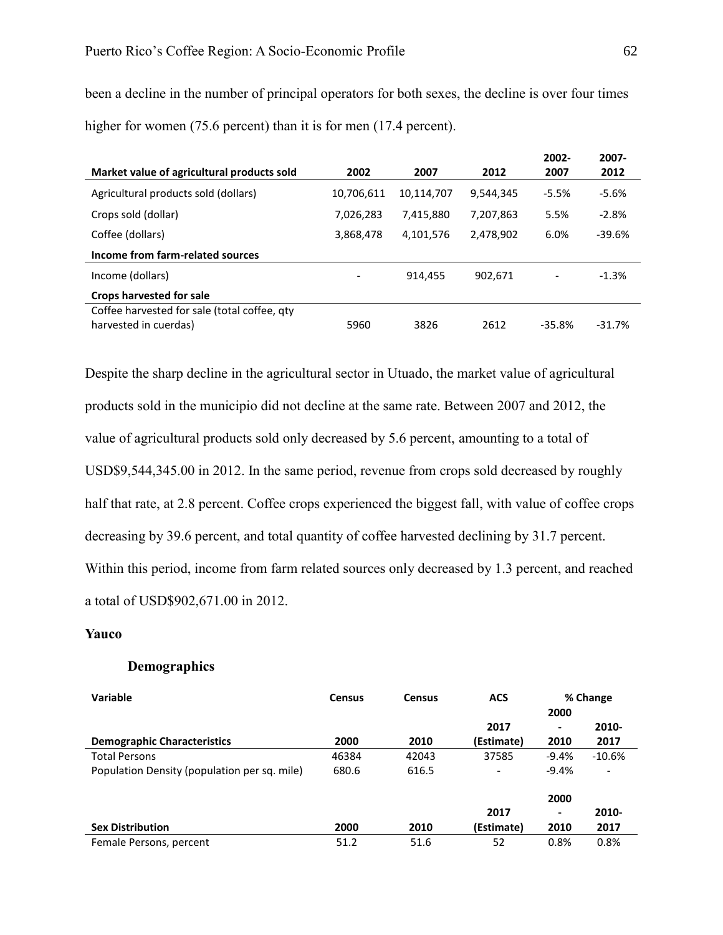higher for women (75.6 percent) than it is for men (17.4 percent). **Market value of agricultural products sold 2002 2007 2012 2002- 2007 2007- 2012**

been a decline in the number of principal operators for both sexes, the decline is over four times

| ZUUZ                     | 2007       | 2012      | 2007     | 2012.    |
|--------------------------|------------|-----------|----------|----------|
| 10,706,611               | 10,114,707 | 9,544,345 | $-5.5%$  | $-5.6%$  |
| 7,026,283                | 7,415,880  | 7,207,863 | 5.5%     | $-2.8%$  |
| 3,868,478                | 4,101,576  | 2,478,902 | 6.0%     | $-39.6%$ |
|                          |            |           |          |          |
| $\overline{\phantom{a}}$ | 914.455    | 902,671   | -        | $-1.3%$  |
|                          |            |           |          |          |
| 5960                     | 3826       | 2612      | $-35.8%$ | $-31.7%$ |
|                          |            |           |          |          |

Despite the sharp decline in the agricultural sector in Utuado, the market value of agricultural products sold in the municipio did not decline at the same rate. Between 2007 and 2012, the value of agricultural products sold only decreased by 5.6 percent, amounting to a total of USD\$9,544,345.00 in 2012. In the same period, revenue from crops sold decreased by roughly half that rate, at 2.8 percent. Coffee crops experienced the biggest fall, with value of coffee crops decreasing by 39.6 percent, and total quantity of coffee harvested declining by 31.7 percent. Within this period, income from farm related sources only decreased by 1.3 percent, and reached a total of USD\$902,671.00 in 2012.

## **Yauco**

## **Demographics**

| Variable                                     | <b>Census</b> | <b>Census</b> | <b>ACS</b>               | % Change |                          |
|----------------------------------------------|---------------|---------------|--------------------------|----------|--------------------------|
|                                              |               |               |                          | 2000     |                          |
|                                              |               |               | 2017                     | -        | 2010-                    |
| <b>Demographic Characteristics</b>           | 2000          | 2010          | (Estimate)               | 2010     | 2017                     |
| <b>Total Persons</b>                         | 46384         | 42043         | 37585                    | $-9.4%$  | $-10.6%$                 |
| Population Density (population per sq. mile) | 680.6         | 616.5         | $\overline{\phantom{a}}$ | $-9.4%$  | $\overline{\phantom{m}}$ |
|                                              |               |               |                          | 2000     |                          |
|                                              |               |               | 2017                     | ۰        | 2010-                    |
| <b>Sex Distribution</b>                      | 2000          | 2010          | (Estimate)               | 2010     | 2017                     |
| Female Persons, percent                      | 51.2          | 51.6          | 52                       | 0.8%     | 0.8%                     |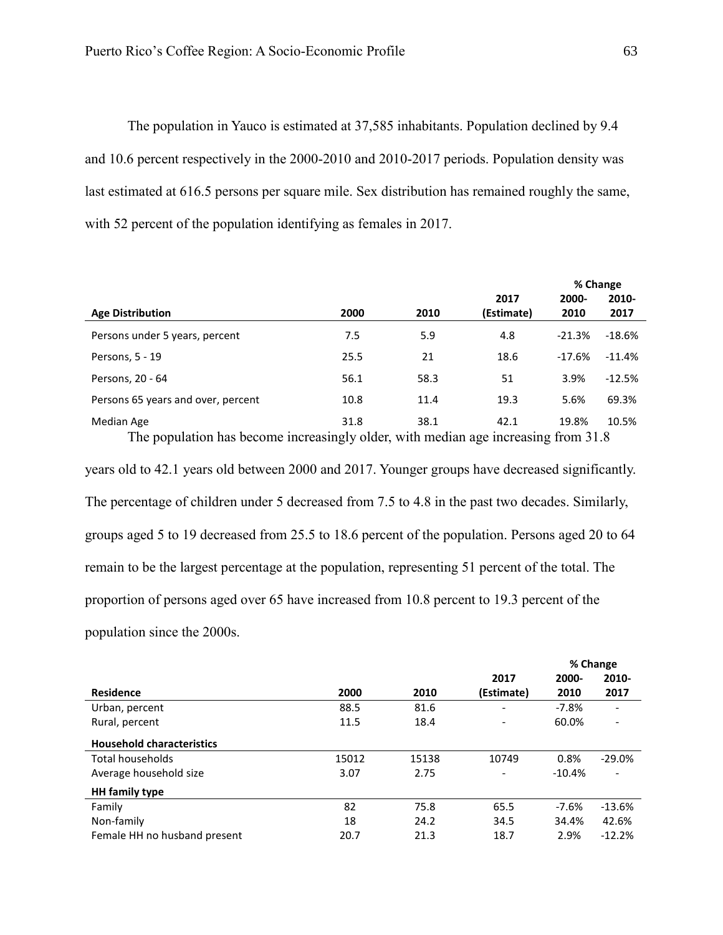The population in Yauco is estimated at 37,585 inhabitants. Population declined by 9.4 and 10.6 percent respectively in the 2000-2010 and 2010-2017 periods. Population density was last estimated at 616.5 persons per square mile. Sex distribution has remained roughly the same, with 52 percent of the population identifying as females in 2017.

|                                    |      |      |            |          | % Change |
|------------------------------------|------|------|------------|----------|----------|
|                                    |      |      | 2017       | 2000-    | 2010-    |
| <b>Age Distribution</b>            | 2000 | 2010 | (Estimate) | 2010     | 2017     |
| Persons under 5 years, percent     | 7.5  | 5.9  | 4.8        | $-21.3%$ | $-18.6%$ |
| Persons, 5 - 19                    | 25.5 | 21   | 18.6       | $-17.6%$ | $-11.4%$ |
| Persons, 20 - 64                   | 56.1 | 58.3 | 51         | 3.9%     | $-12.5%$ |
| Persons 65 years and over, percent | 10.8 | 11.4 | 19.3       | 5.6%     | 69.3%    |
| Median Age                         | 31.8 | 38.1 | 42.1       | 19.8%    | 10.5%    |

The population has become increasingly older, with median age increasing from 31.8 years old to 42.1 years old between 2000 and 2017. Younger groups have decreased significantly. The percentage of children under 5 decreased from 7.5 to 4.8 in the past two decades. Similarly, groups aged 5 to 19 decreased from 25.5 to 18.6 percent of the population. Persons aged 20 to 64 remain to be the largest percentage at the population, representing 51 percent of the total. The proportion of persons aged over 65 have increased from 10.8 percent to 19.3 percent of the population since the 2000s.

|                                  |       |       |                          | % Change |                          |
|----------------------------------|-------|-------|--------------------------|----------|--------------------------|
|                                  |       |       | 2017                     | 2000-    | 2010-                    |
| <b>Residence</b>                 | 2000  | 2010  | (Estimate)               | 2010     | 2017                     |
| Urban, percent                   | 88.5  | 81.6  |                          | $-7.8%$  |                          |
| Rural, percent                   | 11.5  | 18.4  | $\overline{\phantom{a}}$ | 60.0%    | $\overline{\phantom{a}}$ |
| <b>Household characteristics</b> |       |       |                          |          |                          |
| Total households                 | 15012 | 15138 | 10749                    | 0.8%     | $-29.0%$                 |
| Average household size           | 3.07  | 2.75  | $\overline{\phantom{a}}$ | $-10.4%$ | $\overline{\phantom{a}}$ |
| <b>HH</b> family type            |       |       |                          |          |                          |
| Family                           | 82    | 75.8  | 65.5                     | $-7.6%$  | $-13.6%$                 |
| Non-family                       | 18    | 24.2  | 34.5                     | 34.4%    | 42.6%                    |
| Female HH no husband present     | 20.7  | 21.3  | 18.7                     | 2.9%     | $-12.2%$                 |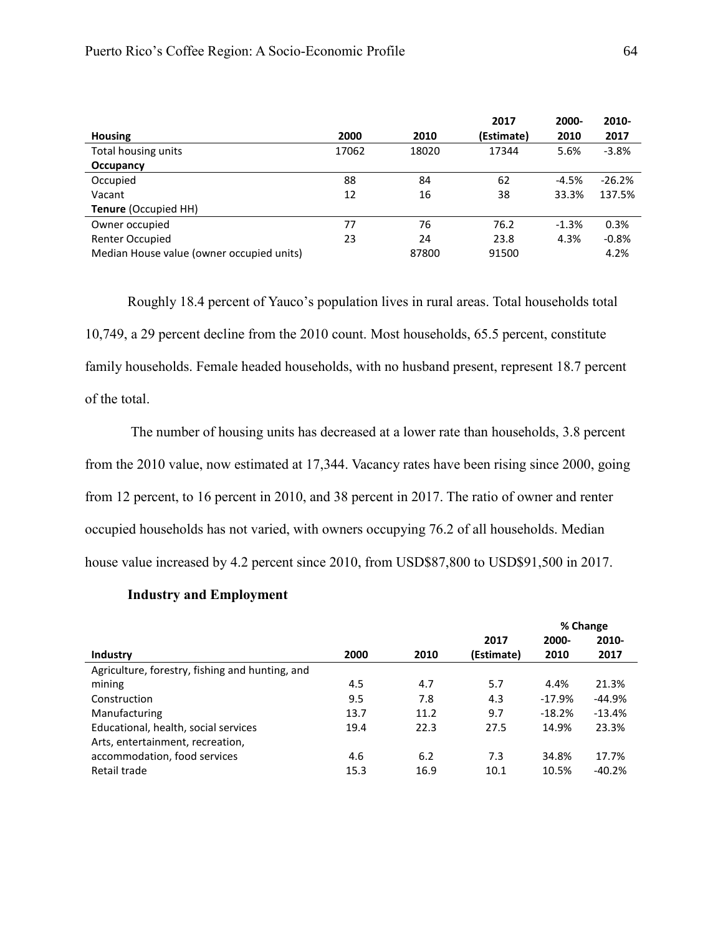|                                           |       |       | 2017       | 2000-   | 2010-    |
|-------------------------------------------|-------|-------|------------|---------|----------|
| <b>Housing</b>                            | 2000  | 2010  | (Estimate) | 2010    | 2017     |
| Total housing units                       | 17062 | 18020 | 17344      | 5.6%    | $-3.8%$  |
| Occupancy                                 |       |       |            |         |          |
| Occupied                                  | 88    | 84    | 62         | $-4.5%$ | $-26.2%$ |
| Vacant                                    | 12    | 16    | 38         | 33.3%   | 137.5%   |
| <b>Tenure (Occupied HH)</b>               |       |       |            |         |          |
| Owner occupied                            | 77    | 76    | 76.2       | $-1.3%$ | 0.3%     |
| <b>Renter Occupied</b>                    | 23    | 24    | 23.8       | 4.3%    | $-0.8%$  |
| Median House value (owner occupied units) |       | 87800 | 91500      |         | 4.2%     |

Roughly 18.4 percent of Yauco's population lives in rural areas. Total households total 10,749, a 29 percent decline from the 2010 count. Most households, 65.5 percent, constitute family households. Female headed households, with no husband present, represent 18.7 percent of the total.

The number of housing units has decreased at a lower rate than households, 3.8 percent from the 2010 value, now estimated at 17,344. Vacancy rates have been rising since 2000, going from 12 percent, to 16 percent in 2010, and 38 percent in 2017. The ratio of owner and renter occupied households has not varied, with owners occupying 76.2 of all households. Median house value increased by 4.2 percent since 2010, from USD\$87,800 to USD\$91,500 in 2017.

## **Industry and Employment**

|                                                 |      |      |            | % Change |          |
|-------------------------------------------------|------|------|------------|----------|----------|
|                                                 |      |      | 2017       | 2000-    | 2010-    |
| Industry                                        | 2000 | 2010 | (Estimate) | 2010     | 2017     |
| Agriculture, forestry, fishing and hunting, and |      |      |            |          |          |
| mining                                          | 4.5  | 4.7  | 5.7        | 4.4%     | 21.3%    |
| Construction                                    | 9.5  | 7.8  | 4.3        | $-17.9%$ | $-44.9%$ |
| Manufacturing                                   | 13.7 | 11.2 | 9.7        | $-18.2%$ | $-13.4%$ |
| Educational, health, social services            | 19.4 | 22.3 | 27.5       | 14.9%    | 23.3%    |
| Arts, entertainment, recreation,                |      |      |            |          |          |
| accommodation, food services                    | 4.6  | 6.2  | 7.3        | 34.8%    | 17.7%    |
| Retail trade                                    | 15.3 | 16.9 | 10.1       | 10.5%    | $-40.2%$ |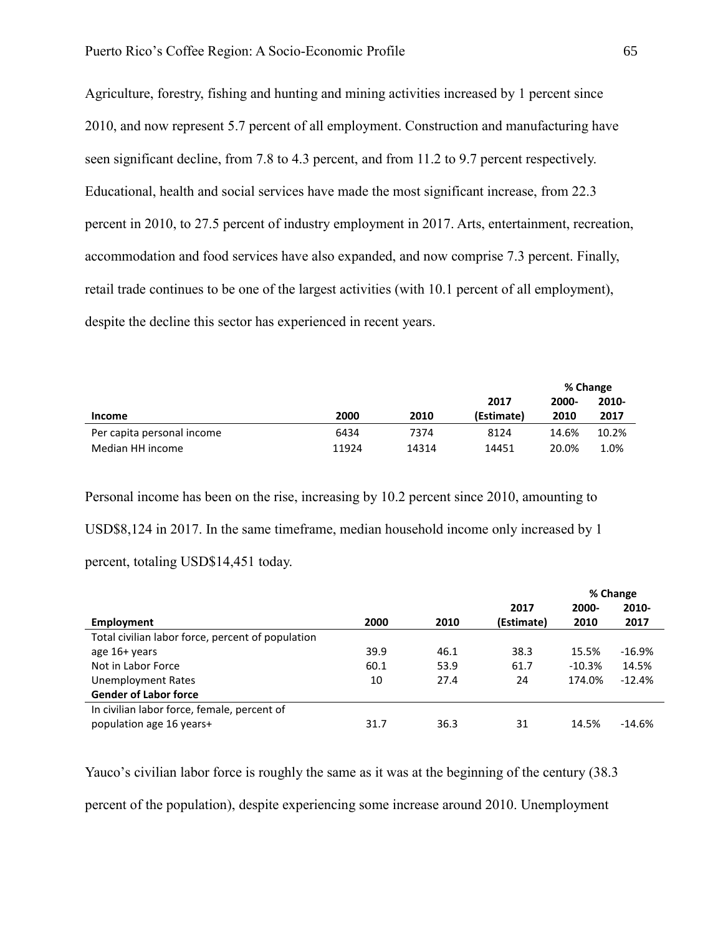Agriculture, forestry, fishing and hunting and mining activities increased by 1 percent since 2010, and now represent 5.7 percent of all employment. Construction and manufacturing have seen significant decline, from 7.8 to 4.3 percent, and from 11.2 to 9.7 percent respectively. Educational, health and social services have made the most significant increase, from 22.3 percent in 2010, to 27.5 percent of industry employment in 2017. Arts, entertainment, recreation, accommodation and food services have also expanded, and now comprise 7.3 percent. Finally, retail trade continues to be one of the largest activities (with 10.1 percent of all employment), despite the decline this sector has experienced in recent years.

|                            |       |       |            | % Change |       |
|----------------------------|-------|-------|------------|----------|-------|
|                            |       |       | 2017       | 2000-    | 2010- |
| Income                     | 2000  | 2010  | (Estimate) | 2010     | 2017  |
| Per capita personal income | 6434  | 7374  | 8124       | 14.6%    | 10.2% |
| Median HH income           | 11924 | 14314 | 14451      | 20.0%    | 1.0%  |

Personal income has been on the rise, increasing by 10.2 percent since 2010, amounting to USD\$8,124 in 2017. In the same timeframe, median household income only increased by 1 percent, totaling USD\$14,451 today.

|                                                   |      |      |            |           | % Change |
|---------------------------------------------------|------|------|------------|-----------|----------|
|                                                   |      |      | 2017       | 2000-     | 2010-    |
| Employment                                        | 2000 | 2010 | (Estimate) | 2010      | 2017     |
| Total civilian labor force, percent of population |      |      |            |           |          |
| age 16+ years                                     | 39.9 | 46.1 | 38.3       | 15.5%     | $-16.9%$ |
| Not in Labor Force                                | 60.1 | 53.9 | 61.7       | $-10.3\%$ | 14.5%    |
| Unemployment Rates                                | 10   | 27.4 | 24         | 174.0%    | $-12.4%$ |
| <b>Gender of Labor force</b>                      |      |      |            |           |          |
| In civilian labor force, female, percent of       |      |      |            |           |          |
| population age 16 years+                          | 31.7 | 36.3 | 31         | 14.5%     | $-14.6%$ |

Yauco's civilian labor force is roughly the same as it was at the beginning of the century (38.3)

percent of the population), despite experiencing some increase around 2010. Unemployment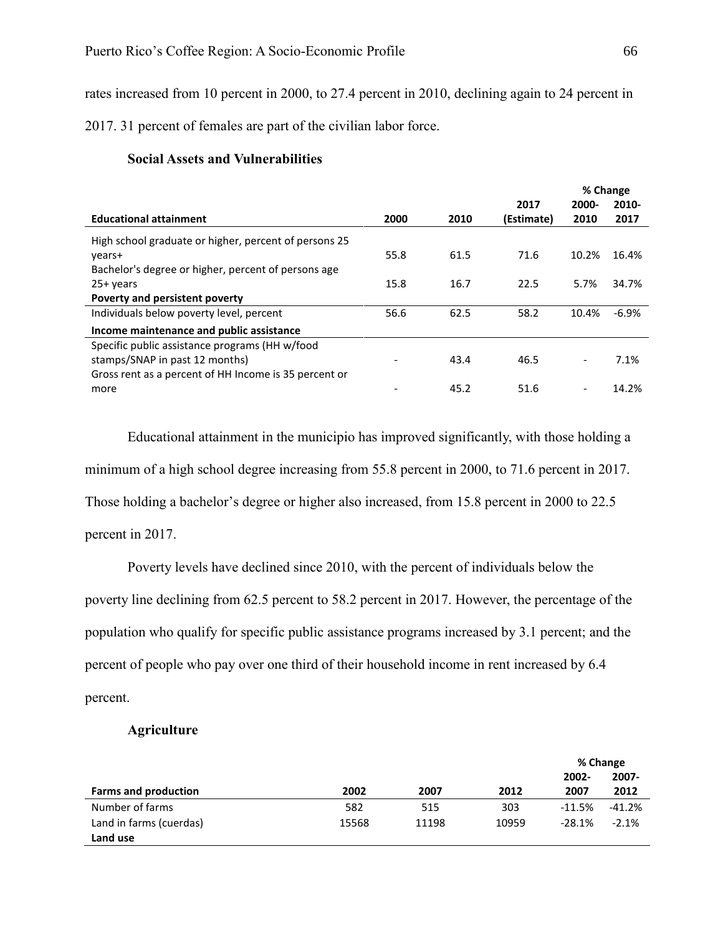rates increased from 10 percent in 2000, to 27.4 percent in 2010, declining again to 24 percent in

2017. 31 percent of females are part of the civilian labor force.

## **Social Assets and Vulnerabilities**

|                                                       |      |      |            |                          | % Change |
|-------------------------------------------------------|------|------|------------|--------------------------|----------|
|                                                       |      |      | 2017       | 2000-                    | 2010-    |
| <b>Educational attainment</b>                         | 2000 | 2010 | (Estimate) | 2010                     | 2017     |
| High school graduate or higher, percent of persons 25 |      |      |            |                          |          |
| years+                                                | 55.8 | 61.5 | 71.6       | 10.2%                    | 16.4%    |
| Bachelor's degree or higher, percent of persons age   |      |      |            |                          |          |
| $25+vears$                                            | 15.8 | 16.7 | 22.5       | 5.7%                     | 34.7%    |
| Poverty and persistent poverty                        |      |      |            |                          |          |
| Individuals below poverty level, percent              | 56.6 | 62.5 | 58.2       | 10.4%                    | $-6.9%$  |
| Income maintenance and public assistance              |      |      |            |                          |          |
| Specific public assistance programs (HH w/food        |      |      |            |                          |          |
| stamps/SNAP in past 12 months)                        |      | 43.4 | 46.5       | $\overline{\phantom{a}}$ | 7.1%     |
| Gross rent as a percent of HH Income is 35 percent or |      |      |            |                          |          |
| more                                                  |      | 45.2 | 51.6       | $\overline{\phantom{0}}$ | 14.2%    |

Educational attainment in the municipio has improved significantly, with those holding a minimum of a high school degree increasing from 55.8 percent in 2000, to 71.6 percent in 2017. Those holding a bachelor's degree or higher also increased, from 15.8 percent in 2000 to 22.5

percent in 2017.

Poverty levels have declined since 2010, with the percent of individuals below the poverty line declining from 62.5 percent to 58.2 percent in 2017. However, the percentage of the population who qualify for specific public assistance programs increased by 3.1 percent; and the percent of people who pay over one third of their household income in rent increased by 6.4 percent.

## **Agriculture**

|                             |       |       |       |           | % Change |
|-----------------------------|-------|-------|-------|-----------|----------|
|                             |       |       |       | 2002-     | 2007-    |
| <b>Farms and production</b> | 2002  | 2007  | 2012  | 2007      | 2012     |
| Number of farms             | 582   | 515   | 303   | $-11.5%$  | $-41.2%$ |
| Land in farms (cuerdas)     | 15568 | 11198 | 10959 | $-28.1\%$ | $-2.1%$  |
| Land use                    |       |       |       |           |          |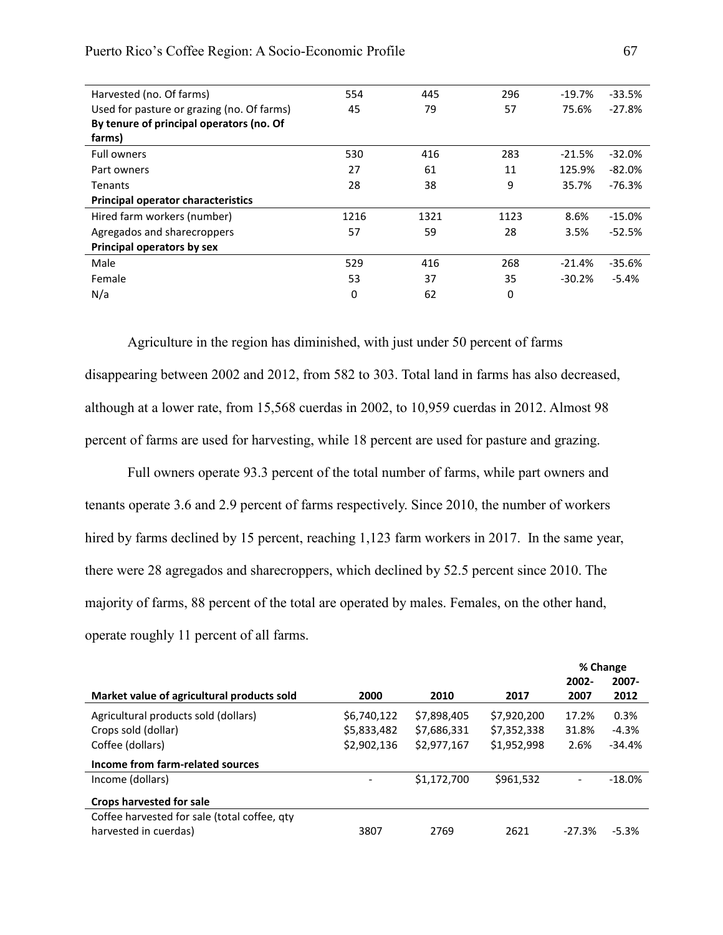| Harvested (no. Of farms)                   | 554  | 445  | 296  | $-19.7%$ | $-33.5%$ |
|--------------------------------------------|------|------|------|----------|----------|
| Used for pasture or grazing (no. Of farms) | 45   | 79   | 57   | 75.6%    | $-27.8%$ |
| By tenure of principal operators (no. Of   |      |      |      |          |          |
| farms)                                     |      |      |      |          |          |
| Full owners                                | 530  | 416  | 283  | $-21.5%$ | $-32.0%$ |
| Part owners                                | 27   | 61   | 11   | 125.9%   | $-82.0%$ |
| Tenants                                    | 28   | 38   | 9    | 35.7%    | $-76.3%$ |
| <b>Principal operator characteristics</b>  |      |      |      |          |          |
| Hired farm workers (number)                | 1216 | 1321 | 1123 | 8.6%     | $-15.0%$ |
| Agregados and sharecroppers                | 57   | 59   | 28   | 3.5%     | $-52.5%$ |
| Principal operators by sex                 |      |      |      |          |          |
| Male                                       | 529  | 416  | 268  | $-21.4%$ | $-35.6%$ |
| Female                                     | 53   | 37   | 35   | $-30.2%$ | $-5.4%$  |
| N/a                                        | 0    | 62   | 0    |          |          |
|                                            |      |      |      |          |          |

Puerto Rico's Coffee Region: A Socio-Economic Profile 67

Agriculture in the region has diminished, with just under 50 percent of farms disappearing between 2002 and 2012, from 582 to 303. Total land in farms has also decreased, although at a lower rate, from 15,568 cuerdas in 2002, to 10,959 cuerdas in 2012. Almost 98 percent of farms are used for harvesting, while 18 percent are used for pasture and grazing.

Full owners operate 93.3 percent of the total number of farms, while part owners and tenants operate 3.6 and 2.9 percent of farms respectively. Since 2010, the number of workers hired by farms declined by 15 percent, reaching 1,123 farm workers in 2017. In the same year, there were 28 agregados and sharecroppers, which declined by 52.5 percent since 2010. The majority of farms, 88 percent of the total are operated by males. Females, on the other hand, operate roughly 11 percent of all farms.

|                                              |             |             |             |          | % Change |
|----------------------------------------------|-------------|-------------|-------------|----------|----------|
|                                              |             |             |             | $2002 -$ | 2007-    |
| Market value of agricultural products sold   | 2000        | 2010        | 2017        | 2007     | 2012     |
| Agricultural products sold (dollars)         | \$6,740,122 | \$7,898,405 | \$7,920,200 | 17.2%    | 0.3%     |
| Crops sold (dollar)                          | \$5,833,482 | \$7,686,331 | \$7,352,338 | 31.8%    | $-4.3%$  |
| Coffee (dollars)                             | \$2,902,136 | \$2,977,167 | \$1,952,998 | 2.6%     | $-34.4%$ |
| Income from farm-related sources             |             |             |             |          |          |
| Income (dollars)                             |             | \$1,172,700 | \$961,532   |          | $-18.0%$ |
| Crops harvested for sale                     |             |             |             |          |          |
| Coffee harvested for sale (total coffee, qty |             |             |             |          |          |
| harvested in cuerdas)                        | 3807        | 2769        | 2621        | $-27.3%$ | $-5.3%$  |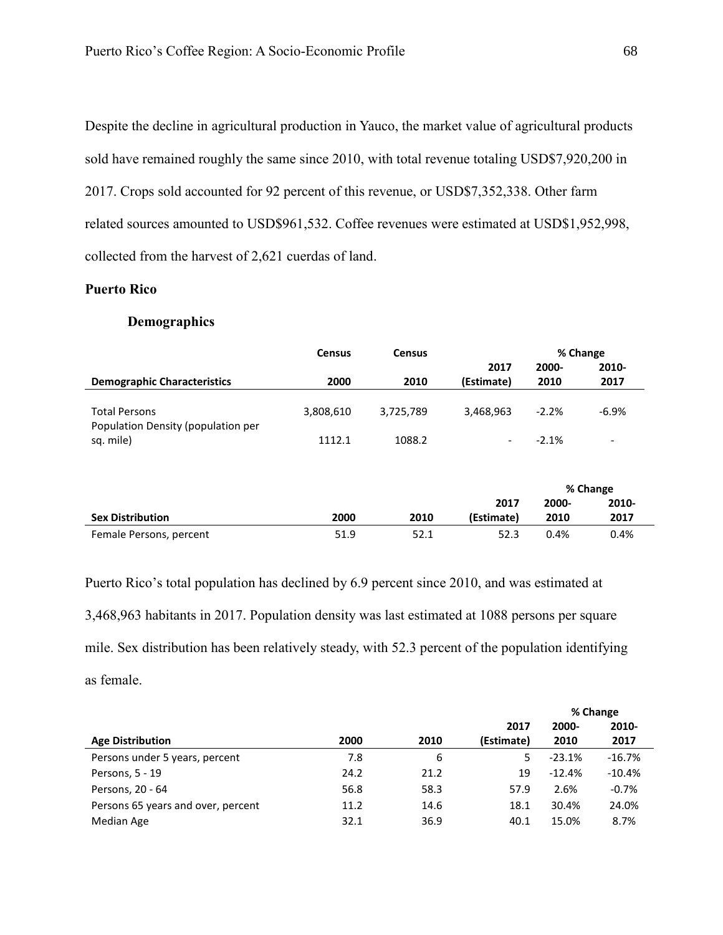Despite the decline in agricultural production in Yauco, the market value of agricultural products sold have remained roughly the same since 2010, with total revenue totaling USD\$7,920,200 in 2017. Crops sold accounted for 92 percent of this revenue, or USD\$7,352,338. Other farm related sources amounted to USD\$961,532. Coffee revenues were estimated at USD\$1,952,998, collected from the harvest of 2,621 cuerdas of land.

## **Puerto Rico**

# **Demographics**

|                                    | <b>Census</b> | <b>Census</b> |                          |         | % Change                 |
|------------------------------------|---------------|---------------|--------------------------|---------|--------------------------|
|                                    |               |               | 2017                     | 2000-   | 2010-                    |
| <b>Demographic Characteristics</b> | 2000          | 2010          | (Estimate)               | 2010    | 2017                     |
|                                    |               |               |                          |         |                          |
| <b>Total Persons</b>               | 3,808,610     | 3,725,789     | 3,468,963                | $-2.2%$ | $-6.9\%$                 |
| Population Density (population per |               |               |                          |         |                          |
| sq. mile)                          | 1112.1        | 1088.2        | $\overline{\phantom{a}}$ | $-2.1%$ | $\overline{\phantom{a}}$ |

|                         |      |      |            |       | % Change |
|-------------------------|------|------|------------|-------|----------|
|                         |      |      | 2017       | 2000- | 2010-    |
| <b>Sex Distribution</b> | 2000 | 2010 | (Estimate) | 2010  | 2017     |
| Female Persons, percent | 51.9 | 52.1 | 52.3       | 0.4%  | $0.4\%$  |

Puerto Rico's total population has declined by 6.9 percent since 2010, and was estimated at 3,468,963 habitants in 2017. Population density was last estimated at 1088 persons per square mile. Sex distribution has been relatively steady, with 52.3 percent of the population identifying as female.

|                                    |      |      |            |          | % Change |
|------------------------------------|------|------|------------|----------|----------|
|                                    |      |      | 2017       | 2000-    | 2010-    |
| <b>Age Distribution</b>            | 2000 | 2010 | (Estimate) | 2010     | 2017     |
| Persons under 5 years, percent     | 7.8  | 6    | 5.         | $-23.1%$ | $-16.7%$ |
| Persons, 5 - 19                    | 24.2 | 21.2 | 19         | $-12.4%$ | $-10.4%$ |
| Persons, 20 - 64                   | 56.8 | 58.3 | 57.9       | 2.6%     | $-0.7%$  |
| Persons 65 years and over, percent | 11.2 | 14.6 | 18.1       | 30.4%    | 24.0%    |
| Median Age                         | 32.1 | 36.9 | 40.1       | 15.0%    | 8.7%     |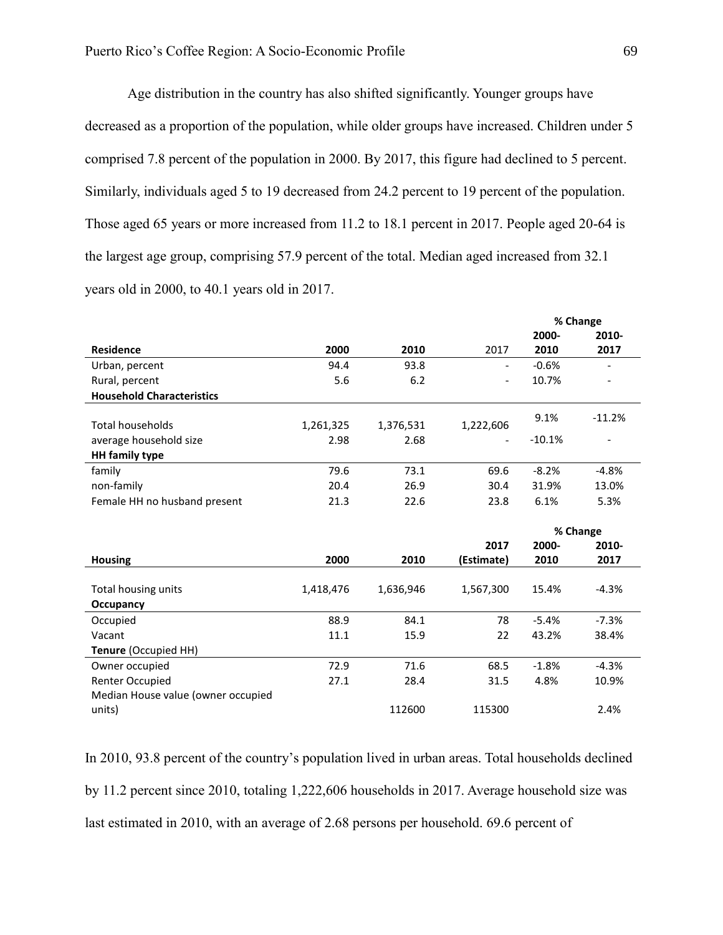Age distribution in the country has also shifted significantly. Younger groups have decreased as a proportion of the population, while older groups have increased. Children under 5 comprised 7.8 percent of the population in 2000. By 2017, this figure had declined to 5 percent. Similarly, individuals aged 5 to 19 decreased from 24.2 percent to 19 percent of the population. Those aged 65 years or more increased from 11.2 to 18.1 percent in 2017. People aged 20-64 is the largest age group, comprising 57.9 percent of the total. Median aged increased from 32.1 years old in 2000, to 40.1 years old in 2017.

|                                    |           |           |                          |          | % Change |
|------------------------------------|-----------|-----------|--------------------------|----------|----------|
|                                    |           |           |                          | 2000-    | 2010-    |
| <b>Residence</b>                   | 2000      | 2010      | 2017                     | 2010     | 2017     |
| Urban, percent                     | 94.4      | 93.8      | $\overline{\phantom{a}}$ | $-0.6%$  |          |
| Rural, percent                     | 5.6       | 6.2       |                          | 10.7%    |          |
| <b>Household Characteristics</b>   |           |           |                          |          |          |
|                                    |           |           |                          | 9.1%     | $-11.2%$ |
| <b>Total households</b>            | 1,261,325 | 1,376,531 | 1,222,606                |          |          |
| average household size             | 2.98      | 2.68      |                          | $-10.1%$ |          |
| <b>HH</b> family type              |           |           |                          |          |          |
| family                             | 79.6      | 73.1      | 69.6                     | $-8.2%$  | $-4.8%$  |
| non-family                         | 20.4      | 26.9      | 30.4                     | 31.9%    | 13.0%    |
| Female HH no husband present       | 21.3      | 22.6      | 23.8                     | 6.1%     | 5.3%     |
|                                    |           |           |                          |          |          |
|                                    |           |           |                          |          |          |
|                                    |           |           |                          |          | % Change |
|                                    |           |           | 2017                     | 2000-    | 2010-    |
| <b>Housing</b>                     | 2000      | 2010      | (Estimate)               | 2010     | 2017     |
|                                    |           |           |                          |          |          |
| Total housing units                | 1,418,476 | 1,636,946 | 1,567,300                | 15.4%    | $-4.3%$  |
| Occupancy                          |           |           |                          |          |          |
| Occupied                           | 88.9      | 84.1      | 78                       | $-5.4%$  | $-7.3%$  |
| Vacant                             | 11.1      | 15.9      | 22                       | 43.2%    | 38.4%    |
| <b>Tenure (Occupied HH)</b>        |           |           |                          |          |          |
| Owner occupied                     | 72.9      | 71.6      | 68.5                     | $-1.8%$  | $-4.3%$  |
| Renter Occupied                    | 27.1      | 28.4      | 31.5                     | 4.8%     | 10.9%    |
| Median House value (owner occupied |           |           |                          |          |          |

In 2010, 93.8 percent of the country's population lived in urban areas. Total households declined by 11.2 percent since 2010, totaling 1,222,606 households in 2017. Average household size was last estimated in 2010, with an average of 2.68 persons per household. 69.6 percent of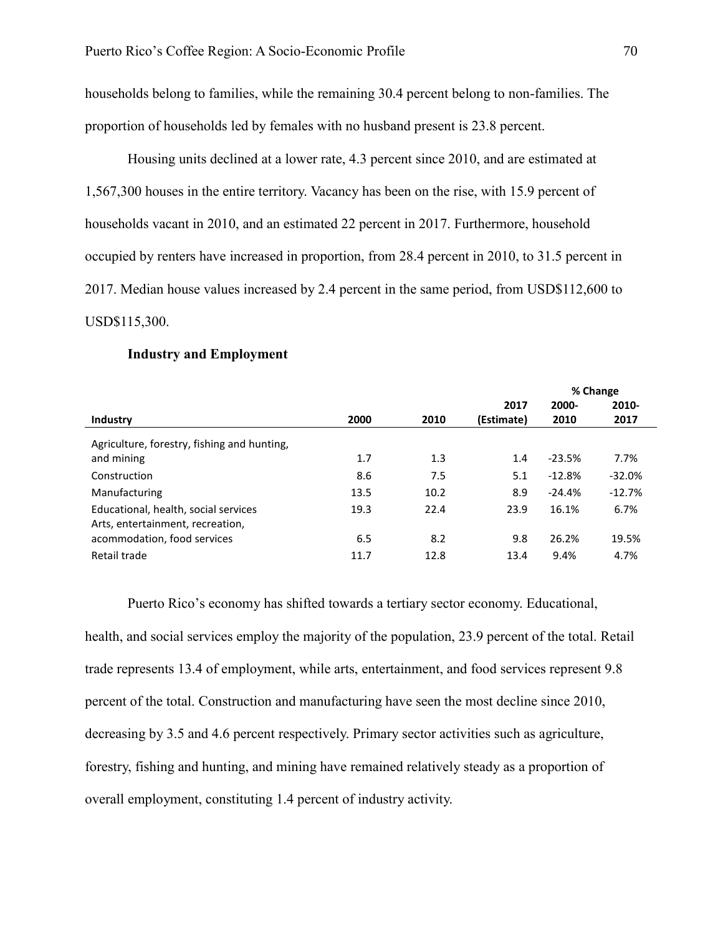households belong to families, while the remaining 30.4 percent belong to non-families. The proportion of households led by females with no husband present is 23.8 percent.

Housing units declined at a lower rate, 4.3 percent since 2010, and are estimated at 1,567,300 houses in the entire territory. Vacancy has been on the rise, with 15.9 percent of households vacant in 2010, and an estimated 22 percent in 2017. Furthermore, household occupied by renters have increased in proportion, from 28.4 percent in 2010, to 31.5 percent in 2017. Median house values increased by 2.4 percent in the same period, from USD\$112,600 to USD\$115,300.

|                                                                          |      |      |            | % Change |          |  |
|--------------------------------------------------------------------------|------|------|------------|----------|----------|--|
|                                                                          |      |      | 2017       | 2000-    | 2010-    |  |
| Industry                                                                 | 2000 | 2010 | (Estimate) | 2010     | 2017     |  |
| Agriculture, forestry, fishing and hunting,                              |      |      |            |          |          |  |
| and mining                                                               | 1.7  | 1.3  | 1.4        | $-23.5%$ | 7.7%     |  |
| Construction                                                             | 8.6  | 7.5  | 5.1        | $-12.8%$ | $-32.0%$ |  |
| Manufacturing                                                            | 13.5 | 10.2 | 8.9        | $-24.4%$ | $-12.7%$ |  |
| Educational, health, social services<br>Arts, entertainment, recreation, | 19.3 | 22.4 | 23.9       | 16.1%    | 6.7%     |  |
| acommodation, food services                                              | 6.5  | 8.2  | 9.8        | 26.2%    | 19.5%    |  |
| Retail trade                                                             | 11.7 | 12.8 | 13.4       | 9.4%     | 4.7%     |  |

#### **Industry and Employment**

Puerto Rico's economy has shifted towards a tertiary sector economy. Educational,

health, and social services employ the majority of the population, 23.9 percent of the total. Retail trade represents 13.4 of employment, while arts, entertainment, and food services represent 9.8 percent of the total. Construction and manufacturing have seen the most decline since 2010, decreasing by 3.5 and 4.6 percent respectively. Primary sector activities such as agriculture, forestry, fishing and hunting, and mining have remained relatively steady as a proportion of overall employment, constituting 1.4 percent of industry activity.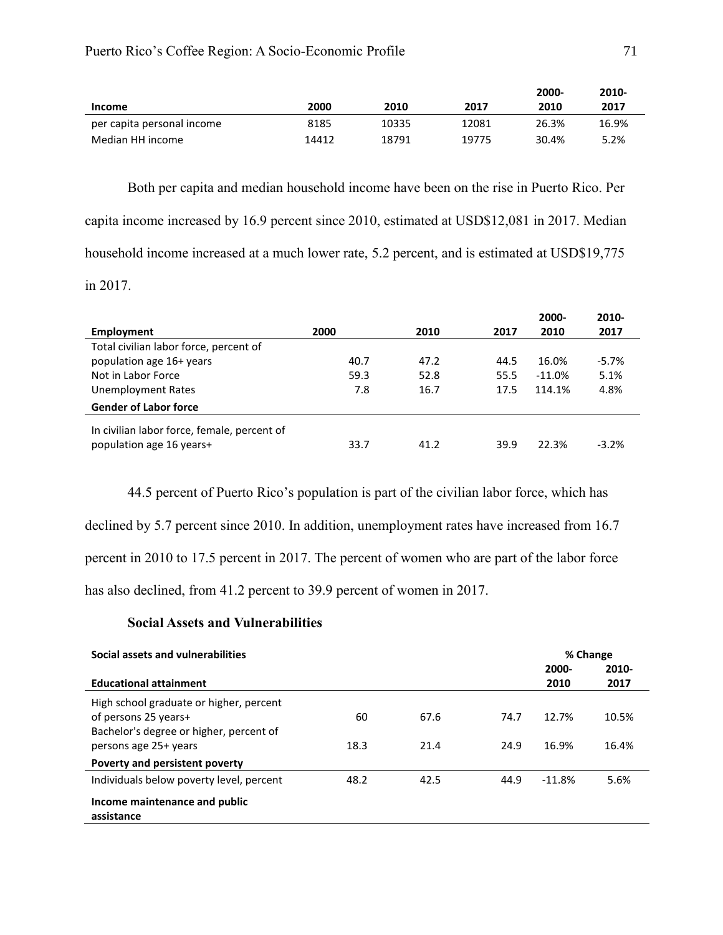|                            |       |       |       | 2000- | 2010- |
|----------------------------|-------|-------|-------|-------|-------|
| <b>Income</b>              | 2000  | 2010  | 2017  | 2010  | 2017  |
| per capita personal income | 8185  | 10335 | 12081 | 26.3% | 16.9% |
| Median HH income           | 14412 | 18791 | 19775 | 30.4% | 5.2%  |

Both per capita and median household income have been on the rise in Puerto Rico. Per capita income increased by 16.9 percent since 2010, estimated at USD\$12,081 in 2017. Median household income increased at a much lower rate, 5.2 percent, and is estimated at USD\$19,775 in 2017.

|                                             |      |      |      | 2000-    | 2010-    |
|---------------------------------------------|------|------|------|----------|----------|
| Employment                                  | 2000 | 2010 | 2017 | 2010     | 2017     |
| Total civilian labor force, percent of      |      |      |      |          |          |
| population age 16+ years                    | 40.7 | 47.2 | 44.5 | 16.0%    | $-5.7\%$ |
| Not in Labor Force                          | 59.3 | 52.8 | 55.5 | $-11.0%$ | 5.1%     |
| <b>Unemployment Rates</b>                   | 7.8  | 16.7 | 17.5 | 114.1%   | 4.8%     |
| <b>Gender of Labor force</b>                |      |      |      |          |          |
| In civilian labor force, female, percent of |      |      |      |          |          |
| population age 16 years+                    | 33.7 | 41.2 | 39.9 | 22.3%    | $-3.2%$  |

44.5 percent of Puerto Rico's population is part of the civilian labor force, which has declined by 5.7 percent since 2010. In addition, unemployment rates have increased from 16.7 percent in 2010 to 17.5 percent in 2017. The percent of women who are part of the labor force has also declined, from 41.2 percent to 39.9 percent of women in 2017.

## **Social Assets and Vulnerabilities**

| Social assets and vulnerabilities        |      |      |      | % Change |          |
|------------------------------------------|------|------|------|----------|----------|
|                                          |      |      |      | 2000-    | $2010 -$ |
| <b>Educational attainment</b>            |      |      |      | 2010     | 2017     |
| High school graduate or higher, percent  |      |      |      |          |          |
| of persons 25 years+                     | 60   | 67.6 | 74.7 | 12.7%    | 10.5%    |
| Bachelor's degree or higher, percent of  |      |      |      |          |          |
| persons age 25+ years                    | 18.3 | 21.4 | 24.9 | 16.9%    | 16.4%    |
| Poverty and persistent poverty           |      |      |      |          |          |
| Individuals below poverty level, percent | 48.2 | 42.5 | 44.9 | $-11.8%$ | 5.6%     |
| Income maintenance and public            |      |      |      |          |          |
| assistance                               |      |      |      |          |          |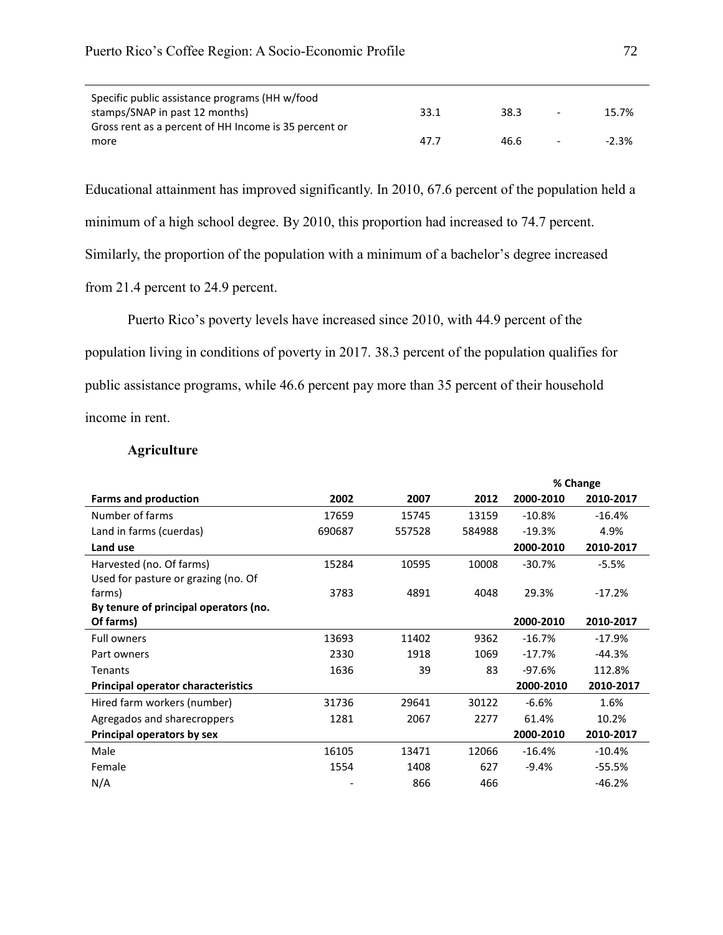| 33.1 | 38.3 | $\overline{\phantom{a}}$ | 15.7%    |
|------|------|--------------------------|----------|
|      |      |                          |          |
| 47.7 | 46.6 | $\overline{\phantom{a}}$ | $-2.3\%$ |
|      |      |                          |          |

Educational attainment has improved significantly. In 2010, 67.6 percent of the population held a

minimum of a high school degree. By 2010, this proportion had increased to 74.7 percent.

Similarly, the proportion of the population with a minimum of a bachelor's degree increased

from 21.4 percent to 24.9 percent.

Puerto Rico's poverty levels have increased since 2010, with 44.9 percent of the population living in conditions of poverty in 2017. 38.3 percent of the population qualifies for public assistance programs, while 46.6 percent pay more than 35 percent of their household income in rent.

# **Agriculture**

|                                       |        |        |        |           | % Change  |
|---------------------------------------|--------|--------|--------|-----------|-----------|
| <b>Farms and production</b>           | 2002   | 2007   | 2012   | 2000-2010 | 2010-2017 |
| Number of farms                       | 17659  | 15745  | 13159  | $-10.8%$  | $-16.4%$  |
| Land in farms (cuerdas)               | 690687 | 557528 | 584988 | $-19.3%$  | 4.9%      |
| Land use                              |        |        |        | 2000-2010 | 2010-2017 |
| Harvested (no. Of farms)              | 15284  | 10595  | 10008  | $-30.7%$  | $-5.5%$   |
| Used for pasture or grazing (no. Of   |        |        |        |           |           |
| farms)                                | 3783   | 4891   | 4048   | 29.3%     | $-17.2%$  |
| By tenure of principal operators (no. |        |        |        |           |           |
| Of farms)                             |        |        |        | 2000-2010 | 2010-2017 |
| <b>Full owners</b>                    | 13693  | 11402  | 9362   | $-16.7%$  | $-17.9%$  |
| Part owners                           | 2330   | 1918   | 1069   | $-17.7%$  | $-44.3%$  |
| Tenants                               | 1636   | 39     | 83     | $-97.6%$  | 112.8%    |
| Principal operator characteristics    |        |        |        | 2000-2010 | 2010-2017 |
| Hired farm workers (number)           | 31736  | 29641  | 30122  | $-6.6%$   | 1.6%      |
| Agregados and sharecroppers           | 1281   | 2067   | 2277   | 61.4%     | 10.2%     |
| Principal operators by sex            |        |        |        | 2000-2010 | 2010-2017 |
| Male                                  | 16105  | 13471  | 12066  | $-16.4%$  | $-10.4%$  |
| Female                                | 1554   | 1408   | 627    | $-9.4%$   | $-55.5%$  |
| N/A                                   |        | 866    | 466    |           | $-46.2%$  |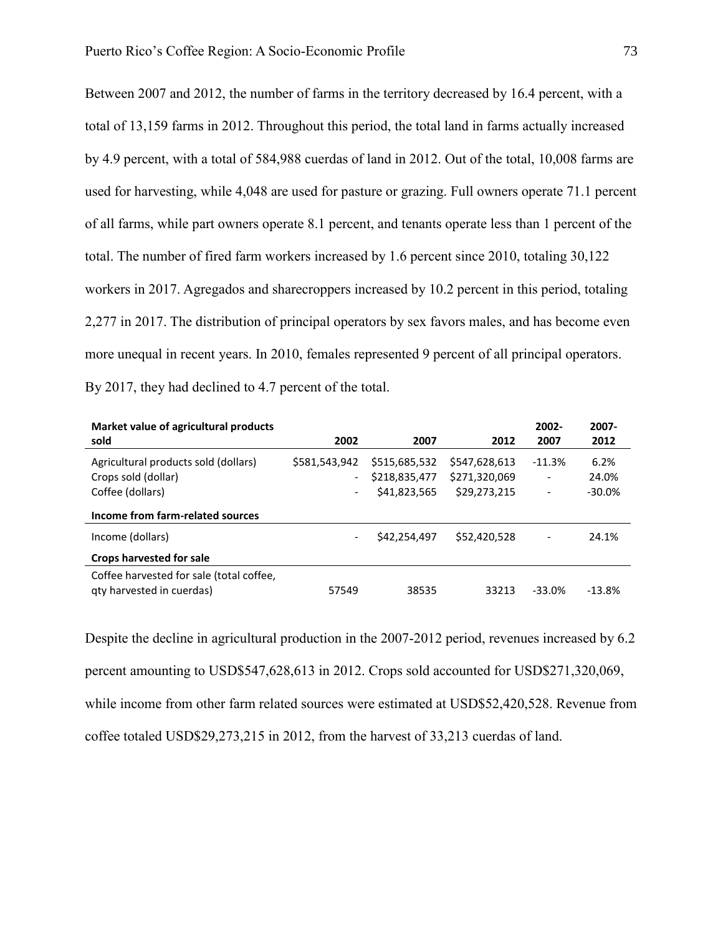Between 2007 and 2012, the number of farms in the territory decreased by 16.4 percent, with a total of 13,159 farms in 2012. Throughout this period, the total land in farms actually increased by 4.9 percent, with a total of 584,988 cuerdas of land in 2012. Out of the total, 10,008 farms are used for harvesting, while 4,048 are used for pasture or grazing. Full owners operate 71.1 percent of all farms, while part owners operate 8.1 percent, and tenants operate less than 1 percent of the total. The number of fired farm workers increased by 1.6 percent since 2010, totaling 30,122 workers in 2017. Agregados and sharecroppers increased by 10.2 percent in this period, totaling 2,277 in 2017. The distribution of principal operators by sex favors males, and has become even more unequal in recent years. In 2010, females represented 9 percent of all principal operators. By 2017, they had declined to 4.7 percent of the total.

| Market value of agricultural products<br>sold                         | 2002                                      | 2007                           | 2012                           | 2002-<br>2007                        | 2007-<br>2012 |
|-----------------------------------------------------------------------|-------------------------------------------|--------------------------------|--------------------------------|--------------------------------------|---------------|
| Agricultural products sold (dollars)<br>Crops sold (dollar)           | \$581,543,942<br>$\overline{\phantom{0}}$ | \$515,685,532<br>\$218,835,477 | \$547,628,613<br>\$271,320,069 | $-11.3%$<br>$\overline{\phantom{a}}$ | 6.2%<br>24.0% |
| Coffee (dollars)                                                      | $\overline{\phantom{a}}$                  | \$41,823,565                   | \$29,273,215                   | $\overline{\phantom{a}}$             | $-30.0\%$     |
| Income from farm-related sources                                      |                                           |                                |                                |                                      |               |
| Income (dollars)                                                      |                                           | \$42,254,497                   | \$52,420,528                   |                                      | 24.1%         |
| Crops harvested for sale                                              |                                           |                                |                                |                                      |               |
| Coffee harvested for sale (total coffee,<br>gty harvested in cuerdas) | 57549                                     | 38535                          | 33213                          | $-33.0%$                             | $-13.8%$      |

Despite the decline in agricultural production in the 2007-2012 period, revenues increased by 6.2 percent amounting to USD\$547,628,613 in 2012. Crops sold accounted for USD\$271,320,069, while income from other farm related sources were estimated at USD\$52,420,528. Revenue from coffee totaled USD\$29,273,215 in 2012, from the harvest of 33,213 cuerdas of land.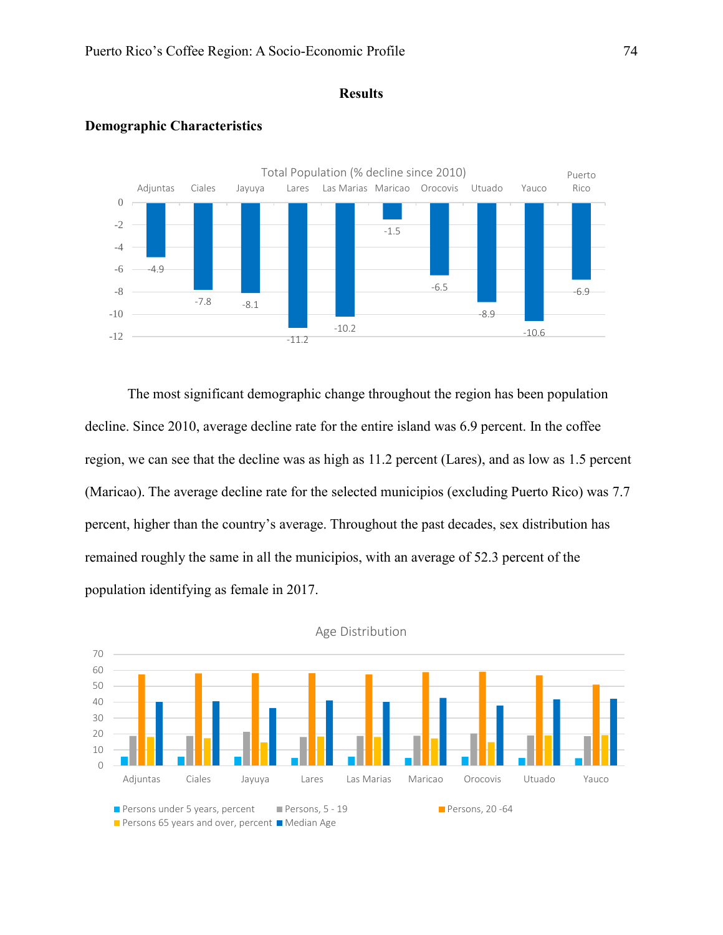### **Results**



# **Demographic Characteristics**

The most significant demographic change throughout the region has been population decline. Since 2010, average decline rate for the entire island was 6.9 percent. In the coffee region, we can see that the decline was as high as 11.2 percent (Lares), and as low as 1.5 percent (Maricao). The average decline rate for the selected municipios (excluding Puerto Rico) was 7.7 percent, higher than the country's average. Throughout the past decades, sex distribution has remained roughly the same in all the municipios, with an average of 52.3 percent of the population identifying as female in 2017.



Age Distribution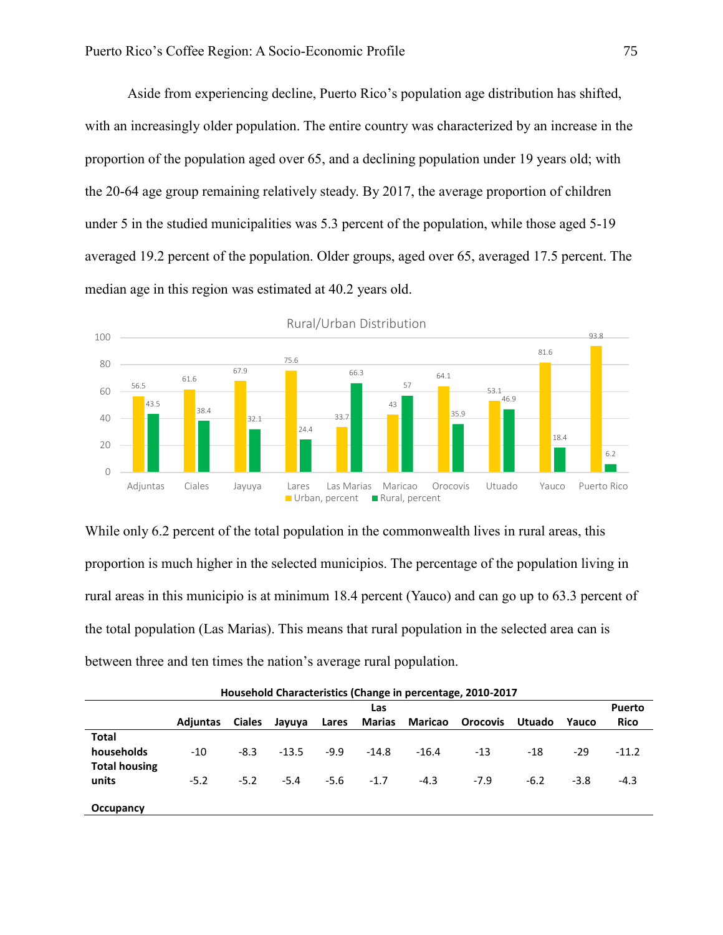Aside from experiencing decline, Puerto Rico's population age distribution has shifted, with an increasingly older population. The entire country was characterized by an increase in the proportion of the population aged over 65, and a declining population under 19 years old; with the 20-64 age group remaining relatively steady. By 2017, the average proportion of children under 5 in the studied municipalities was 5.3 percent of the population, while those aged 5-19 averaged 19.2 percent of the population. Older groups, aged over 65, averaged 17.5 percent. The median age in this region was estimated at 40.2 years old.



While only 6.2 percent of the total population in the commonwealth lives in rural areas, this proportion is much higher in the selected municipios. The percentage of the population living in rural areas in this municipio is at minimum 18.4 percent (Yauco) and can go up to 63.3 percent of the total population (Las Marias). This means that rural population in the selected area can is between three and ten times the nation's average rural population.

| Household Characteristics (Change in percentage, 2010-2017 |                 |               |         |        |               |                |                 |               |        |               |
|------------------------------------------------------------|-----------------|---------------|---------|--------|---------------|----------------|-----------------|---------------|--------|---------------|
|                                                            |                 |               |         |        | Las           |                |                 |               |        | <b>Puerto</b> |
|                                                            | <b>Adiuntas</b> | <b>Ciales</b> | Jayuya  | Lares  | <b>Marias</b> | <b>Maricao</b> | <b>Orocovis</b> | <b>Utuado</b> | Yauco  | <b>Rico</b>   |
| <b>Total</b>                                               |                 |               |         |        |               |                |                 |               |        |               |
| households                                                 | $-10$           | $-8.3$        | $-13.5$ | $-9.9$ | $-14.8$       | $-16.4$        | $-13$           | $-18$         | $-29$  | $-11.2$       |
| <b>Total housing</b>                                       |                 |               |         |        |               |                |                 |               |        |               |
| units                                                      | $-5.2$          | $-5.2$        | $-5.4$  | $-5.6$ | $-1.7$        | $-4.3$         | $-7.9$          | $-6.2$        | $-3.8$ | $-4.3$        |
|                                                            |                 |               |         |        |               |                |                 |               |        |               |
| Occupancy                                                  |                 |               |         |        |               |                |                 |               |        |               |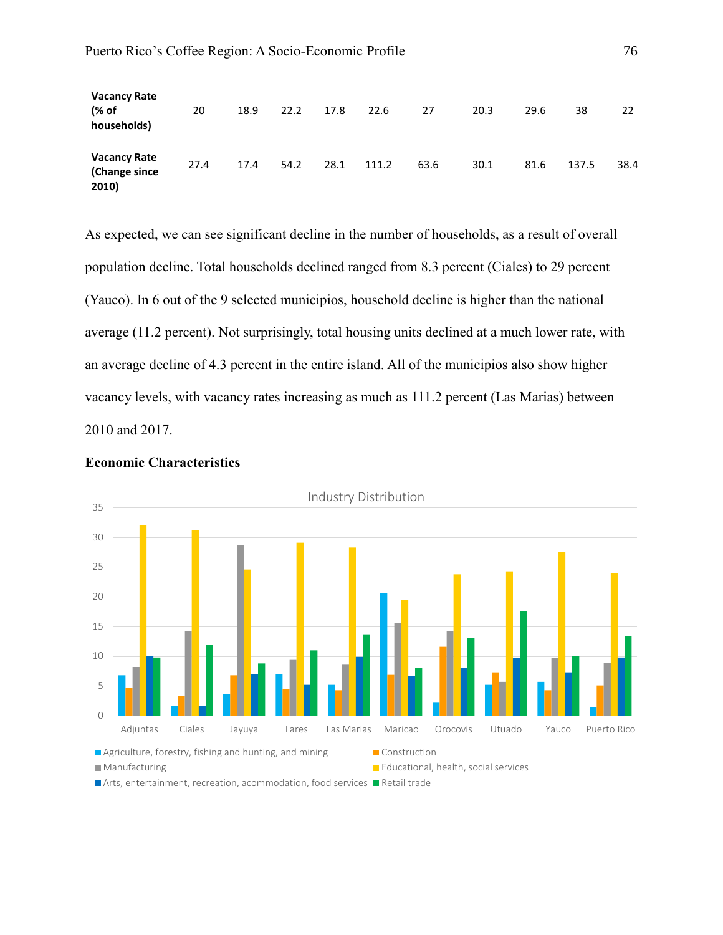| <b>Vacancy Rate</b><br>(% of<br>households)   | 20   | 18.9 | 22.2 | 17.8 | 22.6  | 27   | 20.3 | 29.6 | 38    | 22   |
|-----------------------------------------------|------|------|------|------|-------|------|------|------|-------|------|
| <b>Vacancy Rate</b><br>(Change since<br>2010) | 27.4 | 17.4 | 54.2 | 28.1 | 111.2 | 63.6 | 30.1 | 81.6 | 137.5 | 38.4 |

As expected, we can see significant decline in the number of households, as a result of overall population decline. Total households declined ranged from 8.3 percent (Ciales) to 29 percent (Yauco). In 6 out of the 9 selected municipios, household decline is higher than the national average (11.2 percent). Not surprisingly, total housing units declined at a much lower rate, with an average decline of 4.3 percent in the entire island. All of the municipios also show higher vacancy levels, with vacancy rates increasing as much as 111.2 percent (Las Marias) between 2010 and 2017.



# **Economic Characteristics**

Arts, entertainment, recreation, acommodation, food services **Retail trade**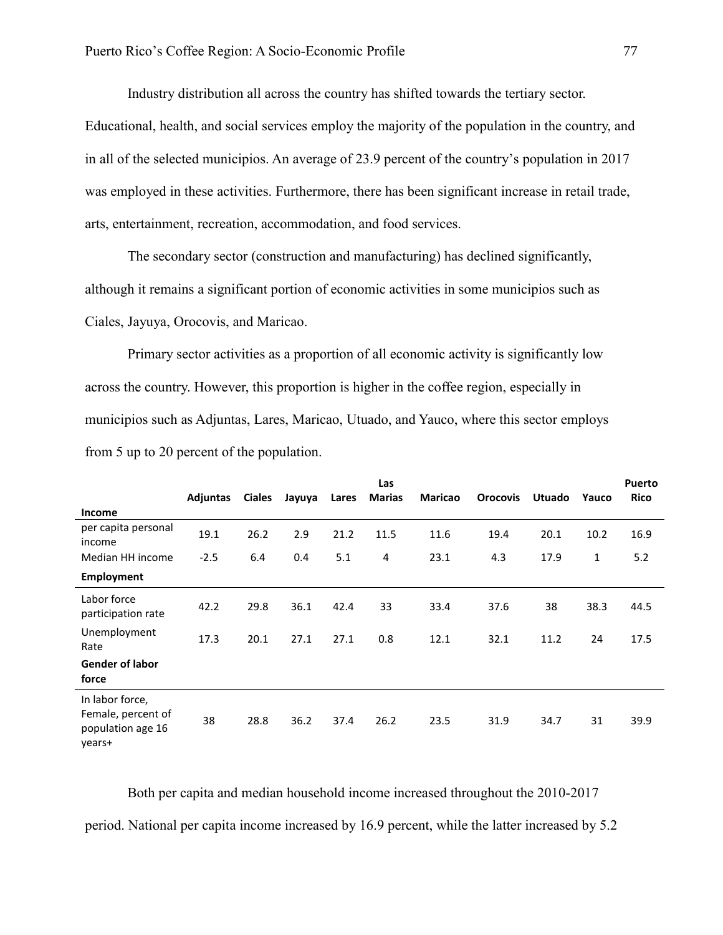Industry distribution all across the country has shifted towards the tertiary sector.

Educational, health, and social services employ the majority of the population in the country, and in all of the selected municipios. An average of 23.9 percent of the country's population in 2017 was employed in these activities. Furthermore, there has been significant increase in retail trade, arts, entertainment, recreation, accommodation, and food services.

The secondary sector (construction and manufacturing) has declined significantly, although it remains a significant portion of economic activities in some municipios such as Ciales, Jayuya, Orocovis, and Maricao.

Primary sector activities as a proportion of all economic activity is significantly low across the country. However, this proportion is higher in the coffee region, especially in municipios such as Adjuntas, Lares, Maricao, Utuado, and Yauco, where this sector employs from 5 up to 20 percent of the population.

|                                                                      |          |               |        |       | Las           |                |                 |               |       | <b>Puerto</b> |
|----------------------------------------------------------------------|----------|---------------|--------|-------|---------------|----------------|-----------------|---------------|-------|---------------|
|                                                                      | Adjuntas | <b>Ciales</b> | Jayuya | Lares | <b>Marias</b> | <b>Maricao</b> | <b>Orocovis</b> | <b>Utuado</b> | Yauco | <b>Rico</b>   |
| <b>Income</b>                                                        |          |               |        |       |               |                |                 |               |       |               |
| per capita personal<br>income                                        | 19.1     | 26.2          | 2.9    | 21.2  | 11.5          | 11.6           | 19.4            | 20.1          | 10.2  | 16.9          |
| Median HH income                                                     | $-2.5$   | 6.4           | 0.4    | 5.1   | 4             | 23.1           | 4.3             | 17.9          | 1     | 5.2           |
| <b>Employment</b>                                                    |          |               |        |       |               |                |                 |               |       |               |
| Labor force<br>participation rate                                    | 42.2     | 29.8          | 36.1   | 42.4  | 33            | 33.4           | 37.6            | 38            | 38.3  | 44.5          |
| Unemployment<br>Rate                                                 | 17.3     | 20.1          | 27.1   | 27.1  | 0.8           | 12.1           | 32.1            | 11.2          | 24    | 17.5          |
| <b>Gender of labor</b><br>force                                      |          |               |        |       |               |                |                 |               |       |               |
| In labor force,<br>Female, percent of<br>population age 16<br>years+ | 38       | 28.8          | 36.2   | 37.4  | 26.2          | 23.5           | 31.9            | 34.7          | 31    | 39.9          |

Both per capita and median household income increased throughout the 2010-2017 period. National per capita income increased by 16.9 percent, while the latter increased by 5.2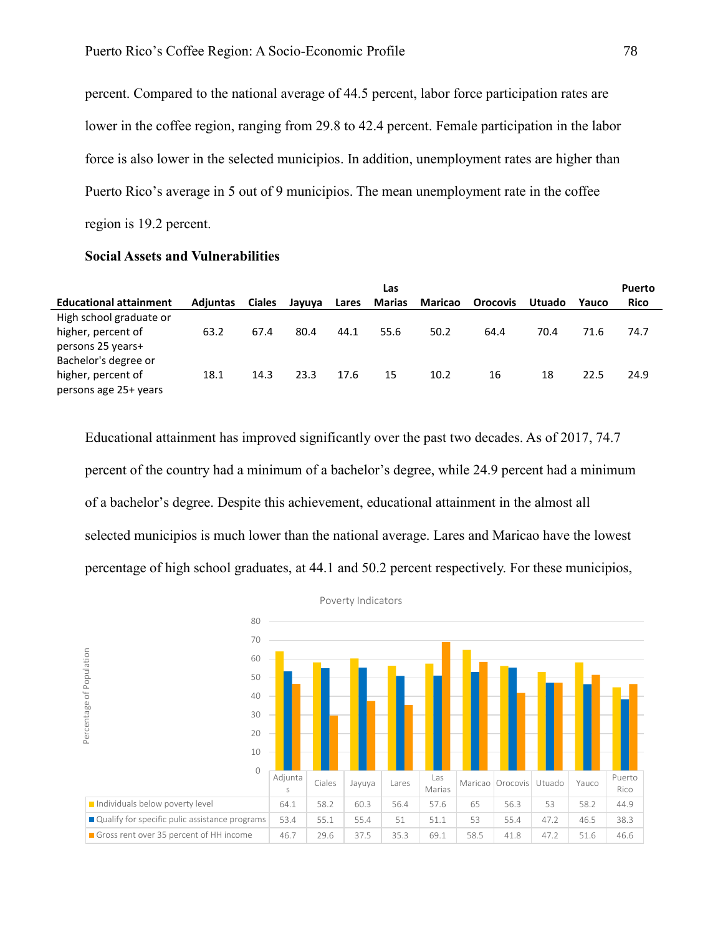percent. Compared to the national average of 44.5 percent, labor force participation rates are lower in the coffee region, ranging from 29.8 to 42.4 percent. Female participation in the labor force is also lower in the selected municipios. In addition, unemployment rates are higher than Puerto Rico's average in 5 out of 9 municipios. The mean unemployment rate in the coffee region is 19.2 percent.

## **Social Assets and Vulnerabilities**

|                               |          |               |        |       | Las           |                |                 |               |       | Puerto      |
|-------------------------------|----------|---------------|--------|-------|---------------|----------------|-----------------|---------------|-------|-------------|
| <b>Educational attainment</b> | Adjuntas | <b>Ciales</b> | Jayuya | Lares | <b>Marias</b> | <b>Maricao</b> | <b>Orocovis</b> | <b>Utuado</b> | Yauco | <b>Rico</b> |
| High school graduate or       |          |               |        |       |               |                |                 |               |       |             |
| higher, percent of            | 63.2     | 67.4          | 80.4   | 44.1  | 55.6          | 50.2           | 64.4            | 70.4          | 71.6  | 74.7        |
| persons 25 years+             |          |               |        |       |               |                |                 |               |       |             |
| Bachelor's degree or          |          |               |        |       |               |                |                 |               |       |             |
| higher, percent of            | 18.1     | 14.3          | 23.3   | 17.6  | 15            | 10.2           | 16              | 18            | 22.5  | 24.9        |
| persons age 25+ years         |          |               |        |       |               |                |                 |               |       |             |

Educational attainment has improved significantly over the past two decades. As of 2017, 74.7 percent of the country had a minimum of a bachelor's degree, while 24.9 percent had a minimum of a bachelor's degree. Despite this achievement, educational attainment in the almost all selected municipios is much lower than the national average. Lares and Maricao have the lowest percentage of high school graduates, at 44.1 and 50.2 percent respectively. For these municipios,

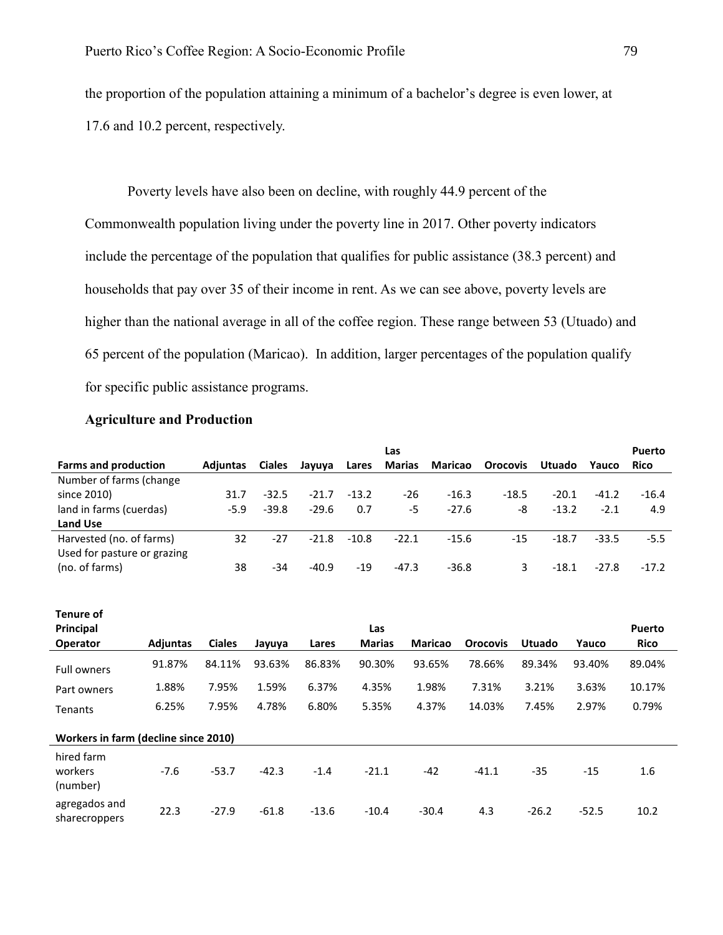the proportion of the population attaining a minimum of a bachelor's degree is even lower, at 17.6 and 10.2 percent, respectively.

Poverty levels have also been on decline, with roughly 44.9 percent of the Commonwealth population living under the poverty line in 2017. Other poverty indicators include the percentage of the population that qualifies for public assistance (38.3 percent) and households that pay over 35 of their income in rent. As we can see above, poverty levels are higher than the national average in all of the coffee region. These range between 53 (Utuado) and 65 percent of the population (Maricao). In addition, larger percentages of the population qualify for specific public assistance programs.

### **Agriculture and Production**

|                             |                 |               |         |         | Las           |                |                 |               |         | <b>Puerto</b> |
|-----------------------------|-----------------|---------------|---------|---------|---------------|----------------|-----------------|---------------|---------|---------------|
| <b>Farms and production</b> | <b>Adiuntas</b> | <b>Ciales</b> | Jayuya  | Lares   | <b>Marias</b> | <b>Maricao</b> | <b>Orocovis</b> | <b>Utuado</b> | Yauco   | <b>Rico</b>   |
| Number of farms (change     |                 |               |         |         |               |                |                 |               |         |               |
| since 2010)                 | 31.7            | $-32.5$       | $-21.7$ | $-13.2$ | -26           | $-16.3$        | $-18.5$         | $-20.1$       | $-41.2$ | $-16.4$       |
| land in farms (cuerdas)     | $-5.9$          | $-39.8$       | $-29.6$ | 0.7     | -5            | $-27.6$        | -8              | $-13.2$       | $-2.1$  | 4.9           |
| <b>Land Use</b>             |                 |               |         |         |               |                |                 |               |         |               |
| Harvested (no. of farms)    | 32              | -27           | $-21.8$ | $-10.8$ | $-22.1$       | $-15.6$        | $-15$           | $-18.7$       | $-33.5$ | $-5.5$        |
| Used for pasture or grazing |                 |               |         |         |               |                |                 |               |         |               |
| (no. of farms)              | 38              | -34           | $-40.9$ | $-19$   | $-47.3$       | $-36.8$        | ₹               | $-18.1$       | $-27.8$ | $-17.2$       |

| Tenure of<br>Principal<br><b>Operator</b> | <b>Adjuntas</b> | <b>Ciales</b> | Jayuya  | Lares   | Las<br><b>Marias</b> | <b>Maricao</b> | <b>Orocovis</b> | <b>Utuado</b> | Yauco   | <b>Puerto</b><br><b>Rico</b> |
|-------------------------------------------|-----------------|---------------|---------|---------|----------------------|----------------|-----------------|---------------|---------|------------------------------|
|                                           |                 |               |         |         |                      |                |                 |               |         |                              |
| <b>Full owners</b>                        | 91.87%          | 84.11%        | 93.63%  | 86.83%  | 90.30%               | 93.65%         | 78.66%          | 89.34%        | 93.40%  | 89.04%                       |
| Part owners                               | 1.88%           | 7.95%         | 1.59%   | 6.37%   | 4.35%                | 1.98%          | 7.31%           | 3.21%         | 3.63%   | 10.17%                       |
| Tenants                                   | 6.25%           | 7.95%         | 4.78%   | 6.80%   | 5.35%                | 4.37%          | 14.03%          | 7.45%         | 2.97%   | 0.79%                        |
| Workers in farm (decline since 2010)      |                 |               |         |         |                      |                |                 |               |         |                              |
| hired farm<br>workers<br>(number)         | $-7.6$          | $-53.7$       | $-42.3$ | $-1.4$  | $-21.1$              | $-42$          | $-41.1$         | $-35$         | $-15$   | 1.6                          |
| agregados and<br>sharecroppers            | 22.3            | $-27.9$       | $-61.8$ | $-13.6$ | $-10.4$              | $-30.4$        | 4.3             | $-26.2$       | $-52.5$ | 10.2                         |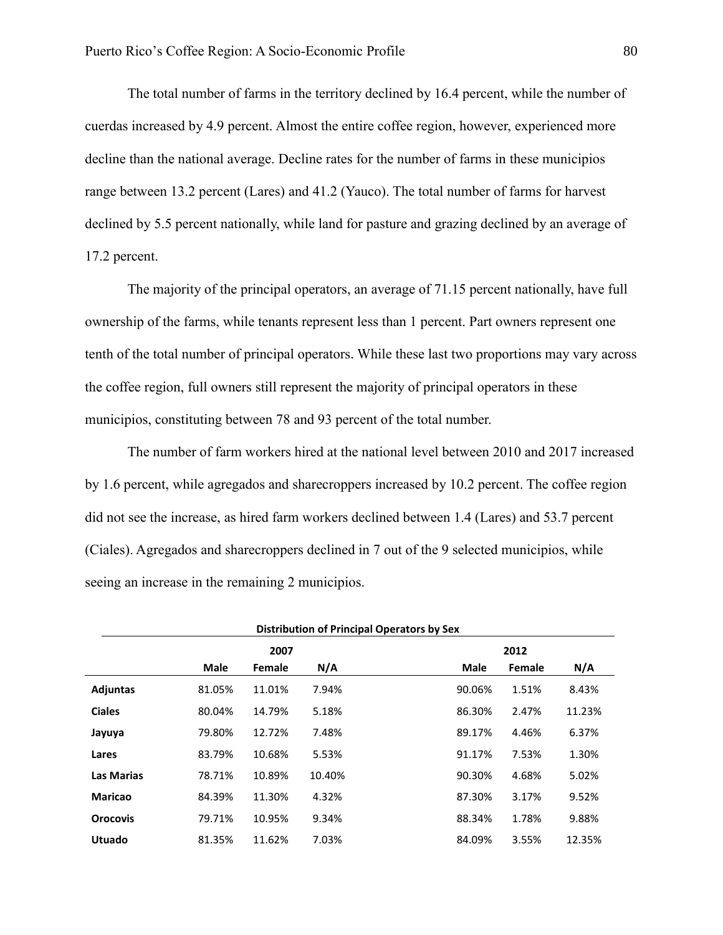The total number of farms in the territory declined by 16.4 percent, while the number of cuerdas increased by 4.9 percent. Almost the entire coffee region, however, experienced more decline than the national average. Decline rates for the number of farms in these municipios range between 13.2 percent (Lares) and 41.2 (Yauco). The total number of farms for harvest declined by 5.5 percent nationally, while land for pasture and grazing declined by an average of 17.2 percent.

The majority of the principal operators, an average of 71.15 percent nationally, have full ownership of the farms, while tenants represent less than 1 percent. Part owners represent one tenth of the total number of principal operators. While these last two proportions may vary across the coffee region, full owners still represent the majority of principal operators in these municipios, constituting between 78 and 93 percent of the total number.

The number of farm workers hired at the national level between 2010 and 2017 increased by 1.6 percent, while agregados and sharecroppers increased by 10.2 percent. The coffee region did not see the increase, as hired farm workers declined between 1.4 (Lares) and 53.7 percent (Ciales). Agregados and sharecroppers declined in 7 out of the 9 selected municipios, while seeing an increase in the remaining 2 municipios.

|                   | Distribution of Principal Operators by Sex |        |        |                           |  |  |  |  |  |
|-------------------|--------------------------------------------|--------|--------|---------------------------|--|--|--|--|--|
| 2007<br>2012      |                                            |        |        |                           |  |  |  |  |  |
|                   | <b>Male</b>                                | Female | N/A    | Male<br>N/A<br>Female     |  |  |  |  |  |
| <b>Adjuntas</b>   | 81.05%                                     | 11.01% | 7.94%  | 8.43%<br>90.06%<br>1.51%  |  |  |  |  |  |
| <b>Ciales</b>     | 80.04%                                     | 14.79% | 5.18%  | 86.30%<br>2.47%<br>11.23% |  |  |  |  |  |
| Jayuya            | 79.80%                                     | 12.72% | 7.48%  | 4.46%<br>6.37%<br>89.17%  |  |  |  |  |  |
| Lares             | 83.79%                                     | 10.68% | 5.53%  | 7.53%<br>91.17%<br>1.30%  |  |  |  |  |  |
| <b>Las Marias</b> | 78.71%                                     | 10.89% | 10.40% | 4.68%<br>5.02%<br>90.30%  |  |  |  |  |  |
| <b>Maricao</b>    | 84.39%                                     | 11.30% | 4.32%  | 9.52%<br>87.30%<br>3.17%  |  |  |  |  |  |
| <b>Orocovis</b>   | 79.71%                                     | 10.95% | 9.34%  | 1.78%<br>9.88%<br>88.34%  |  |  |  |  |  |
| <b>Utuado</b>     | 81.35%                                     | 11.62% | 7.03%  | 84.09%<br>3.55%<br>12.35% |  |  |  |  |  |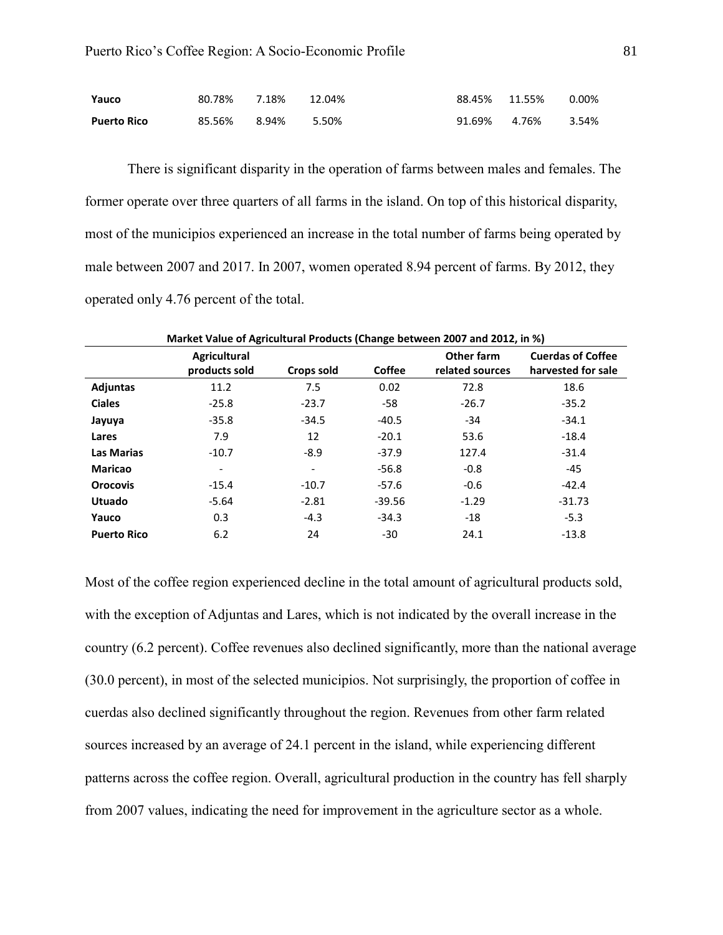| Yauco              | 80.78% 7.18% 12.04% |  |               | 88.45%  11.55% | 0.00% |
|--------------------|---------------------|--|---------------|----------------|-------|
| <b>Puerto Rico</b> | 85.56% 8.94% 5.50%  |  | 91.69%  4.76% |                | 3.54% |

There is significant disparity in the operation of farms between males and females. The former operate over three quarters of all farms in the island. On top of this historical disparity, most of the municipios experienced an increase in the total number of farms being operated by male between 2007 and 2017. In 2007, women operated 8.94 percent of farms. By 2012, they operated only 4.76 percent of the total.

|                    | Market Value of Agricultural Products (Change between 2007 and 2012, in %) |                              |          |                               |                                                |
|--------------------|----------------------------------------------------------------------------|------------------------------|----------|-------------------------------|------------------------------------------------|
|                    | <b>Agricultural</b><br>products sold                                       | Crops sold                   | Coffee   | Other farm<br>related sources | <b>Cuerdas of Coffee</b><br>harvested for sale |
| <b>Adjuntas</b>    | 11.2                                                                       | 7.5                          | 0.02     | 72.8                          | 18.6                                           |
| <b>Ciales</b>      | $-25.8$                                                                    | $-23.7$                      | -58      | $-26.7$                       | $-35.2$                                        |
| Jayuya             | $-35.8$                                                                    | $-34.5$                      | $-40.5$  | $-34$                         | $-34.1$                                        |
| Lares              | 7.9                                                                        | 12                           | $-20.1$  | 53.6                          | $-18.4$                                        |
| <b>Las Marias</b>  | $-10.7$                                                                    | $-8.9$                       | $-37.9$  | 127.4                         | $-31.4$                                        |
| <b>Maricao</b>     | -                                                                          | $\qquad \qquad \blacksquare$ | $-56.8$  | $-0.8$                        | $-45$                                          |
| <b>Orocovis</b>    | $-15.4$                                                                    | $-10.7$                      | $-57.6$  | $-0.6$                        | $-42.4$                                        |
| <b>Utuado</b>      | $-5.64$                                                                    | $-2.81$                      | $-39.56$ | $-1.29$                       | $-31.73$                                       |
| Yauco              | 0.3                                                                        | $-4.3$                       | $-34.3$  | $-18$                         | $-5.3$                                         |
| <b>Puerto Rico</b> | 6.2                                                                        | 24                           | $-30$    | 24.1                          | $-13.8$                                        |

Most of the coffee region experienced decline in the total amount of agricultural products sold, with the exception of Adjuntas and Lares, which is not indicated by the overall increase in the country (6.2 percent). Coffee revenues also declined significantly, more than the national average (30.0 percent), in most of the selected municipios. Not surprisingly, the proportion of coffee in cuerdas also declined significantly throughout the region. Revenues from other farm related sources increased by an average of 24.1 percent in the island, while experiencing different patterns across the coffee region. Overall, agricultural production in the country has fell sharply from 2007 values, indicating the need for improvement in the agriculture sector as a whole.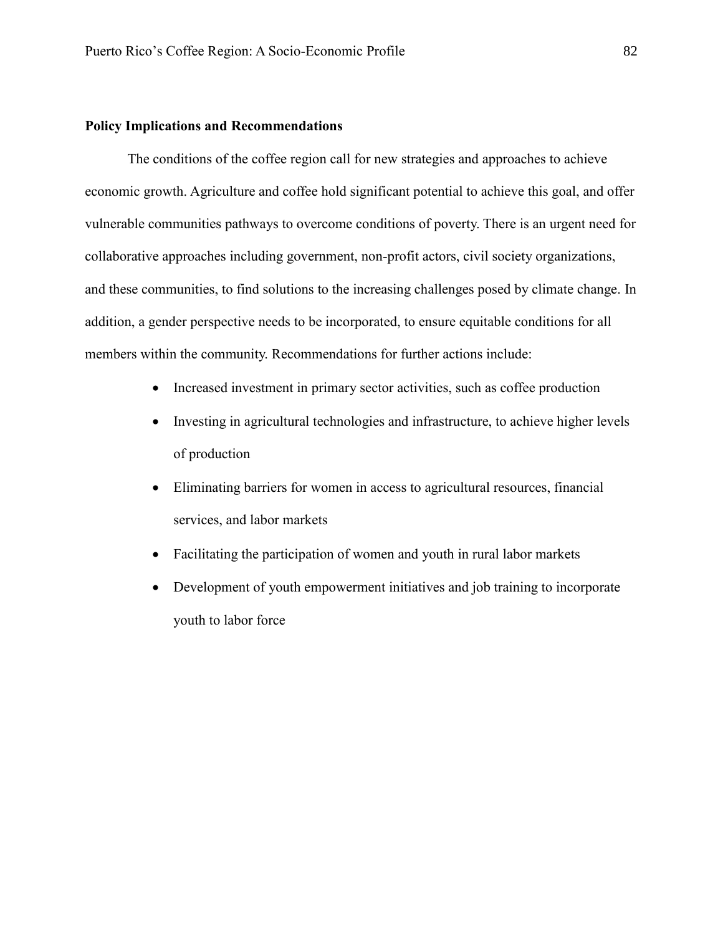# **Policy Implications and Recommendations**

The conditions of the coffee region call for new strategies and approaches to achieve economic growth. Agriculture and coffee hold significant potential to achieve this goal, and offer vulnerable communities pathways to overcome conditions of poverty. There is an urgent need for collaborative approaches including government, non-profit actors, civil society organizations, and these communities, to find solutions to the increasing challenges posed by climate change. In addition, a gender perspective needs to be incorporated, to ensure equitable conditions for all members within the community. Recommendations for further actions include:

- Increased investment in primary sector activities, such as coffee production
- Investing in agricultural technologies and infrastructure, to achieve higher levels of production
- Eliminating barriers for women in access to agricultural resources, financial services, and labor markets
- Facilitating the participation of women and youth in rural labor markets
- Development of youth empowerment initiatives and job training to incorporate youth to labor force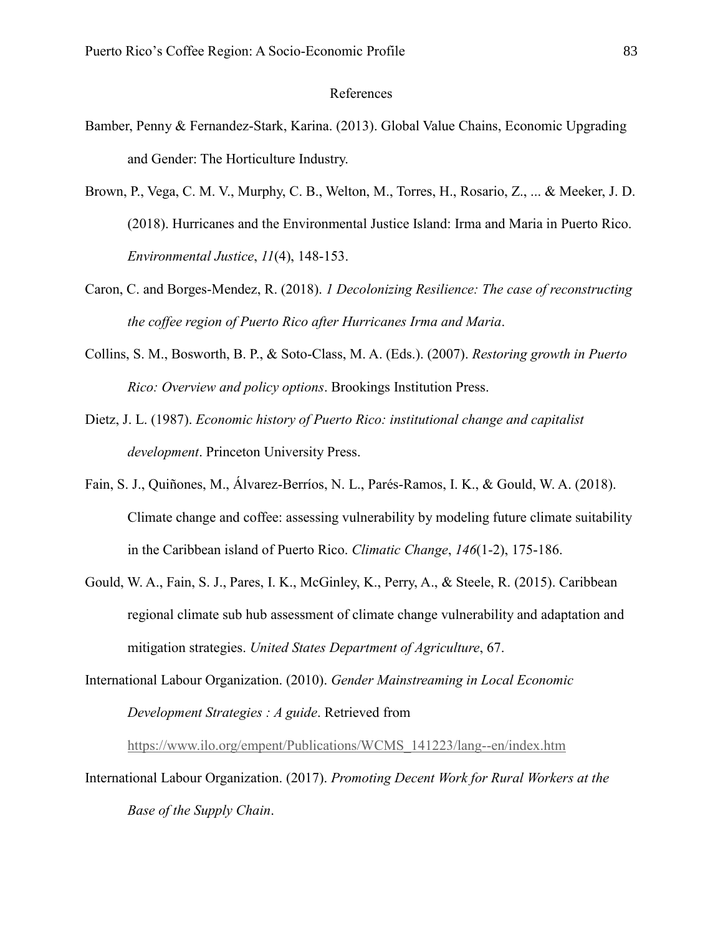### References

- Bamber, Penny & Fernandez-Stark, Karina. (2013). Global Value Chains, Economic Upgrading and Gender: The Horticulture Industry.
- Brown, P., Vega, C. M. V., Murphy, C. B., Welton, M., Torres, H., Rosario, Z., ... & Meeker, J. D. (2018). Hurricanes and the Environmental Justice Island: Irma and Maria in Puerto Rico. *Environmental Justice*, *11*(4), 148-153.
- Caron, C. and Borges-Mendez, R. (2018). *1 Decolonizing Resilience: The case of reconstructing the coffee region of Puerto Rico after Hurricanes Irma and Maria*.
- Collins, S. M., Bosworth, B. P., & Soto-Class, M. A. (Eds.). (2007). *Restoring growth in Puerto Rico: Overview and policy options*. Brookings Institution Press.
- Dietz, J. L. (1987). *Economic history of Puerto Rico: institutional change and capitalist development*. Princeton University Press.
- Fain, S. J., Quiñones, M., Álvarez-Berríos, N. L., Parés-Ramos, I. K., & Gould, W. A. (2018). Climate change and coffee: assessing vulnerability by modeling future climate suitability in the Caribbean island of Puerto Rico. *Climatic Change*, *146*(1-2), 175-186.
- Gould, W. A., Fain, S. J., Pares, I. K., McGinley, K., Perry, A., & Steele, R. (2015). Caribbean regional climate sub hub assessment of climate change vulnerability and adaptation and mitigation strategies. *United States Department of Agriculture*, 67.
- International Labour Organization. (2010). *Gender Mainstreaming in Local Economic Development Strategies : A guide*. Retrieved from

[https://www.ilo.org/empent/Publications/WCMS\\_141223/lang--en/index.htm](https://www.ilo.org/empent/Publications/WCMS_141223/lang--en/index.htm)

International Labour Organization. (2017). *Promoting Decent Work for Rural Workers at the Base of the Supply Chain*.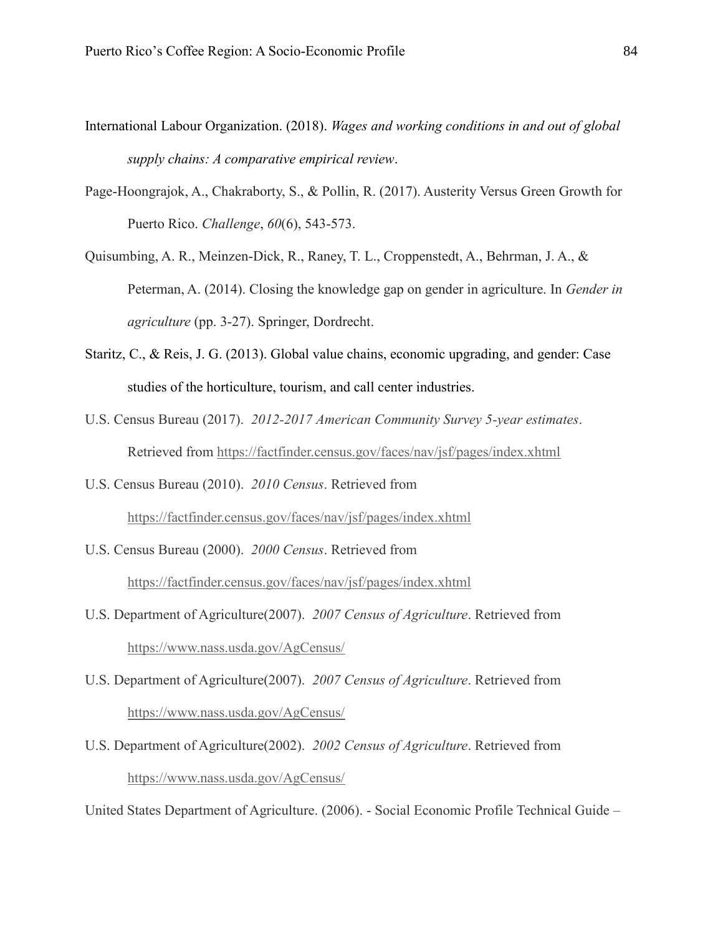- International Labour Organization. (2018). *Wages and working conditions in and out of global supply chains: A comparative empirical review*.
- Page-Hoongrajok, A., Chakraborty, S., & Pollin, R. (2017). Austerity Versus Green Growth for Puerto Rico. *Challenge*, *60*(6), 543-573.
- Quisumbing, A. R., Meinzen-Dick, R., Raney, T. L., Croppenstedt, A., Behrman, J. A., & Peterman, A. (2014). Closing the knowledge gap on gender in agriculture. In *Gender in agriculture* (pp. 3-27). Springer, Dordrecht.
- Staritz, C., & Reis, J. G. (2013). Global value chains, economic upgrading, and gender: Case studies of the horticulture, tourism, and call center industries.
- U.S. Census Bureau (2017). *2012-2017 American Community Survey 5-year estimates*. Retrieved from <https://factfinder.census.gov/faces/nav/jsf/pages/index.xhtml>
- U.S. Census Bureau (2010). *2010 Census*. Retrieved from <https://factfinder.census.gov/faces/nav/jsf/pages/index.xhtml>
- U.S. Census Bureau (2000). *2000 Census*. Retrieved from <https://factfinder.census.gov/faces/nav/jsf/pages/index.xhtml>
- U.S. Department of Agriculture(2007). *2007 Census of Agriculture*. Retrieved from <https://www.nass.usda.gov/AgCensus/>
- U.S. Department of Agriculture(2007). *2007 Census of Agriculture*. Retrieved from <https://www.nass.usda.gov/AgCensus/>
- U.S. Department of Agriculture(2002). *2002 Census of Agriculture*. Retrieved from <https://www.nass.usda.gov/AgCensus/>

United States Department of Agriculture. (2006). - Social Economic Profile Technical Guide –